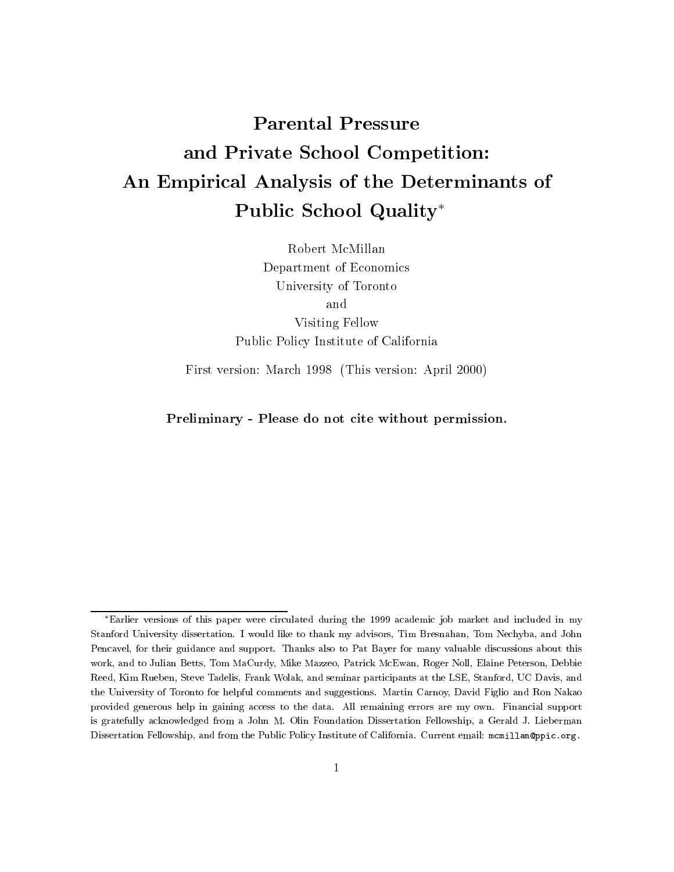# Parental Pressure and Private School Competition: An Empirical Analysis of the Determinants of Public School Quality

Robert McMillan Department of Economics University of Toronto Visiting Fellow Public Policy Institute of California

First version: March 1998 (This version: April 2000)

Preliminary - Please do not cite without permission.

Earlier versions of this paper were circulated during the 1999 academic job market and included in my Stanford University dissertation. I would like to thank my advisors, Tim Bresnahan, Tom Nechyba, and John Pencavel, for their guidance and support. Thanks also to Pat Bayer for many valuable discussions about this work, and to Julian Betts, Tom MaCurdy, Mike Mazzeo, Patrick McEwan, Roger Noll, Elaine Peterson, Debbie Reed, Kim Rueben, Steve Tadelis, Frank Wolak, and seminar participants at the LSE, Stanford, UC Davis, and the University of Toronto for helpful comments and suggestions. Martin Carnoy, David Figlio and Ron Nakao provided generous help in gaining access to the data. All remaining errors are my own. Financial support is gratefully acknowledged from a John M. Olin Foundation Dissertation Fellowship, a Gerald J. Lieberman Dissertation Fellowship, and from the Public Policy Institute of California. Current email: mcmillan@ppic.org.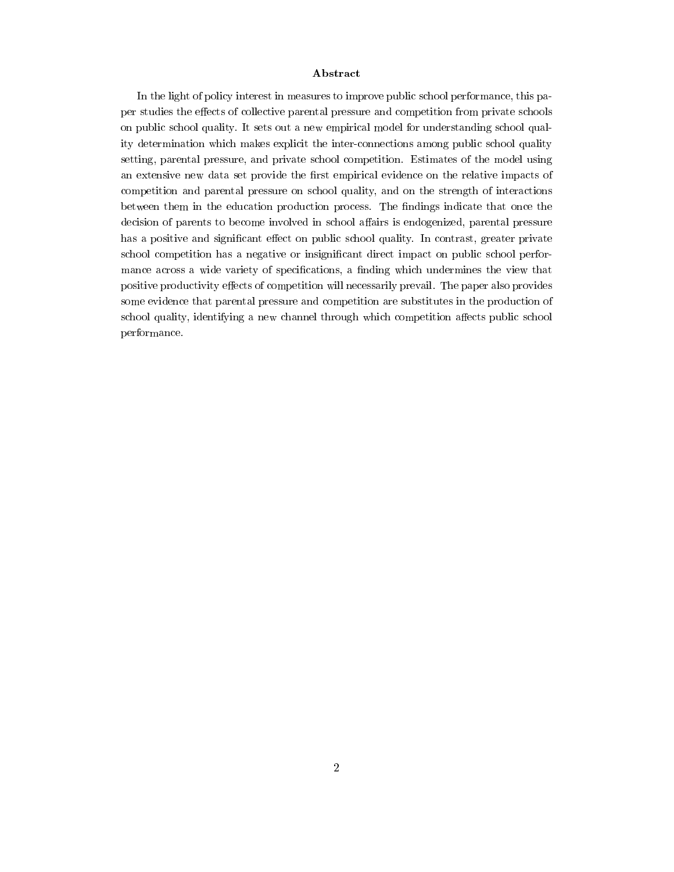#### Abstract

In the light of policy interest in measures to improve public school performance, this paper studies the effects of collective parental pressure and competition from private schools on public school quality. It sets out a new empirical model for understanding school quality determination which makes explicit the inter-connections among public school quality setting, parental pressure, and private school competition. Estimates of the model using an extensive new data set provide the first empirical evidence on the relative impacts of competition and parental pressure on school quality, and on the strength of interactions between them in the education production process. The findings indicate that once the decision of parents to become involved in school affairs is endogenized, parental pressure has a positive and significant effect on public school quality. In contrast, greater private school competition has a negative or insignificant direct impact on public school performance across a wide variety of specifications, a finding which undermines the view that positive productivity effects of competition will necessarily prevail. The paper also provides some evidence that parental pressure and competition are substitutes in the production of school quality, identifying a new channel through which competition affects public school performance.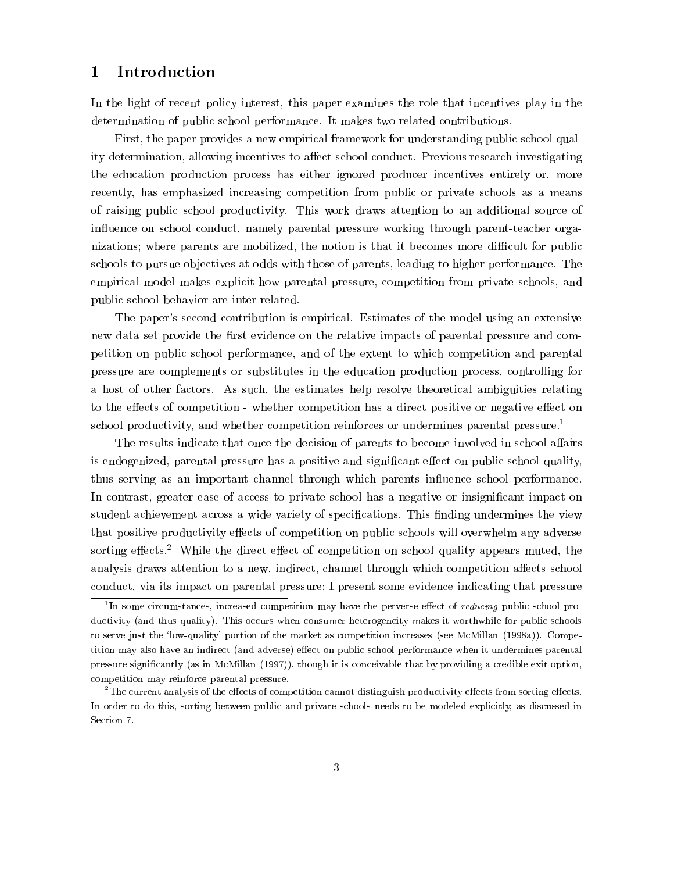# 1 Introduction

In the light of recent policy interest, this paper examines the role that incentives play in the determination of public school performance. It makes two related contributions.

First, the paper provides a new empirical framework for understanding public school quality determination, allowing incentives to affect school conduct. Previous research investigating the education production process has either ignored producer incentives entirely or, more recently, has emphasized increasing competition from public or private schools as a means of raising public school productivity. This work draws attention to an additional source of influence on school conduct, namely parental pressure working through parent-teacher organizations; where parents are mobilized, the notion is that it becomes more difficult for public schools to pursue objectives at odds with those of parents, leading to higher performance. The empirical model makes explicit how parental pressure, competition from private schools, and public school behavior are inter-related.

The paper's second contribution is empirical. Estimates of the model using an extensive new data set provide the first evidence on the relative impacts of parental pressure and competition on public school performance, and of the extent to which competition and parental pressure are complements or substitutes in the education production process, controlling for a host of other factors. As such, the estimates help resolve theoretical ambiguities relating to the effects of competition - whether competition has a direct positive or negative effect on school productivity, and whether competition reinforces or undermines parental pressure.1

The results indicate that once the decision of parents to become involved in school affairs is endogenized, parental pressure has a positive and significant effect on public school quality, thus serving as an important channel through which parents influence school performance. In contrast, greater ease of access to private school has a negative or insignificant impact on student achievement across a wide variety of specifications. This finding undermines the view that positive productivity effects of competition on public schools will overwhelm any adverse sorting effects.<sup>2</sup> While the direct effect of competition on school quality appears muted, the analysis draws attention to a new, indirect, channel through which competition affects school conduct, via its impact on parental pressure; I present some evidence indicating that pressure

<sup>&</sup>lt;sup>1</sup>In some circumstances, increased competition may have the perverse effect of *reducing* public school productivity (and thus quality). This occurs when consumer heterogeneity makes it worthwhile for public schools to serve just the 'low-quality' portion of the market as competition increases (see McMillan (1998a)). Competition may also have an indirect (and adverse) effect on public school performance when it undermines parental pressure signicantly (as in McMillan (1997)), though it is conceivable that by providing a credible exit option, competition may reinforce parental pressure.

 $^{2}$ The current analysis of the effects of competition cannot distinguish productivity effects from sorting effects. In order to do this, sorting between public and private schools needs to be modeled explicitly, as discussed in Section 7.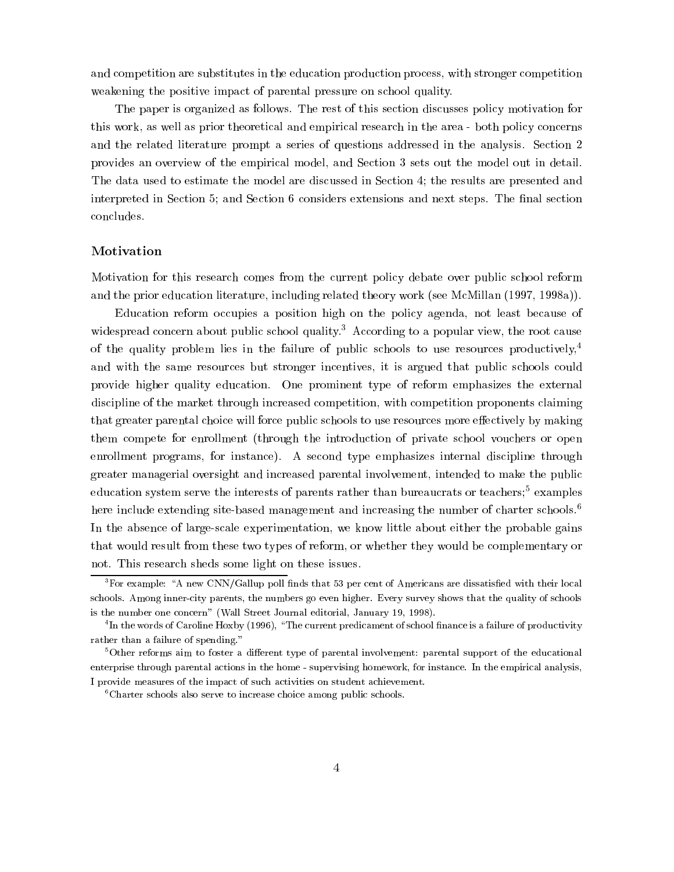and competition are substitutes in the education production process, with stronger competition weakening the positive impact of parental pressure on school quality.

The paper is organized as follows. The rest of this section discusses policy motivation for this work, as well as prior theoretical and empirical research in the area - both policy concerns and the related literature prompt a series of questions addressed in the analysis. Section 2 provides an overview of the empirical model, and Section 3 sets out the model out in detail. The data used to estimate the model are discussed in Section 4; the results are presented and interpreted in Section 5; and Section 6 considers extensions and next steps. The final section concludes.

## Motivation

Motivation for this research comes from the current policy debate over public school reform and the prior education literature, including related theory work (see McMillan (1997, 1998a)).

Education reform occupies a position high on the policy agenda, not least because of widespread concern about public school quality.<sup>3</sup> According to a popular view, the root cause of the quality problem lies in the failure of public schools to use resources productively,<sup>4</sup> and with the same resources but stronger incentives, it is argued that public schools could provide higher quality education. One prominent type of reform emphasizes the external discipline of the market through increased competition, with competition proponents claiming that greater parental choice will force public schools to use resources more effectively by making them compete for enrollment (through the introduction of private school vouchers or open enrollment programs, for instance). A second type emphasizes internal discipline through greater managerial oversight and increased parental involvement, intended to make the public education system serve the interests of parents rather than bureaucrats or teachers;<sup>5</sup> examples here include extending site-based management and increasing the number of charter schools.<sup>6</sup> In the absence of large-scale experimentation, we know little about either the probable gains that would result from these two types of reform, or whether they would be complementary or not. This research sheds some light on these issues.

 ${}^{3}$  For example: "A new CNN/Gallup poll finds that 53 per cent of Americans are dissatisfied with their local schools. Among inner-city parents, the numbers go even higher. Every survey shows that the quality of schools is the number one concern" (Wall Street Journal editorial, January 19, 1998).

In the words of Caroline Hoxby (1996), "The current predicament of school finance is a failure of productivity rather than a failure of spending."

 $5$ Other reforms aim to foster a different type of parental involvement: parental support of the educational enterprise through parental actions in the home - supervising homework, for instance. In the empirical analysis, I provide measures of the impact of such activities on student achievement.

<sup>&</sup>lt;sup>6</sup>Charter schools also serve to increase choice among public schools.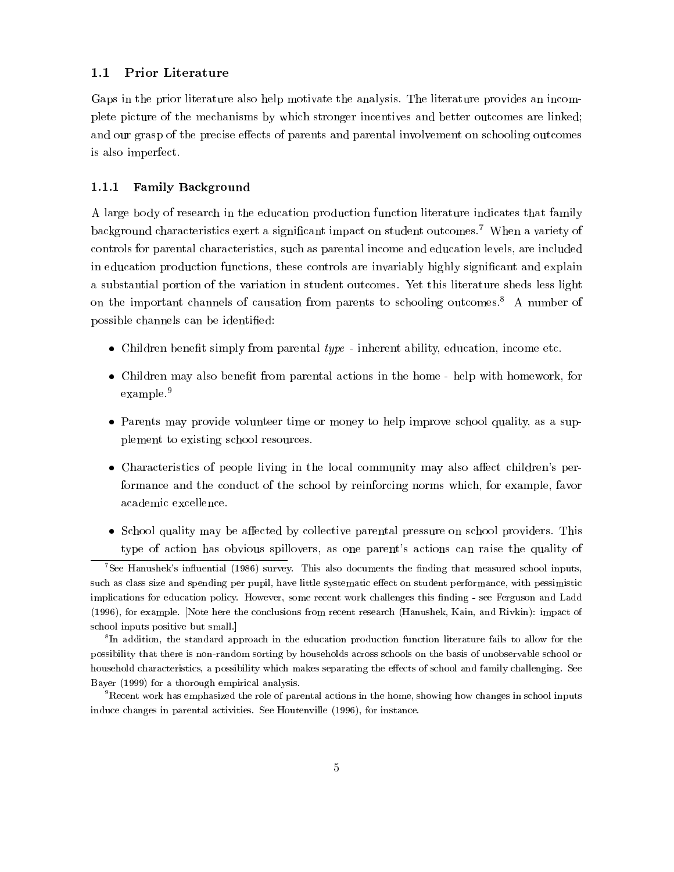#### Prior Literature  $1.1$

Gaps in the prior literature also help motivate the analysis. The literature provides an incomplete picture of the mechanisms by which stronger incentives and better outcomes are linked; and our grasp of the precise effects of parents and parental involvement on schooling outcomes is also imperfect.

#### 1.1.1 Family Background

A large body of research in the education production function literature indicates that family background characteristics exert a significant impact on student outcomes.<sup>7</sup> When a variety of controls for parental characteristics, such as parental income and education levels, are included in education production functions, these controls are invariably highly significant and explain a substantial portion of the variation in student outcomes. Yet this literature sheds less light on the important channels of causation from parents to schooling outcomes.<sup>8</sup> A number of possible channels can be identied:

- Children benefit simply from parental  $type$  inherent ability, education, income etc.
- Children may also benefit from parental actions in the home help with homework, for example.<sup>9</sup>
- Parents may provide volunteer time or money to help improve school quality, as a supplement to existing school resources.
- Characteristics of people living in the local community may also affect children's performance and the conduct of the school by reinforcing norms which, for example, favor academic excellence.
- School quality may be affected by collective parental pressure on school providers. This type of action has obvious spillovers, as one parent's actions can raise the quality of

 $^7$ See Hanushek's influential (1986) survey. This also documents the finding that measured school inputs, such as class size and spending per pupil, have little systematic effect on student performance, with pessimistic implications for education policy. However, some recent work challenges this finding - see Ferguson and Ladd (1996), for example. [Note here the conclusions from recent research (Hanushek, Kain, and Rivkin): impact of school inputs positive but small.]

<sup>8</sup> In addition, the standard approach in the education production function literature fails to allow for the possibility that there is non-random sorting by households across schools on the basis of unobservable school or household characteristics, a possibility which makes separating the effects of school and family challenging. See Bayer (1999) for a thorough empirical analysis.

 $9R$ ecent work has emphasized the role of parental actions in the home, showing how changes in school inputs induce changes in parental activities. See Houtenville (1996), for instance.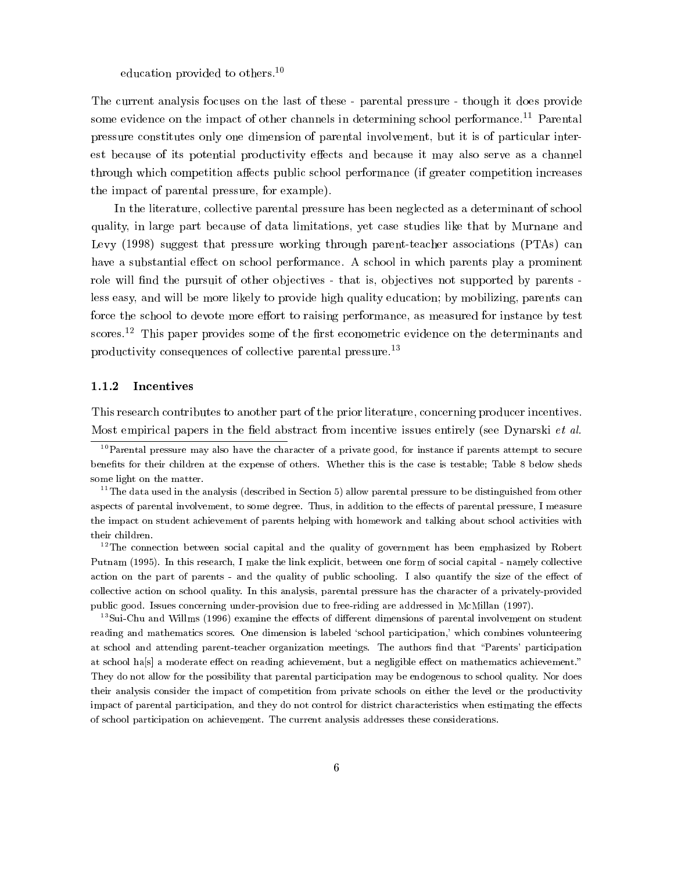education provided to others.<sup>10</sup>

The current analysis focuses on the last of these - parental pressure - though it does provide some evidence on the impact of other channels in determining school performance.<sup>11</sup> Parental pressure constitutes only one dimension of parental involvement, but it is of particular interest because of its potential productivity effects and because it may also serve as a channel through which competition affects public school performance (if greater competition increases the impact of parental pressure, for example).

In the literature, collective parental pressure has been neglected as a determinant of school quality, in large part because of data limitations, yet case studies like that by Murnane and Levy (1998) suggest that pressure working through parent-teacher associations (PTAs) can have a substantial effect on school performance. A school in which parents play a prominent role will find the pursuit of other objectives - that is, objectives not supported by parents less easy, and will be more likely to provide high quality education; by mobilizing, parents can force the school to devote more effort to raising performance, as measured for instance by test scores.<sup>12</sup> This paper provides some of the first econometric evidence on the determinants and productivity consequences of collective parental pressure.13

#### 1.1.2 Incentives

This research contributes to another part of the prior literature, concerning producer incentives. Most empirical papers in the field abstract from incentive issues entirely (see Dynarski *et al.*)

 $12$ The connection between social capital and the quality of government has been emphasized by Robert Putnam (1995). In this research, I make the link explicit, between one form of social capital - namely collective action on the part of parents - and the quality of public schooling. I also quantify the size of the effect of collective action on school quality. In this analysis, parental pressure has the character of a privately-provided public good. Issues concerning under-provision due to free-riding are addressed in McMillan (1997).

<sup>13</sup>Sui-Chu and Willms (1996) examine the effects of different dimensions of parental involvement on student reading and mathematics scores. One dimension is labeled `school participation,' which combines volunteering at school and attending parent-teacher organization meetings. The authors find that "Parents' participation at school ha[s] a moderate effect on reading achievement, but a negligible effect on mathematics achievement." They do not allow for the possibility that parental participation may be endogenous to school quality. Nor does their analysis consider the impact of competition from private schools on either the level or the productivity impact of parental participation, and they do not control for district characteristics when estimating the effects of school participation on achievement. The current analysis addresses these considerations.

 $10$ Parental pressure may also have the character of a private good, for instance if parents attempt to secure benets for their children at the expense of others. Whether this is the case is testable; Table 8 below sheds some light on the matter.

 $11$ The data used in the analysis (described in Section 5) allow parental pressure to be distinguished from other aspects of parental involvement, to some degree. Thus, in addition to the effects of parental pressure, I measure the impact on student achievement of parents helping with homework and talking about school activities with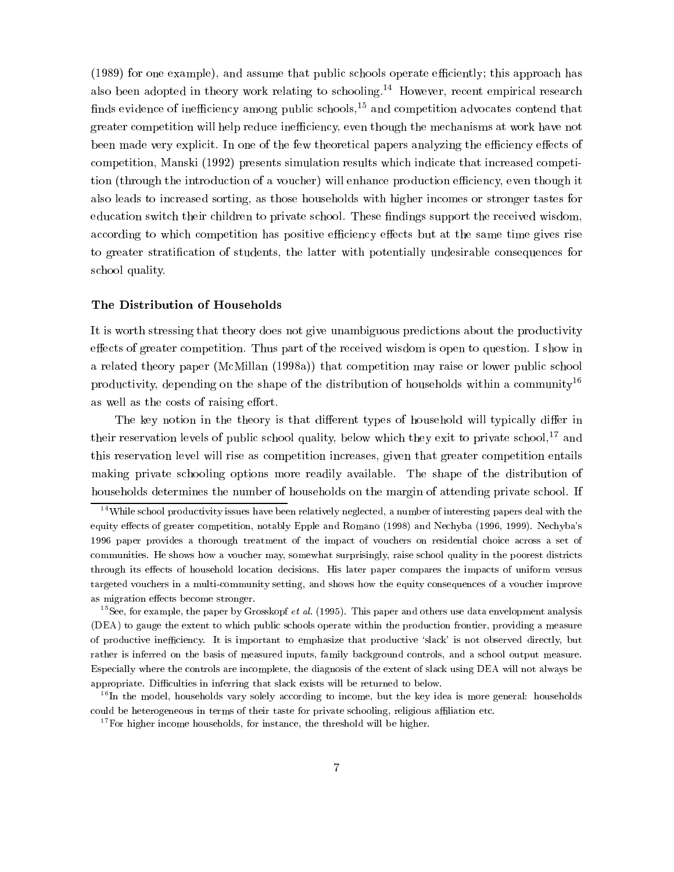(1989) for one example), and assume that public schools operate efficiently; this approach has also been adopted in theory work relating to schooling.<sup>14</sup> However, recent empirical research finds evidence of inefficiency among public schools,<sup>15</sup> and competition advocates contend that greater competition will help reduce inefficiency, even though the mechanisms at work have not been made very explicit. In one of the few theoretical papers analyzing the efficiency effects of competition, Manski (1992) presents simulation results which indicate that increased competition (through the introduction of a voucher) will enhance production efficiency, even though it also leads to increased sorting, as those households with higher incomes or stronger tastes for education switch their children to private school. These findings support the received wisdom, according to which competition has positive efficiency effects but at the same time gives rise to greater stratication of students, the latter with potentially undesirable consequences for school quality.

#### The Distribution of Households

It is worth stressing that theory does not give unambiguous predictions about the productivity effects of greater competition. Thus part of the received wisdom is open to question. I show in a related theory paper (McMillan (1998a)) that competition may raise or lower public school productivity, depending on the shape of the distribution of households within a community<sup>16</sup> as well as the costs of raising effort.

The key notion in the theory is that different types of household will typically differ in their reservation levels of public school quality, below which they exit to private school,  $17$  and this reservation level will rise as competition increases, given that greater competition entails making private schooling options more readily available. The shape of the distribution of households determines the number of households on the margin of attending private school. If

 $14$ While school productivity issues have been relatively neglected, a number of interesting papers deal with the equity effects of greater competition, notably Epple and Romano (1998) and Nechyba (1996, 1999). Nechyba's 1996 paper provides a thorough treatment of the impact of vouchers on residential choice across a set of communities. He shows how a voucher may, somewhat surprisingly, raise school quality in the poorest districts through its effects of household location decisions. His later paper compares the impacts of uniform versus targeted vouchers in a multi-community setting, and shows how the equity consequences of a voucher improve as migration effects become stronger.

<sup>&</sup>lt;sup>15</sup>See, for example, the paper by Grosskopf *et al.* (1995). This paper and others use data envelopment analysis (DEA) to gauge the extent to which public schools operate within the production frontier, providing a measure of productive inefficiency. It is important to emphasize that productive 'slack' is not observed directly, but rather is inferred on the basis of measured inputs, family background controls, and a school output measure. Especially where the controls are incomplete, the diagnosis of the extent of slack using DEA will not always be appropriate. Difficulties in inferring that slack exists will be returned to below.

<sup>&</sup>lt;sup>16</sup>In the model, households vary solely according to income, but the key idea is more general: households could be heterogeneous in terms of their taste for private schooling, religious affiliation etc.

<sup>&</sup>lt;sup>17</sup>For higher income households, for instance, the threshold will be higher.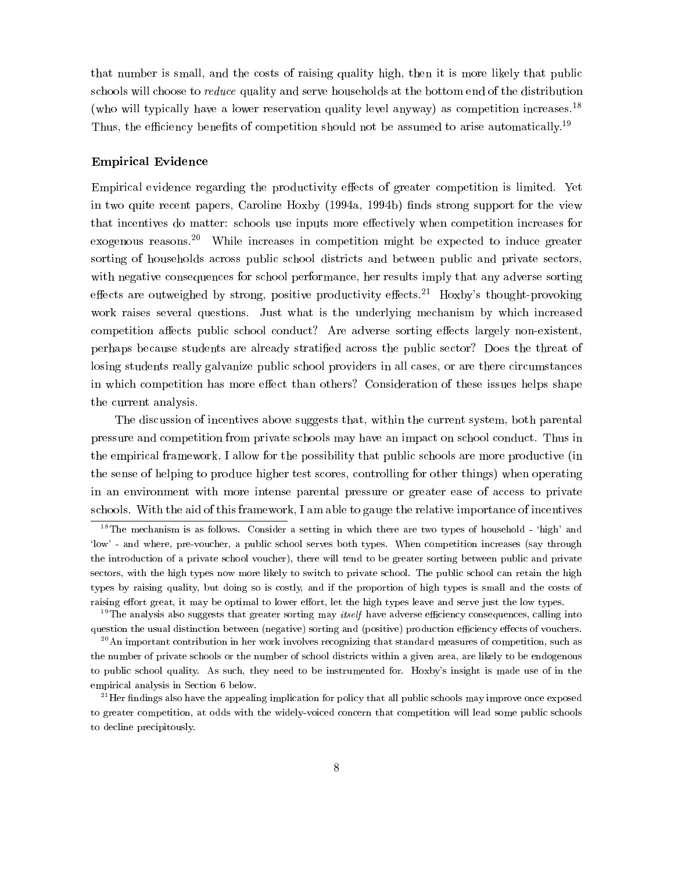that number is small, and the costs of raising quality high, then it is more likely that public schools will choose to reduce quality and serve households at the bottom end of the distribution (who will typically have a lower reservation quality level anyway) as competition increases.<sup>18</sup> Thus, the efficiency benefits of competition should not be assumed to arise automatically.<sup>19</sup>

#### Empirical Evidence

Empirical evidence regarding the productivity effects of greater competition is limited. Yet in two quite recent papers, Caroline Hoxby (1994a, 1994b) finds strong support for the view that incentives do matter: schools use inputs more effectively when competition increases for exogenous reasons.<sup>20</sup> While increases in competition might be expected to induce greater sorting of households across public school districts and between public and private sectors, with negative consequences for school performance, her results imply that any adverse sorting effects are outweighed by strong, positive productivity effects.<sup>21</sup> Hoxby's thought-provoking work raises several questions. Just what is the underlying mechanism by which increased competition affects public school conduct? Are adverse sorting effects largely non-existent, perhaps because students are already stratied across the public sector? Does the threat of losing students really galvanize public school providers in all cases, or are there circumstances in which competition has more effect than others? Consideration of these issues helps shape the current analysis.

The discussion of incentives above suggests that, within the current system, both parental pressure and competition from private schools may have an impact on school conduct. Thus in the empirical framework, I allow for the possibility that public schools are more productive (in the sense of helping to produce higher test scores, controlling for other things) when operating in an environment with more intense parental pressure or greater ease of access to private schools. With the aid of this framework, I am able to gauge the relative importance of incentives

<sup>&</sup>lt;sup>18</sup>The mechanism is as follows. Consider a setting in which there are two types of household - 'high' and `low' - and where, pre-voucher, a public school serves both types. When competition increases (say through the introduction of a private school voucher), there will tend to be greater sorting between public and private sectors, with the high types now more likely to switch to private school. The public school can retain the high types by raising quality, but doing so is costly, and if the proportion of high types is small and the costs of raising effort great, it may be optimal to lower effort, let the high types leave and serve just the low types.

 $19$ The analysis also suggests that greater sorting may *itself* have adverse efficiency consequences, calling into question the usual distinction between (negative) sorting and (positive) production efficiency effects of vouchers.

 $^{20}$ An important contribution in her work involves recognizing that standard measures of competition, such as the number of private schools or the number of school districts within a given area, are likely to be endogenous to public school quality. As such, they need to be instrumented for. Hoxby's insight is made use of in the empirical analysis in Section 6 below.

 $^{21}$ Her findings also have the appealing implication for policy that all public schools may improve once exposed to greater competition, at odds with the widely-voiced concern that competition will lead some public schools to decline precipitously.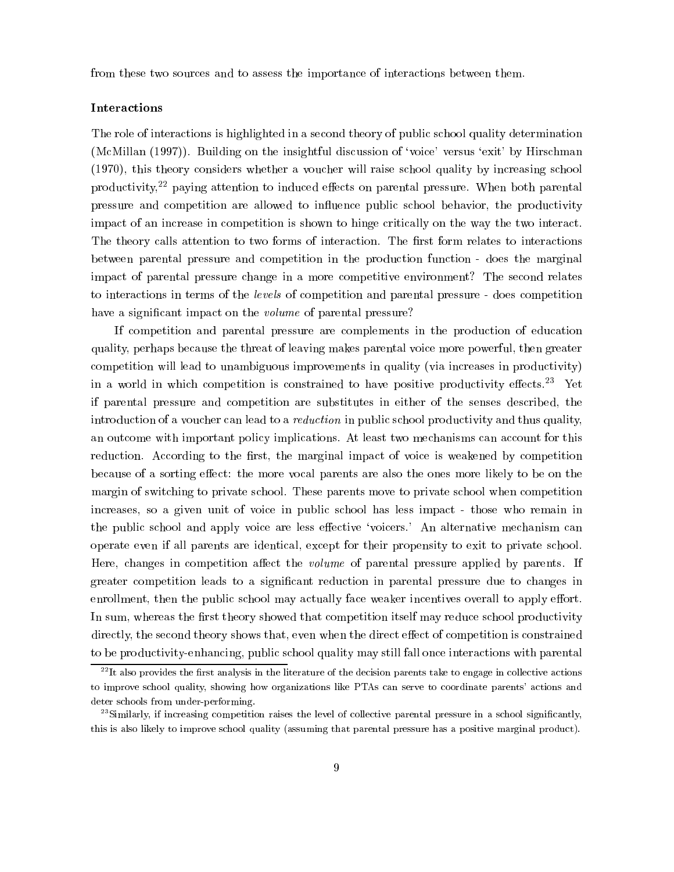from these two sources and to assess the importance of interactions between them.

#### **Interactions**

The role of interactions is highlighted in a second theory of public school quality determination (McMillan (1997)). Building on the insightful discussion of 'voice' versus 'exit' by Hirschman (1970), this theory considers whether a voucher will raise school quality by increasing school productivity, $2^2$  paying attention to induced effects on parental pressure. When both parental pressure and competition are allowed to influence public school behavior, the productivity impact of an increase in competition is shown to hinge critically on the way the two interact. The theory calls attention to two forms of interaction. The first form relates to interactions between parental pressure and competition in the production function - does the marginal impact of parental pressure change in a more competitive environment? The second relates to interactions in terms of the levels of competition and parental pressure - does competition have a significant impact on the *volume* of parental pressure?

If competition and parental pressure are complements in the production of education quality, perhaps because the threat of leaving makes parental voice more powerful, then greater competition will lead to unambiguous improvements in quality (via increases in productivity) in a world in which competition is constrained to have positive productivity effects.<sup>23</sup> Yet if parental pressure and competition are substitutes in either of the senses described, the introduction of a voucher can lead to a reduction in public school productivity and thus quality, an outcome with important policy implications. At least two mechanisms can account for this reduction. According to the first, the marginal impact of voice is weakened by competition because of a sorting effect: the more vocal parents are also the ones more likely to be on the margin of switching to private school. These parents move to private school when competition increases, so a given unit of voice in public school has less impact - those who remain in the public school and apply voice are less effective 'voicers.' An alternative mechanism can operate even if all parents are identical, except for their propensity to exit to private school. Here, changes in competition affect the *volume* of parental pressure applied by parents. If greater competition leads to a signicant reduction in parental pressure due to changes in enrollment, then the public school may actually face weaker incentives overall to apply effort. In sum, whereas the first theory showed that competition itself may reduce school productivity directly, the second theory shows that, even when the direct effect of competition is constrained to be productivity-enhancing, public school quality may still fall once interactions with parental

 $^{22}$ It also provides the first analysis in the literature of the decision parents take to engage in collective actions to improve school quality, showing how organizations like PTAs can serve to coordinate parents' actions and deter schools from under-performing.

 $^{23}$ Similarly, if increasing competition raises the level of collective parental pressure in a school significantly, this is also likely to improve school quality (assuming that parental pressure has a positive marginal product).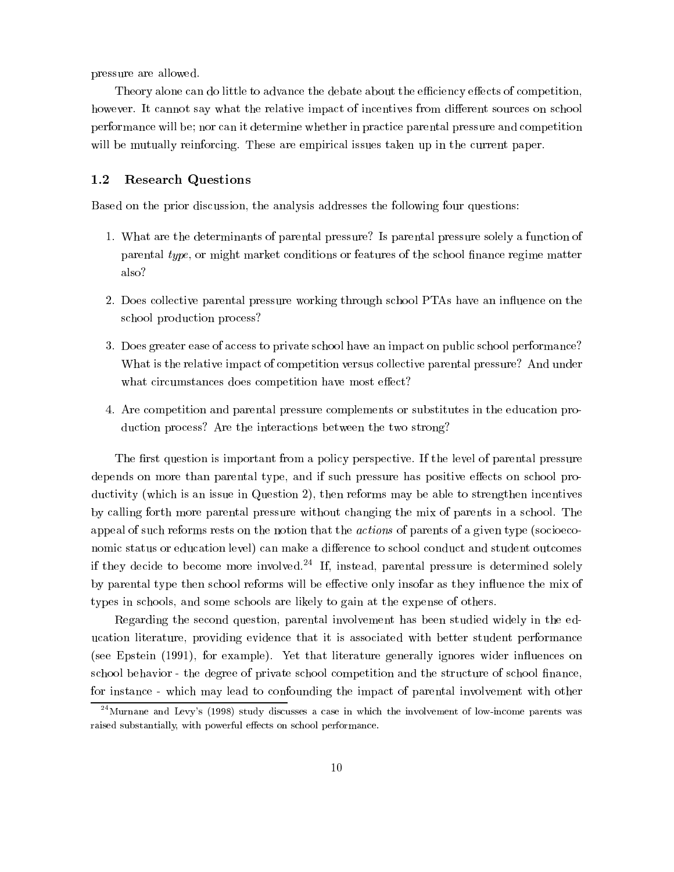pressure are allowed.

Theory alone can do little to advance the debate about the efficiency effects of competition, however. It cannot say what the relative impact of incentives from different sources on school performance will be; nor can it determine whether in practice parental pressure and competition will be mutually reinforcing. These are empirical issues taken up in the current paper.

## 1.2 Research Questions

Based on the prior discussion, the analysis addresses the following four questions:

- 1. What are the determinants of parental pressure? Is parental pressure solely a function of parental type, or might market conditions or features of the school finance regime matter also?
- 2. Does collective parental pressure working through school PTAs have an influence on the school production process?
- 3. Does greater ease of access to private school have an impact on public school performance? What is the relative impact of competition versus collective parental pressure? And under what circumstances does competition have most effect?
- 4. Are competition and parental pressure complements or substitutes in the education production process? Are the interactions between the two strong?

The first question is important from a policy perspective. If the level of parental pressure depends on more than parental type, and if such pressure has positive effects on school productivity (which is an issue in Question 2), then reforms may be able to strengthen incentives by calling forth more parental pressure without changing the mix of parents in a school. The appeal of such reforms rests on the notion that the actions of parents of a given type (socioeconomic status or education level) can make a difference to school conduct and student outcomes if they decide to become more involved.<sup>24</sup> If, instead, parental pressure is determined solely by parental type then school reforms will be effective only insofar as they influence the mix of types in schools, and some schools are likely to gain at the expense of others.

Regarding the second question, parental involvement has been studied widely in the education literature, providing evidence that it is associated with better student performance (see Epstein (1991), for example). Yet that literature generally ignores wider in
uences on school behavior - the degree of private school competition and the structure of school finance, for instance - which may lead to confounding the impact of parental involvement with other

 $^{24}$ Murnane and Levy's (1998) study discusses a case in which the involvement of low-income parents was raised substantially, with powerful effects on school performance.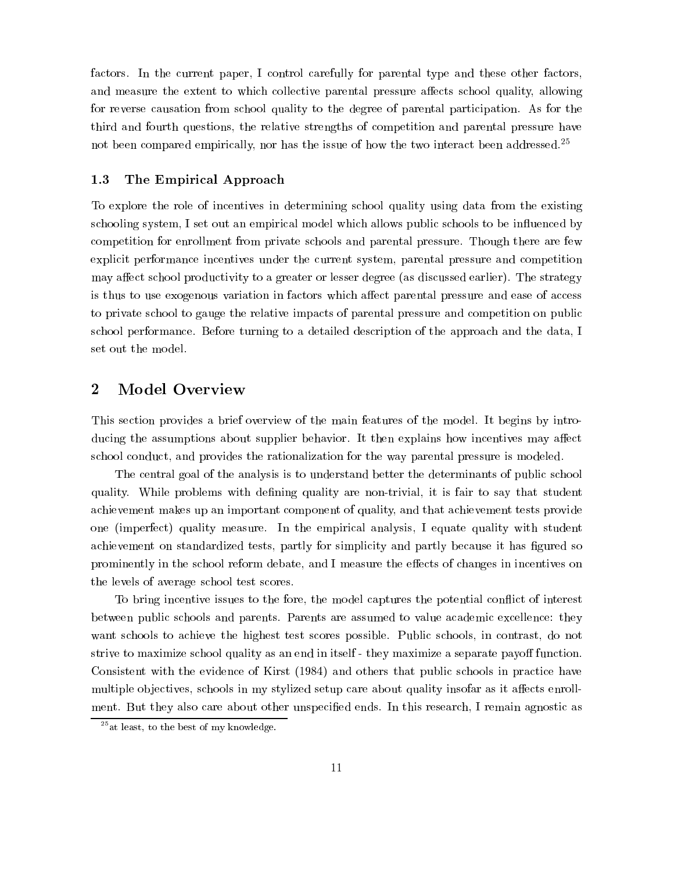factors. In the current paper, I control carefully for parental type and these other factors, and measure the extent to which collective parental pressure affects school quality, allowing for reverse causation from school quality to the degree of parental participation. As for the third and fourth questions, the relative strengths of competition and parental pressure have not been compared empirically, nor has the issue of how the two interact been addressed.25

#### 1.3 The Empirical Approach

To explore the role of incentives in determining school quality using data from the existing schooling system, I set out an empirical model which allows public schools to be influenced by competition for enrollment from private schools and parental pressure. Though there are few explicit performance incentives under the current system, parental pressure and competition may affect school productivity to a greater or lesser degree (as discussed earlier). The strategy is thus to use exogenous variation in factors which affect parental pressure and ease of access to private school to gauge the relative impacts of parental pressure and competition on public school performance. Before turning to a detailed description of the approach and the data, I set out the model.

# 2 Model Overview

This section provides a brief overview of the main features of the model. It begins by introducing the assumptions about supplier behavior. It then explains how incentives may affect school conduct, and provides the rationalization for the way parental pressure is modeled.

The central goal of the analysis is to understand better the determinants of public school quality. While problems with defining quality are non-trivial, it is fair to say that student achievement makes up an important component of quality, and that achievement tests provide one (imperfect) quality measure. In the empirical analysis, I equate quality with student achievement on standardized tests, partly for simplicity and partly because it has figured so prominently in the school reform debate, and I measure the effects of changes in incentives on the levels of average school test scores.

To bring incentive issues to the fore, the model captures the potential con
ict of interest between public schools and parents. Parents are assumed to value academic excellence: they want schools to achieve the highest test scores possible. Public schools, in contrast, do not strive to maximize school quality as an end in itself - they maximize a separate payoff function. Consistent with the evidence of Kirst (1984) and others that public schools in practice have multiple objectives, schools in my stylized setup care about quality insofar as it affects enrollment. But they also care about other unspecied ends. In this research, I remain agnostic as

 $25$ at least, to the best of my knowledge.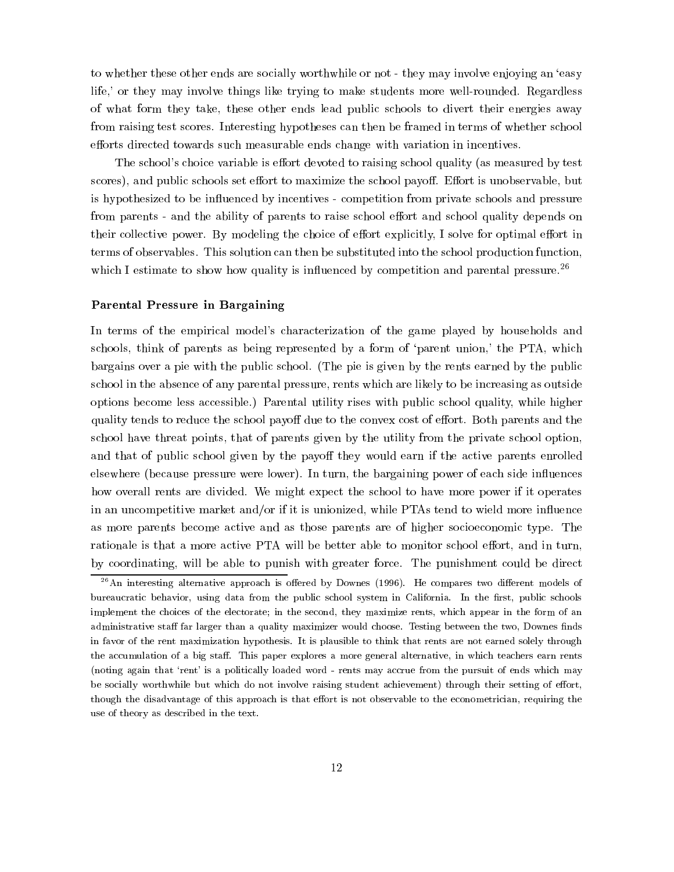to whether these other ends are socially worthwhile or not - they may involve enjoying an 'easy life,' or they may involve things like trying to make students more well-rounded. Regardless of what form they take, these other ends lead public schools to divert their energies away from raising test scores. Interesting hypotheses can then be framed in terms of whether school efforts directed towards such measurable ends change with variation in incentives.

The school's choice variable is effort devoted to raising school quality (as measured by test scores), and public schools set effort to maximize the school payoff. Effort is unobservable, but is hypothesized to be influenced by incentives - competition from private schools and pressure from parents - and the ability of parents to raise school effort and school quality depends on their collective power. By modeling the choice of effort explicitly, I solve for optimal effort in terms of observables. This solution can then be substituted into the school production function, which I estimate to show how quality is influenced by competition and parental pressure.<sup>26</sup>

#### Parental Pressure in Bargaining

In terms of the empirical model's characterization of the game played by households and schools, think of parents as being represented by a form of 'parent union,' the PTA, which bargains over a pie with the public school. (The pie is given by the rents earned by the public school in the absence of any parental pressure, rents which are likely to be increasing as outside options become less accessible.) Parental utility rises with public school quality, while higher quality tends to reduce the school payoff due to the convex cost of effort. Both parents and the school have threat points, that of parents given by the utility from the private school option, and that of public school given by the payoff they would earn if the active parents enrolled elsewhere (because pressure were lower). In turn, the bargaining power of each side influences how overall rents are divided. We might expect the school to have more power if it operates in an uncompetitive market and/or if it is unionized, while PTAs tend to wield more influence as more parents become active and as those parents are of higher socioeconomic type. The rationale is that a more active PTA will be better able to monitor school effort, and in turn, by coordinating, will be able to punish with greater force. The punishment could be direct

 $^{26}$ An interesting alternative approach is offered by Downes (1996). He compares two different models of bureaucratic behavior, using data from the public school system in California. In the first, public schools implement the choices of the electorate; in the second, they maximize rents, which appear in the form of an administrative staff far larger than a quality maximizer would choose. Testing between the two, Downes finds in favor of the rent maximization hypothesis. It is plausible to think that rents are not earned solely through the accumulation of a big staff. This paper explores a more general alternative, in which teachers earn rents (noting again that `rent' is a politically loaded word - rents may accrue from the pursuit of ends which may be socially worthwhile but which do not involve raising student achievement) through their setting of effort, though the disadvantage of this approach is that effort is not observable to the econometrician, requiring the use of theory as described in the text.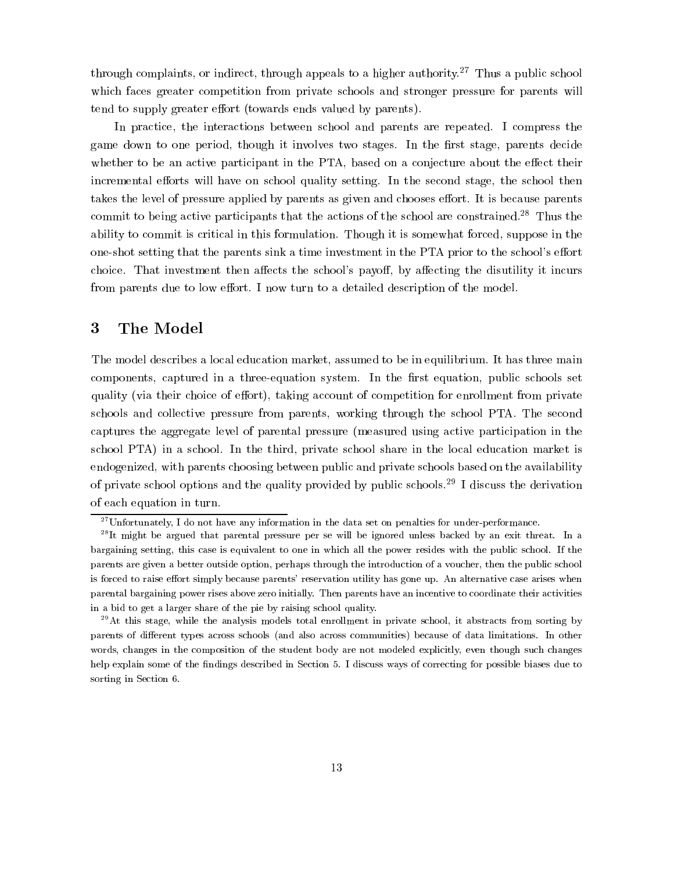through complaints, or indirect, through appeals to a higher authority.<sup>27</sup> Thus a public school which faces greater competition from private schools and stronger pressure for parents will tend to supply greater effort (towards ends valued by parents).

In practice, the interactions between school and parents are repeated. I compress the game down to one period, though it involves two stages. In the first stage, parents decide whether to be an active participant in the PTA, based on a conjecture about the effect their incremental efforts will have on school quality setting. In the second stage, the school then takes the level of pressure applied by parents as given and chooses effort. It is because parents commit to being active participants that the actions of the school are constrained.28 Thus the ability to commit is critical in this formulation. Though it is somewhat forced, suppose in the one-shot setting that the parents sink a time investment in the PTA prior to the school's effort choice. That investment then affects the school's payoff, by affecting the disutility it incurs from parents due to low effort. I now turn to a detailed description of the model.

#### 3 3 The Model

The model describes a local education market, assumed to be in equilibrium. It has three main components, captured in a three-equation system. In the first equation, public schools set quality (via their choice of effort), taking account of competition for enrollment from private schools and collective pressure from parents, working through the school PTA. The second captures the aggregate level of parental pressure (measured using active participation in the school PTA) in a school. In the third, private school share in the local education market is endogenized, with parents choosing between public and private schools based on the availability of private school options and the quality provided by public schools.<sup>29</sup> I discuss the derivation of each equation in turn.

 $27$ Unfortunately, I do not have any information in the data set on penalties for under-performance.

<sup>&</sup>lt;sup>--</sup>It might be argued that parental pressure per se will be ignored unless backed by an exit threat. In a bargaining setting, this case is equivalent to one in which all the power resides with the public school. If the parents are given a better outside option, perhaps through the introduction of a voucher, then the public school is forced to raise effort simply because parents' reservation utility has gone up. An alternative case arises when parental bargaining power rises above zero initially. Then parents have an incentive to coordinate their activities in a bid to get a larger share of the pie by raising school quality. in a bid to get a larger share of the pie by raising school quality.

 $29$ At this stage, while the analysis models total enrollment in private school, it abstracts from sorting by parents of different types across schools (and also across communities) because of data limitations. In other words, changes in the composition of the student body are not modeled explicitly, even though such changes help explain some of the findings described in Section 5. I discuss ways of correcting for possible biases due to sorting in Section 6.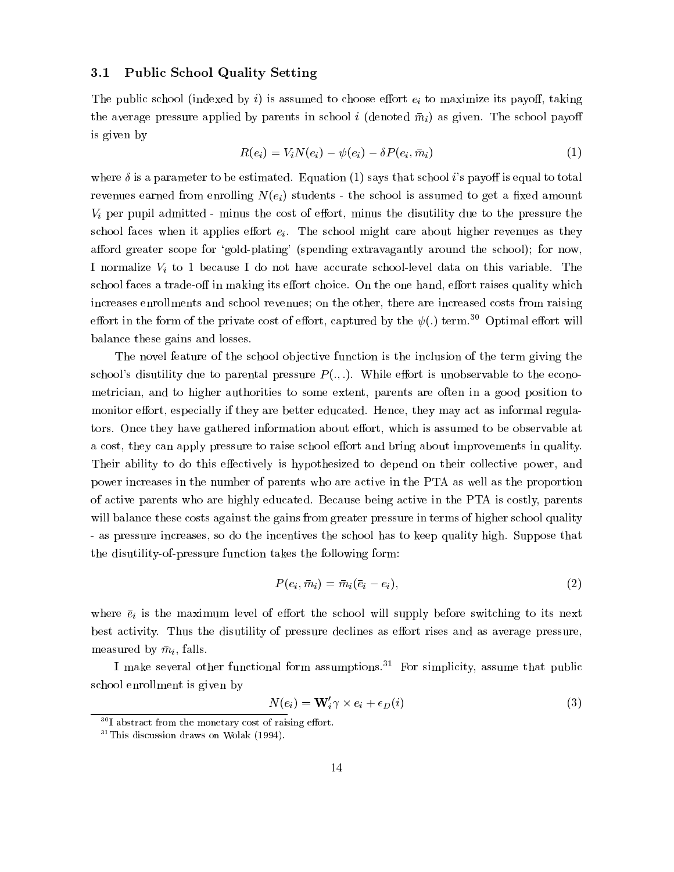#### 3.1 Public School Quality Setting

The public school (indexed by i) is assumed to choose effort  $e_i$  to maximize its payoff, taking the average pressure applied by parents in school <sup>i</sup> (denoted m i) as given. The school payo is given by

$$
R(e_i) = V_i N(e_i) - \psi(e_i) - \delta P(e_i, \bar{m}_i)
$$
\n<sup>(1)</sup>

where  $\delta$  is a parameter to be estimated. Equation (1) says that school i's payoff is equal to total revenues earned from enrolling  $N(e_i)$  students - the school is assumed to get a fixed amount  $V_i$  per pupil admitted - minus the cost of effort, minus the disutility due to the pressure the school faces when it applies effort  $e_i$ . The school might care about higher revenues as they afford greater scope for 'gold-plating' (spending extravagantly around the school); for now, I normalize  $V_i$  to 1 because I do not have accurate school-level data on this variable. The school faces a trade-off in making its effort choice. On the one hand, effort raises quality which increases enrollments and school revenues; on the other, there are increased costs from raising effort in the form of the private cost of effort, captured by the  $\psi(.)$  term.<sup>30</sup> Optimal effort will balance these gains and losses.

The novel feature of the school objective function is the inclusion of the term giving the school's disutility due to parental pressure  $P(.,.)$ . While effort is unobservable to the econometrician, and to higher authorities to some extent, parents are often in a good position to monitor effort, especially if they are better educated. Hence, they may act as informal regulators. Once they have gathered information about effort, which is assumed to be observable at a cost, they can apply pressure to raise school effort and bring about improvements in quality. Their ability to do this effectively is hypothesized to depend on their collective power, and power increases in the number of parents who are active in the PTA as well as the proportion of active parents who are highly educated. Because being active in the PTA is costly, parents will balance these costs against the gains from greater pressure in terms of higher school quality - as pressure increases, so do the incentives the school has to keep quality high. Suppose that the disutility-of-pressure function takes the following form:

$$
P(e_i, \bar{m}_i) = \bar{m}_i(\bar{e}_i - e_i), \tag{2}
$$

where  $\bar{e}_i$  is the maximum level of effort the school will supply before switching to its next best activity. Thus the disutility of pressure declines as effort rises and as average pressure, measured by m i, falls. The international control of the state of the state of the state of the state of the state of the state of the state of the state of the state of the state of the state of the state of the state of

I make several other functional form assumptions.<sup>31</sup> For simplicity, assume that public school enrollment is given by

$$
N(e_i) = \mathbf{W}'_i \gamma \times e_i + \epsilon_D(i) \tag{3}
$$

 $30I$  abstract from the monetary cost of raising effort.

 $31$ This discussion draws on Wolak (1994).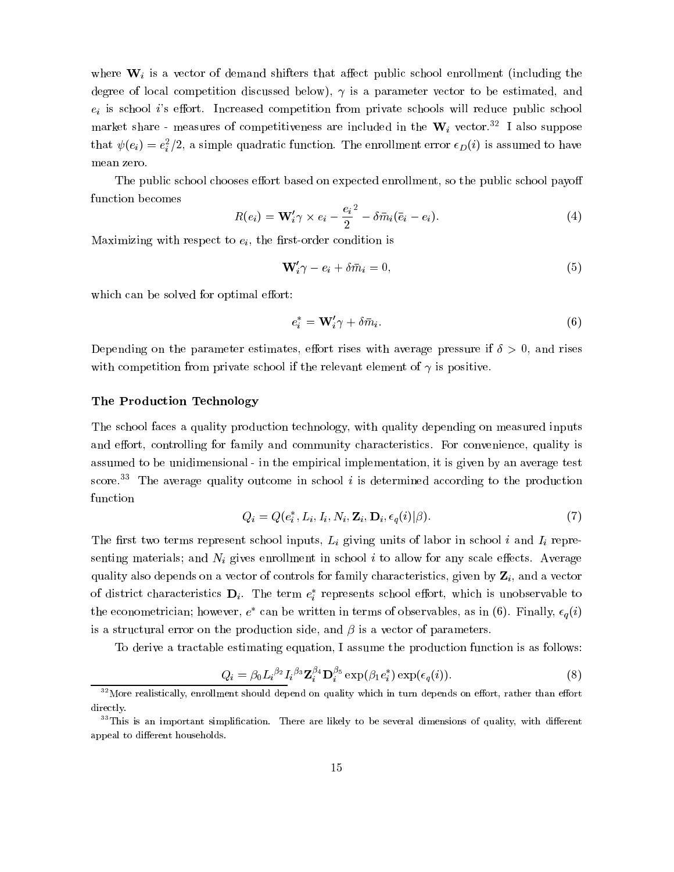where  $W_i$  is a vector of demand shifters that affect public school enrollment (including the degree of local competition discussed below),  $\gamma$  is a parameter vector to be estimated, and  $e_i$  is school *i*'s effort. Increased competition from private schools will reduce public school market share - measures of competitiveness are included in the  $W_i$  vector.<sup>32</sup> I also suppose that  $\psi(e_i) = e_i^-/2$ , a simple quadratic function. The enrollment error  $\epsilon_D(i)$  is assumed to have mean zero.

The public school chooses effort based on expected enrollment, so the public school payoff function becomes

$$
R(e_i) = \mathbf{W}'_i \gamma \times e_i - \frac{e_i^2}{2} - \delta \bar{m}_i (\bar{e}_i - e_i).
$$
 (4)

Maximizing with respect to  $e_i$ , the first-order condition is

$$
\mathbf{W}_{i}^{\prime}\gamma - e_{i} + \delta\bar{m}_{i} = 0, \tag{5}
$$

which can be solved for optimal effort:

$$
e_i^* = \mathbf{W}_i' \gamma + \delta \bar{m}_i. \tag{6}
$$

Depending on the parameter estimates, effort rises with average pressure if  $\delta > 0$ , and rises with competition from private school if the relevant element of  $\gamma$  is positive.

#### The Production Technology

The school faces a quality production technology, with quality depending on measured inputs and effort, controlling for family and community characteristics. For convenience, quality is assumed to be unidimensional - in the empirical implementation, it is given by an average test score.<sup>33</sup> The average quality outcome in school  $i$  is determined according to the production function

$$
Q_i = Q(e_i^*, L_i, I_i, N_i, \mathbf{Z}_i, \mathbf{D}_i, \epsilon_q(i)|\beta).
$$
\n<sup>(7)</sup>

The first two terms represent school inputs,  $L_i$  giving units of labor in school i and  $I_i$  representing materials; and  $N_i$  gives enrollment in school i to allow for any scale effects. Average quality also depends on a vector of controls for family characteristics, given by  $\mathbf{Z}_i$ , and a vector of district characteristics  $D_i$ . The term  $e_i$  represents school enort, which is unobservable to the econometrician; nowever,  $e^-$  can be written in terms of observables, as in (6). Finally,  $\epsilon_q$  (*i*) is a structural error on the production side, and  $\beta$  is a vector of parameters.

To derive a tractable estimating equation, I assume the production function is as follows:

$$
Q_i = \beta_0 L_i^{\beta_2} I_i^{\beta_3} \mathbf{Z}_i^{\beta_4} \mathbf{D}_i^{\beta_5} \exp(\beta_1 e_i^*) \exp(\epsilon_q(i)). \tag{8}
$$

 $32$ More realistically, enrollment should depend on quality which in turn depends on effort, rather than effort directly.

 $33$ This is an important simplification. There are likely to be several dimensions of quality, with different appeal to different households.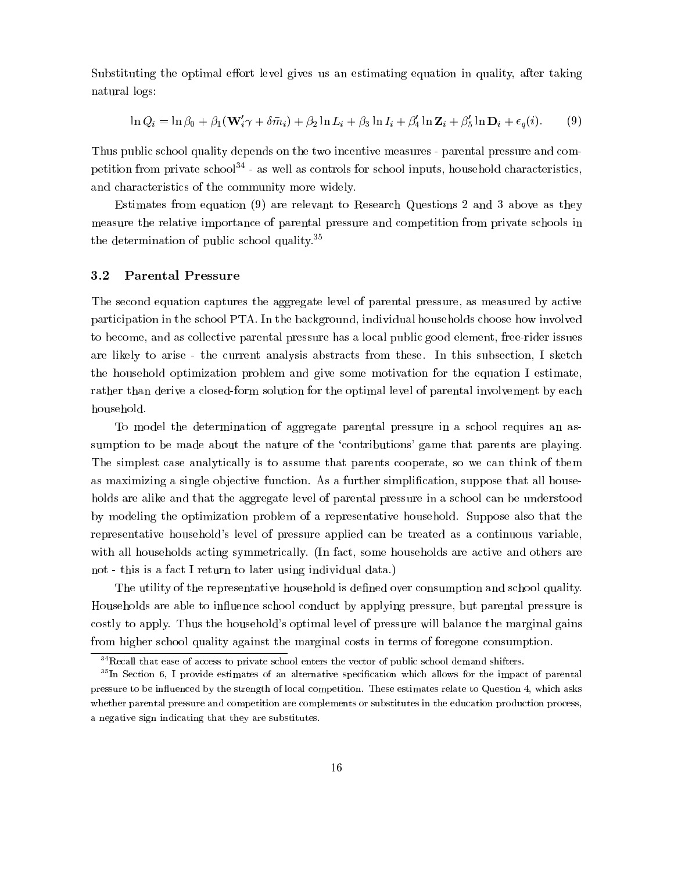Substituting the optimal effort level gives us an estimating equation in quality, after taking natural logs:

$$
\ln Q_i = \ln \beta_0 + \beta_1 (\mathbf{W}_i' \gamma + \delta \bar{m}_i) + \beta_2 \ln L_i + \beta_3 \ln I_i + \beta_4' \ln \mathbf{Z}_i + \beta_5' \ln \mathbf{D}_i + \epsilon_q(i). \tag{9}
$$

Thus public school quality depends on the two incentive measures - parental pressure and competition from private school<sup>34</sup> - as well as controls for school inputs, household characteristics, and characteristics of the community more widely.

Estimates from equation (9) are relevant to Research Questions 2 and 3 above as they measure the relative importance of parental pressure and competition from private schools in the determination of public school quality.35

#### 3.2 Parental Pressure

The second equation captures the aggregate level of parental pressure, as measured by active participation in the school PTA. In the background, individual households choose how involved to become, and as collective parental pressure has a local public good element, free-rider issues are likely to arise - the current analysis abstracts from these. In this subsection, I sketch the household optimization problem andgive some motivation for the equation I estimate, rather than derive a closed-form solution for the optimal level of parental involvement by each household.

To model the determination of aggregate parental pressure in a school requires an assumption to be made about the nature of the 'contributions' game that parents are playing. The simplest case analytically is to assume that parents cooperate, so we can think of them as maximizing a single objective function. As a further simplification, suppose that all households are alike and that the aggregate level of parental pressure in a school can be understood by modeling the optimization problem of a representative household. Suppose also that the representative household's level of pressure applied can be treated as a continuous variable, with all households acting symmetrically. (In fact, some households are active and others are not - this is a fact I return to later using individual data.)

The utility of the representative household is defined over consumption and school quality. Households are able to in
uence school conduct by applying pressure, but parental pressure is costly to apply. Thus the household's optimal level of pressure will balance the marginal gains from higher school quality against the marginal costs in terms of foregone consumption.

 $34$ Recall that ease of access to private school enters the vector of public school demand shifters.

<sup>&</sup>lt;sup>35</sup>In Section 6, I provide estimates of an alternative specification which allows for the impact of parental pressure to be influenced by the strength of local competition. These estimates relate to Question 4, which asks whether parental pressure and competition are complements or substitutes in the education production process, a negative sign indicating that they are substitutes.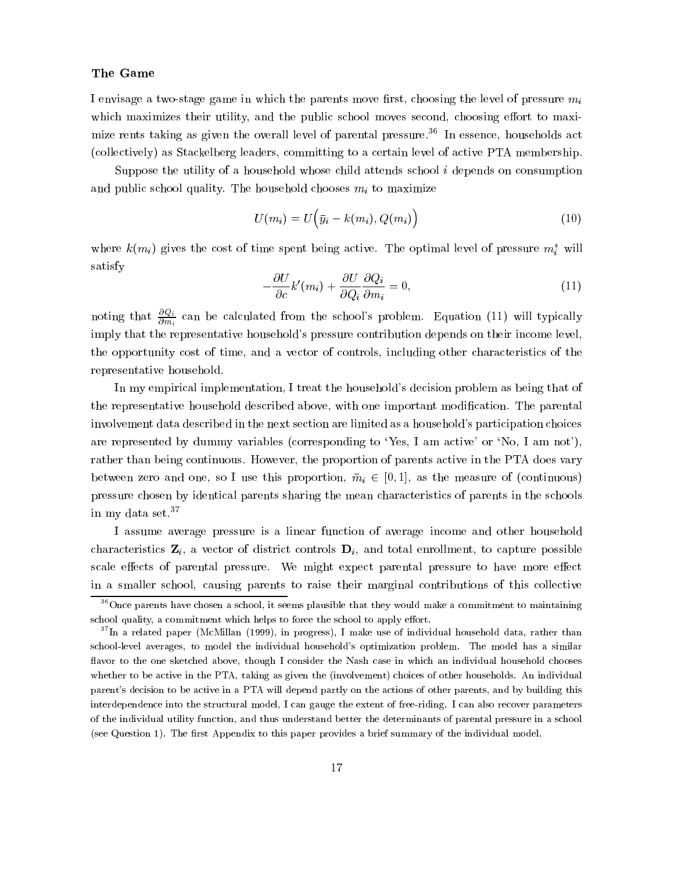#### The Game

I envisage a two-stage game in which the parents move first, choosing the level of pressure  $m_i$ which maximizes their utility, and the public school moves second, choosing effort to maximize rents taking as given the overall level of parental pressure.<sup>36</sup> In essence, households act (collectively) as Stackelberg leaders, committing to a certain level of active PTA membership.

Suppose the utility of a household whose child attends school <sup>i</sup> depends on consumption and public school quality. The household chooses  $m_i$  to maximize

$$
U(m_i) = U(\bar{y}_i - k(m_i), Q(m_i))
$$
\n(10)

where  $\kappa(m_i)$  gives the cost of time spent being active. The optimal level of pressure  $m_i$  will satisfy

$$
-\frac{\partial U}{\partial c}k'(m_i) + \frac{\partial U}{\partial Q_i}\frac{\partial Q_i}{\partial m_i} = 0,
$$
\n(11)

noting that  $\frac{\partial Q_i}{\partial m_i}$  can be calculated from the school's problem. Equation (11) will typically imply that the representative household's pressure contribution depends on their income level, the opportunity cost of time, and a vector of controls, including other characteristics of the representative household.

In my empirical implementation, I treat the household's decision problem as being that of the representative household described above, with one important modication. The parental involvement data described in the next section are limited as a household's participation choices are represented by dummy variables (corresponding to 'Yes, I am active' or 'No, I am not'), rather than being continuous. However, the proportion of parents active in the PTA does vary between zero and one, so I use this proportion, we in 2 [0; 1], as the measure of (continuous). pressure chosen by identical parents sharing the mean characteristics of parents in the schools in my data set.37

I assume average pressure is a linear function of average income and other household characteristics  $\mathbf{Z}_i$ , a vector of district controls  $\mathbf{D}_i$ , and total enrollment, to capture possible scale effects of parental pressure. We might expect parental pressure to have more effect in a smaller school, causing parents to raise their marginal contributions of this collective

<sup>36</sup>Once parents have chosen a school, it seems plausible that they would make a commitment to maintaining school quality, a commitment which helps to force the school to apply effort.

<sup>&</sup>lt;sup>37</sup>In a related paper (McMillan (1999), in progress), I make use of individual household data, rather than school-level averages, to model the individual household's optimization problem. The model has a similar flavor to the one sketched above, though I consider the Nash case in which an individual household chooses whether to be active in the PTA, taking as given the (involvement) choices of other households. An individual parent's decision to be active in a PTA will depend partly on the actions of other parents, and by building this interdependence into the structural model, I can gauge the extent of free-riding. I can also recover parameters of the individual utility function, and thus understand better the determinants of parental pressure in a school (see Question 1). The first Appendix to this paper provides a brief summary of the individual model.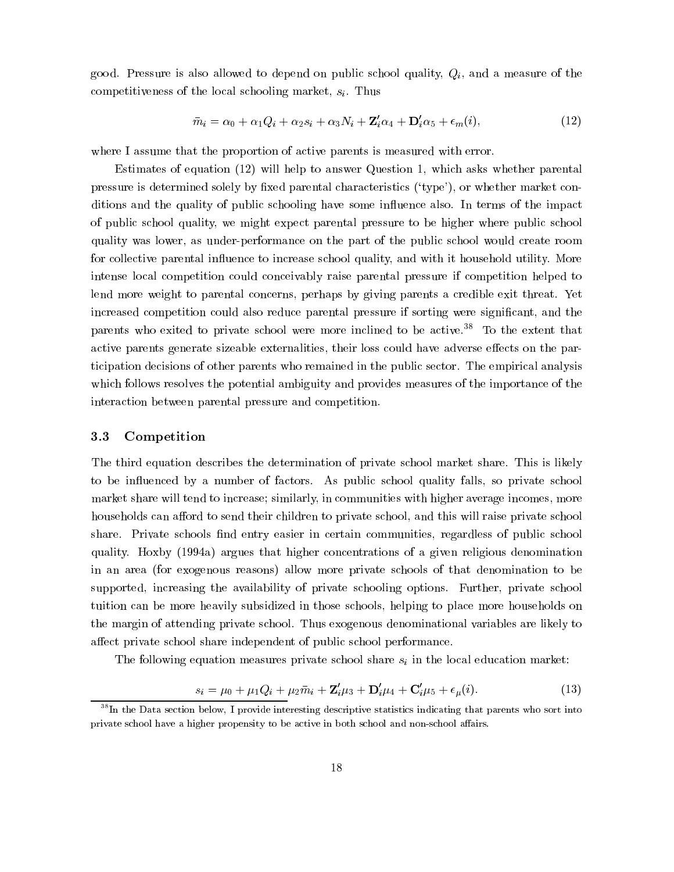good. Pressure is also allowed to depend on public school quality,  $Q_i$ , and a measure of the competitiveness of the local schooling market,  $s_i$ . Thus

$$
\bar{m}_i = \alpha_0 + \alpha_1 Q_i + \alpha_2 s_i + \alpha_3 N_i + \mathbf{Z}_i' \alpha_4 + \mathbf{D}_i' \alpha_5 + \epsilon_m(i), \tag{12}
$$

where I assume that the proportion of active parents is measured with error.

Estimates of equation (12) will help to answer Question 1, which asks whether parental pressure is determined solely by fixed parental characteristics  $('type'),$  or whether market conditions and the quality of public schooling have some influence also. In terms of the impact of public school quality, we might expect parental pressure to be higher where public school quality was lower, as under-performance on the part of the public school would create room for collective parental influence to increase school quality, and with it household utility. More intense local competition could conceivably raise parental pressure if competition helped to lend more weight to parental concerns, perhaps by giving parents a credible exit threat. Yet increased competition could also reduce parental pressure if sorting were significant, and the parents who exited to private school were more inclined to be active.<sup>38</sup> To the extent that active parents generate sizeable externalities, their loss could have adverse effects on the participation decisions of other parents who remained in the public sector. The empirical analysis which follows resolves the potential ambiguity and provides measures of the importance of the interaction between parental pressure and competition.

## 3.3 Competition

The third equation describes the determination of private school market share. This is likely to be in
uenced by a number of factors. As public school quality falls, so private school market share will tend to increase; similarly, in communities with higher average incomes, more households can afford to send their children to private school, and this will raise private school share. Private schools find entry easier in certain communities, regardless of public school quality. Hoxby (1994a) argues that higher concentrations of a given religious denomination in an area (for exogenous reasons) allow more private schools of that denomination to be supported, increasing the availability of private schooling options. Further, private school tuition can be more heavily subsidized in those schools, helping to place more households on the margin of attending private school. Thus exogenous denominational variables are likely to affect private school share independent of public school performance.

The following equation measures private school share  $s_i$  in the local education market:

$$
s_i = \mu_0 + \mu_1 Q_i + \mu_2 \bar{m}_i + \mathbf{Z}_i' \mu_3 + \mathbf{D}_i' \mu_4 + \mathbf{C}_i' \mu_5 + \epsilon_\mu(i). \tag{13}
$$

<sup>&</sup>lt;sup>38</sup>In the Data section below, I provide interesting descriptive statistics indicating that parents who sort into private school have a higher propensity to be active in both school and non-school affairs.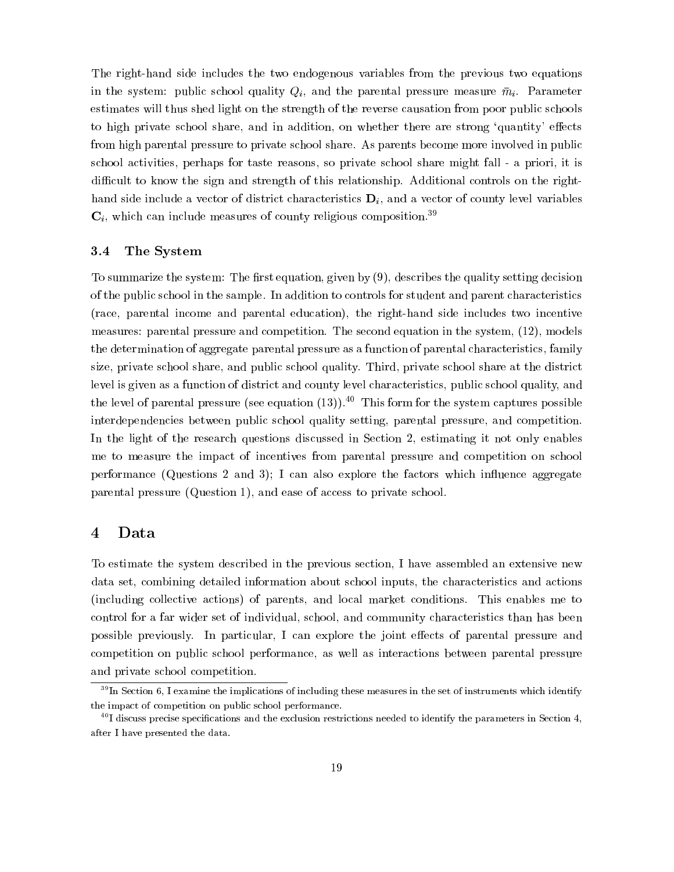The right-hand side includes the two endogenous variables from the previous two equations in the system: public school quality  $Q_i$ , and the parental pressure measure  $\bar{m}_i$ . Parameter estimates will thus shed light on the strength of the reverse causation from poor public schools to high private school share, and in addition, on whether there are strong 'quantity' effects from high parental pressure to private school share. As parents become more involved in public school activities, perhaps for taste reasons, so private school share might fall - a priori, it is difficult to know the sign and strength of this relationship. Additional controls on the righthand side include a vector of district characteristics  $\mathbf{D}_i$ , and a vector of county level variables  $\mathbf{C}_i$ , which can include measures of county religious composition.<sup>39</sup>

#### 3.4 The System

To summarize the system: The first equation, given by  $(9)$ , describes the quality setting decision of the public school in the sample. In addition to controls for student and parent characteristics (race, parental income and parental education), the right-hand side includes two incentive measures: parental pressure and competition. The second equation in the system, (12), models the determination of aggregate parental pressure as a function of parental characteristics, family size, private school share, and public school quality. Third, private school share at the district level is given as a function of district and county level characteristics, public school quality, and the level of parental pressure (see equation  $(13)$ ).<sup>40</sup> This form for the system captures possible interdependencies between public school quality setting, parental pressure, and competition. In the light of the research questions discussed in Section 2, estimating it not only enables me to measure the impact of incentives from parental pressure and competition on school performance (Questions 2 and 3); I can also explore the factors which influence aggregate parental pressure (Question 1), and ease of access to private school.

## 4 Data

To estimate the system described in the previous section, I have assembled an extensive new data set, combining detailed information about school inputs, the characteristics and actions (including collective actions) of parents, and local market conditions. This enables me to control for a far wider set of individual, school, and community characteristics than has been possible previously. In particular, I can explore the joint effects of parental pressure and competition on public school performance, as well as interactions between parental pressure and private school competition.

<sup>&</sup>lt;sup>39</sup>In Section 6, I examine the implications of including these measures in the set of instruments which identify the impact of competition on public school performance.

 $^\circ$  I discuss precise specifications and the exclusion restrictions needed to identify the parameters in Section 4, after I have presented the data.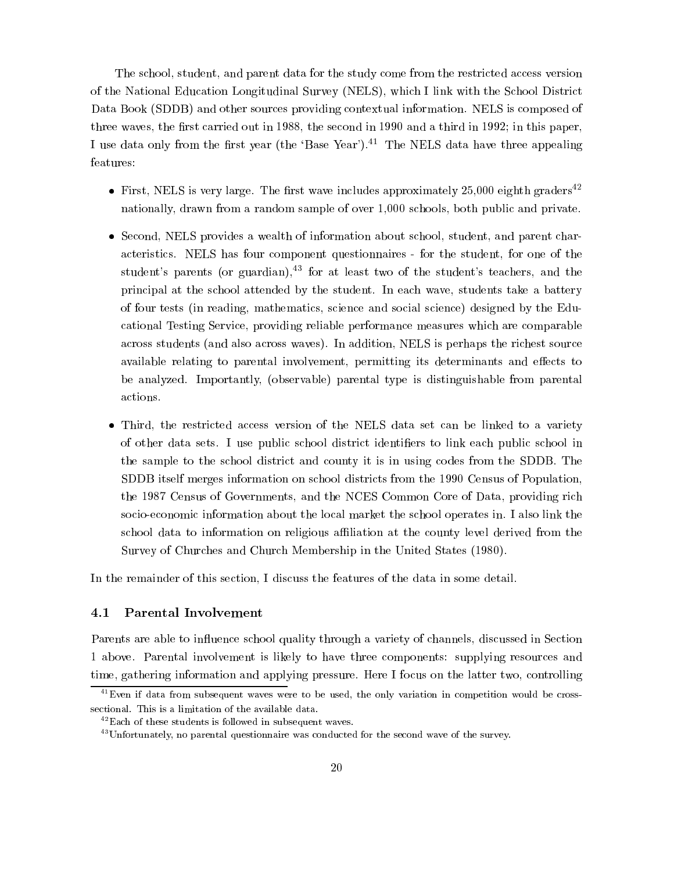The school, student, and parent data for the study come from the restricted access version of the National Education Longitudinal Survey (NELS), which I link with the School District Data Book (SDDB) and other sources providing contextual information. NELS is composed of three waves, the first carried out in  $1988$ , the second in 1990 and a third in 1992; in this paper, I use data only from the first year (the 'Base Year').<sup>41</sup> The NELS data have three appealing features:

- First, NELS is very large. The first wave includes approximately 25,000 eighth graders<sup>42</sup> nationally, drawn from a random sample of over 1,000 schools, both public and private.
- Second, NELS provides a wealth of information about school, student, and parent characteristics. NELS has four component questionnaires - for the student, for one of the student's parents (or guardian),  $43$  for at least two of the student's teachers, and the principal at the school attended by the student. In each wave, students take a battery of four tests (in reading, mathematics, science and social science) designed by the Educational Testing Service, providing reliable performance measures which are comparable across students (and also across waves). In addition, NELS is perhaps the richest source available relating to parental involvement, permitting its determinants and effects to be analyzed. Importantly, (observable) parental type is distinguishable from parental actions.
- Third, the restricted access version of the NELS data set can be linked to a variety of other data sets. I use public school district identiers to link each public school in the sample to the school district and county it is in using codes from the SDDB. The SDDB itself merges information on school districts from the 1990 Census of Population, the 1987 Census of Governments, and the NCES Common Core of Data, providing rich socio-economic information about the local market the school operates in. I also link the school data to information on religious affiliation at the county level derived from the Survey of Churches and Church Membership in the United States (1980).

In the remainder of this section, I discuss the features of the data in some detail.

## 4.1 Parental Involvement

Parents are able to influence school quality through a variety of channels, discussed in Section 1 above. Parental involvement is likely to have three components: supplying resources and time, gathering information and applying pressure. Here I focus on the latter two, controlling

<sup>&</sup>lt;sup>41</sup>Even if data from subsequent waves were to be used, the only variation in competition would be crosssectional. This is a limitation of the available data.

 $^{42}$ Each of these students is followed in subsequent waves.

<sup>&</sup>lt;sup>43</sup>Unfortunately, no parental questionnaire was conducted for the second wave of the survey.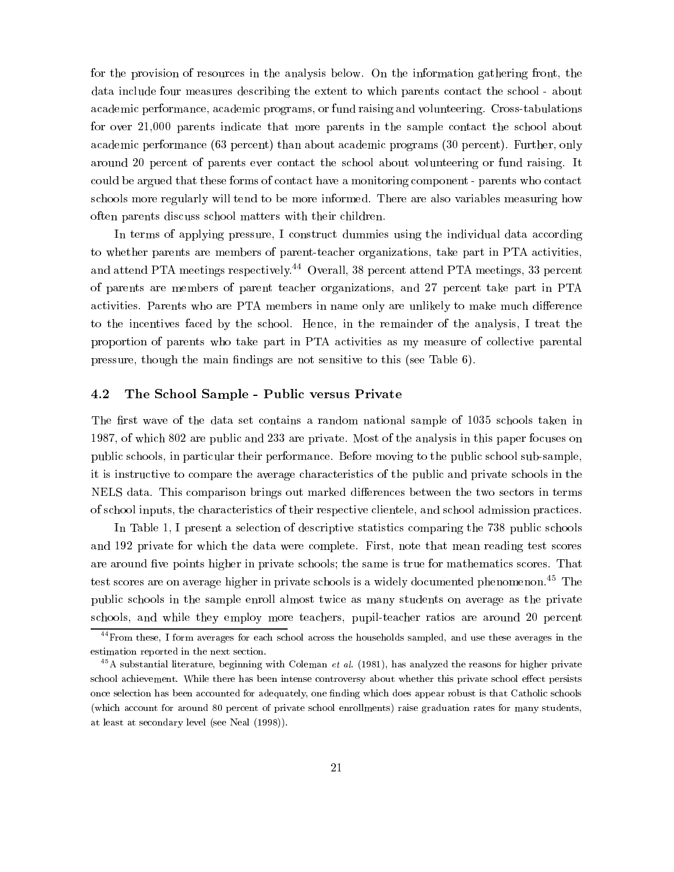for the provision of resources in the analysis below. On the information gathering front, the data include four measures describing the extent to which parents contact the school - about academic performance, academic programs, or fund raising and volunteering. Cross-tabulations for over 21,000 parents indicate that more parents in the sample contact the school about academic performance (63 percent) than about academic programs (30 percent). Further, only around 20 percent of parents ever contact the school about volunteering or fund raising. It could be argued that these forms of contact have a monitoring component - parents who contact schools more regularly will tend to be more informed. There are also variables measuring how often parents discuss school matters with their children.

In terms of applying pressure, I construct dummies using the individual data according to whether parents are members of parent-teacher organizations, take part in PTA activities, and attend PTA meetings respectively.<sup>44</sup> Overall, 38 percent attend PTA meetings, 33 percent of parents are members of parent teacher organizations, and 27 percent take part in PTA activities. Parents who are PTA members in name only are unlikely to make much difference to the incentives faced by the school. Hence, in the remainder of the analysis, I treat the proportion of parents who take part in PTA activities as my measure of collective parental pressure, though the main findings are not sensitive to this (see Table  $6$ ).

#### 4.2 The School Sample - Public versus Private

The first wave of the data set contains a random national sample of 1035 schools taken in 1987, of which 802 are public and 233 are private. Most of the analysis in this paper focuses on public schools, in particular their performance. Before moving to the public school sub-sample, it is instructive to compare the average characteristics of the public and private schools in the NELS data. This comparison brings out marked differences between the two sectors in terms of school inputs, the characteristics of their respective clientele, and school admission practices.

In Table 1, I present a selection of descriptive statistics comparing the 738 public schools and 192 private for which the data were complete. First, note that mean reading test scores are around five points higher in private schools; the same is true for mathematics scores. That test scores are on average higher in private schools is a widely documented phenomenon.<sup>45</sup> The public schools in the sample enroll almost twice as many students on average as the private schools, and while they employ more teachers, pupil-teacher ratios are around 20 percent

<sup>44</sup>From these, I form averages for each school across the households sampled, and use these averages in the estimation reported in the next section. estimation reported in the next section.

 $^{45}$ A substantial literature, beginning with Coleman *et al.* (1981), has analyzed the reasons for higher private school achievement. While there has been intense controversy about whether this private school effect persists once selection has been accounted for adequately, one finding which does appear robust is that Catholic schools (which account for around 80 percent of private school enrollments) raise graduation rates for many students, at least at secondary level (see Neal (1998)).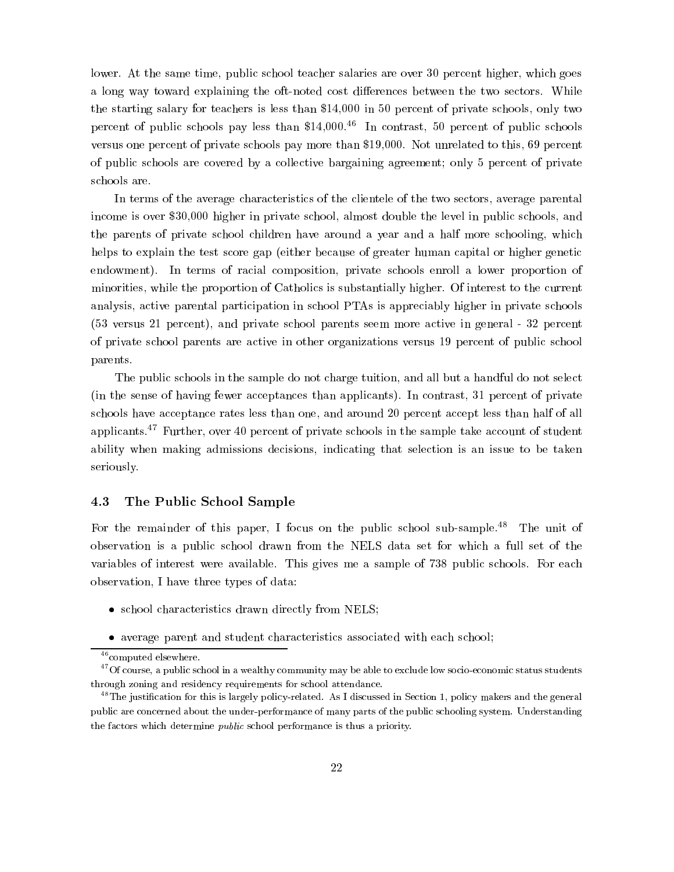lower. At the same time, public school teacher salaries are over 30 percent higher, which goes a long way toward explaining the oft-noted cost differences between the two sectors. While the starting salary for teachers is less than \$14,000 in 50 percent of private schools, only two percent of public schools pay less than  $$14,000<sup>46</sup>$  In contrast, 50 percent of public schools versus one percent of private schools pay more than \$19,000. Not unrelated to this, 69 percent of public schools are covered by a collective bargaining agreement; only 5 percent of private schools are.

In terms of the average characteristics of the clientele of the two sectors, average parental income is over \$30,000 higher in private school, almost double the level in public schools, and the parents of private school children have around a year and a half more schooling, which helps to explain the test score gap (either because of greater human capital or higher genetic endowment). In terms of racial composition, private schools enroll a lower proportion of minorities, while the proportion of Catholics is substantially higher. Of interest to the current analysis, active parental participation in school PTAs is appreciably higher in private schools (53 versus 21 percent), and private school parents seem more active in general - 32 percent of private school parents are active in other organizations versus 19 percent of public school parents.

The public schools in the sample do not charge tuition, and all but a handful do not select (in the sense of having fewer acceptances than applicants). In contrast, 31 percent of private schools have acceptance rates less than one, and around 20 percent accept less than half of all applicants.<sup>47</sup> Further, over 40 percent of private schools in the sample take account of student ability when making admissions decisions, indicating that selection is an issue to be taken seriously.

#### 4.3 The Public School Sample

For the remainder of this paper, I focus on the public school sub-sample.<sup>48</sup> The unit of observation isa public school drawn from the NELS data set for which a full set of the variables of interest were available. This gives me a sample of 738 public schools. For each observation, I have three types of data:

- school characteristics drawn directly from NELS;
- average parent and student characteristics associated with each school;

<sup>&</sup>lt;sup>46</sup>computed elsewhere.

 $^{47}$ Of course, a public school in a wealthy community may be able to exclude low socio-economic status students through zoning and residency requirements for school attendance.

 $48$ The justification for this is largely policy-related. As I discussed in Section 1, policy makers and the general public are concerned about the under-performance of many parts of the public schooling system. Understanding the factors which determine public school performance is thus a priority.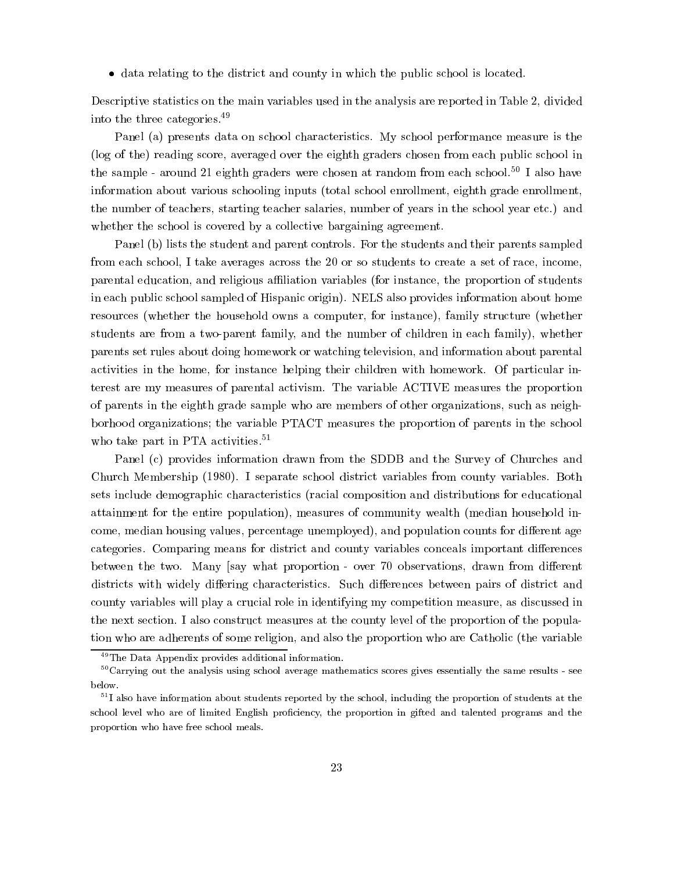data relating to the district and county in which the public school is located.

Descriptive statistics on the main variables used in the analysis are reported in Table 2, divided into the three categories.49

Panel (a) presents data on school characteristics. My school performance measure is the (log of the) reading score, averaged over the eighth graders chosen from each public school in the sample - around 21 eighth graders were chosen at random from each school.<sup>50</sup> I also have information about various schooling inputs (total school enrollment, eighth grade enrollment, the number of teachers, starting teacher salaries, number of years in the school year etc.) and whether the school is covered by a collective bargaining agreement.

Panel (b) lists the student and parent controls. For the students and their parents sampled from each school, I take averages across the 20 or so students to create a set of race, income, parental education, and religious aliation variables (for instance, the proportion of students in each public school sampled of Hispanic origin). NELS also provides information about home resources (whether the household owns a computer, for instance), family structure (whether students are from a two-parent family, and the number of children in each family), whether parents set rules about doing homework or watching television, and information about parental activities in the home, for instance helping their children with homework. Of particular interest are my measures of parental activism. The variable ACTIVE measures the proportion of parents in the eighth grade sample who are members of other organizations, such as neighborhood organizations; the variable PTACT measures the proportion of parents in the school who take part in PTA activities. $51$ 

Panel (c) provides information drawn from the SDDB and the Survey of Churches and Church Membership (1980). I separate school district variables from county variables. Both sets include demographic characteristics (racial composition and distributions for educational attainment for the entire population), measures of community wealth (median household income, median housing values, percentage unemployed), and population counts for different age categories. Comparing means for district and county variables conceals important differences between the two. Many [say what proportion - over 70 observations, drawn from different districts with widely differing characteristics. Such differences between pairs of district and county variables will play a crucial role in identifying my competition measure, as discussed in the next section. I also construct measures at the county level of the proportion of the population who are adherents of some religion, and also the proportion who are Catholic (the variable

<sup>49</sup>The Data Appendix provides additional information.

<sup>50</sup>Carrying out the analysis using school average mathematics scores gives essentially the same results - see below.

<sup>51</sup> I also have information about students reported by the school, including the proportion of students at the school level who are of limited English proficiency, the proportion in gifted and talented programs and the proportion who have free school meals.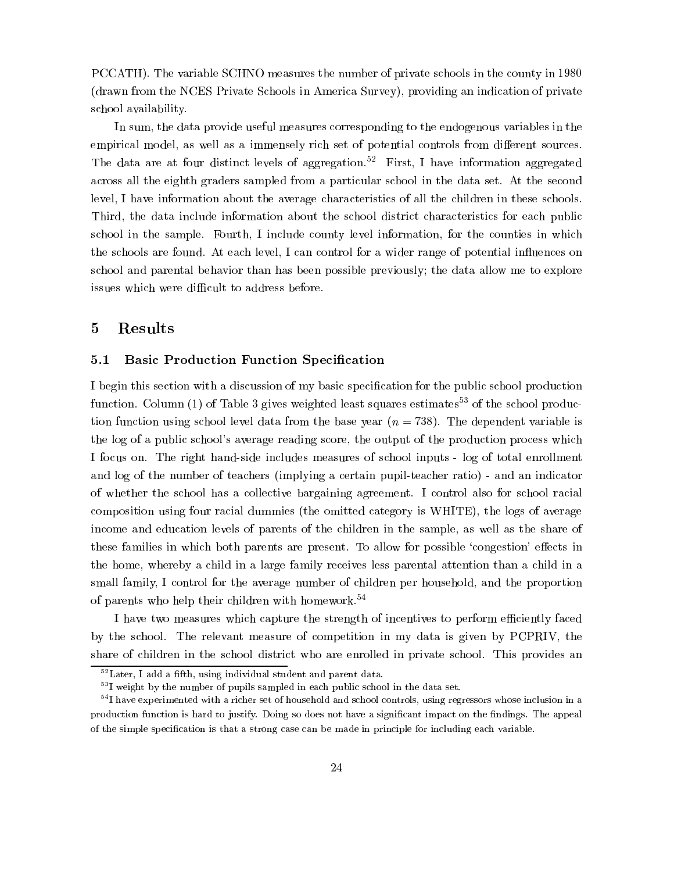PCCATH). The variable SCHNO measures the number of private schools in the county in 1980 (drawn from the NCES Private Schools in America Survey), providing an indication of private school availability.

In sum, the data provide useful measures corresponding to the endogenous variables in the empirical model, as well as a immensely rich set of potential controls from different sources. The data are at four distinct levels of aggregation.<sup>52</sup> First, I have information aggregated across all the eighth graders sampled from a particular school in the data set. At the second level, I have information about the average characteristics of all the children in these schools. Third, the data include information about the school district characteristics for each public school in the sample. Fourth, I include county level information, for the counties in which the schools are found. At each level, I can control for a wider range of potential influences on school and parental behavior than has been possible previously; the data allow me to explore issues which were difficult to address before.

#### $\overline{5}$ **Results**

#### 5.1 Basic Production Function Specication

I begin this section with a discussion of my basic specification for the public school production function. Column (1) of Table 3 gives weighted least squares estimates<sup>53</sup> of the school production function using school level data from the base year  $(n = 738)$ . The dependent variable is the log of a public school's average reading score, the output of the production process which I focus on. The right hand-side includes measures of school inputs - log of total enrollment and log of the number of teachers (implying a certain pupil-teacher ratio) - and an indicator of whether the school has a collective bargaining agreement. I control also for school racial composition using four racial dummies (the omitted category is WHITE), the logs of average income and education levels of parents of the children in the sample, as well as the share of these families in which both parents are present. To allow for possible 'congestion' effects in the home, whereby a child in a large family receives less parental attention than a child in a small family, I control for the average number of children per household, and the proportion of parents who help their children with homework.54

I have two measures which capture the strength of incentives to perform efficiently faced by the school. The relevant measure of competition in my data is given by PCPRIV, the share of children in the school district who are enrolled in private school. This provides an

 $52$ Later, I add a fifth, using individual student and parent data.

 $^\circ$  I weight by the number of pupils sampled in each public school in the data set.

 $^\circ$  I have experimented with a richer set of household and school controls, using regressors whose inclusion in a production function is hard to justify. Doing so does not have a significant impact on the findings. The appeal of the simple specication is that a strong case can be made in principle for including each variable.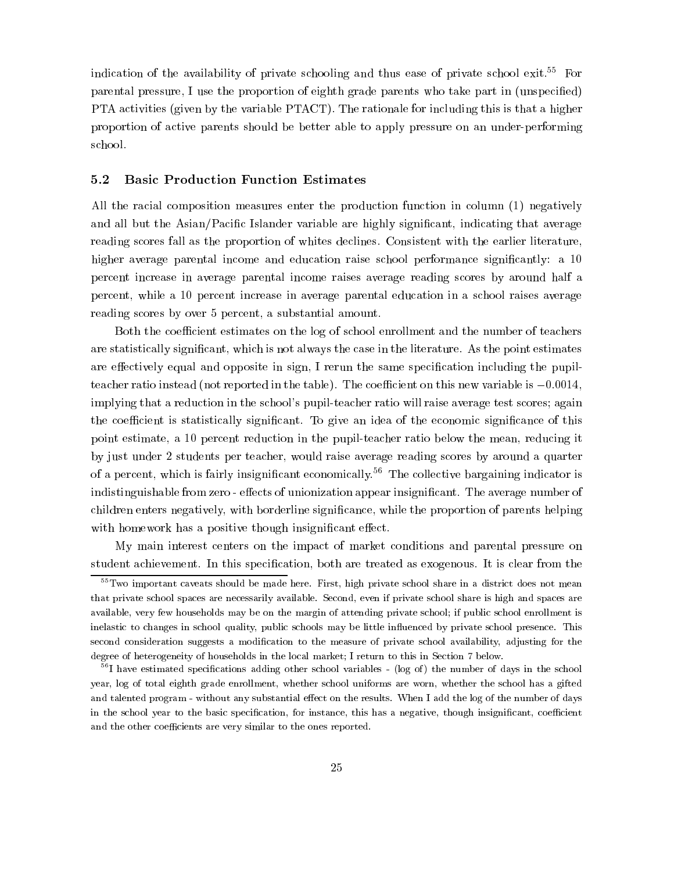indication of the availability of private schooling and thus ease of private school exit.<sup>55</sup> For parental pressure, I use the proportion of eighth grade parents who take part in (unspecied) PTA activities (given by the variable PTACT). The rationale for including this is that a higher proportion of active parents should be better able to apply pressure on an under-performing school.

#### 5.2 Basic Production Function Estimates

All the racial composition measures enter the production function in column (1) negatively and all but the Asian/Pacific Islander variable are highly significant, indicating that average reading scores fall as the proportion of whites declines. Consistent with the earlier literature, higher average parental income and education raise school performance significantly: a 10 percent increase in average parental income raises average reading scores by around half a percent, while a 10 percent increase in average parental education in a school raises average reading scores by over 5 percent, a substantial amount.

Both the coefficient estimates on the log of school enrollment and the number of teachers are statistically signicant, which is not always the case in the literature. As the point estimates are effectively equal and opposite in sign, I rerun the same specification including the pupilteacher ratio instead (not reported in the table). The coefficient on this new variable is  $-0.0014$ , implying that a reduction in the school's pupil-teacher ratio will raise average test scores; again the coefficient is statistically significant. To give an idea of the economic significance of this point estimate, a 10 percent reduction in the pupil-teacher ratio below the mean, reducing it by just under 2 students per teacher, would raise average reading scores by around a quarter of a percent, which is fairly insignificant economically.<sup>56</sup> The collective bargaining indicator is indistinguishable from zero - effects of unionization appear insignificant. The average number of children enters negatively, with borderline signicance, while the proportion of parents helping with homework has a positive though insignificant effect.

My main interest centers on the impact of market conditions and parental pressure on student achievement. In this specification, both are treated as exogenous. It is clear from the

<sup>&</sup>lt;sup>55</sup>Two important caveats should be made here. First, high private school share in a district does not mean that private school spaces are necessarily available. Second, even if private school share is high and spaces are available, very few households may be on the margin of attending private school; if public school enrollment is inelastic to changes in school quality, public schools may be little influenced by private school presence. This second consideration suggests a modification to the measure of private school availability, adjusting for the degree of heterogeneity of households in the local market; I return to this in Section 7 below.

<sup>&</sup>lt;sup>56</sup>I have estimated specifications adding other school variables - (log of) the number of days in the school year, log of total eighth grade enrollment, whether school uniforms are worn, whether the school has a gifted and talented program - without any substantial effect on the results. When I add the log of the number of days in the school year to the basic specification, for instance, this has a negative, though insignificant, coefficient and the other coefficients are very similar to the ones reported.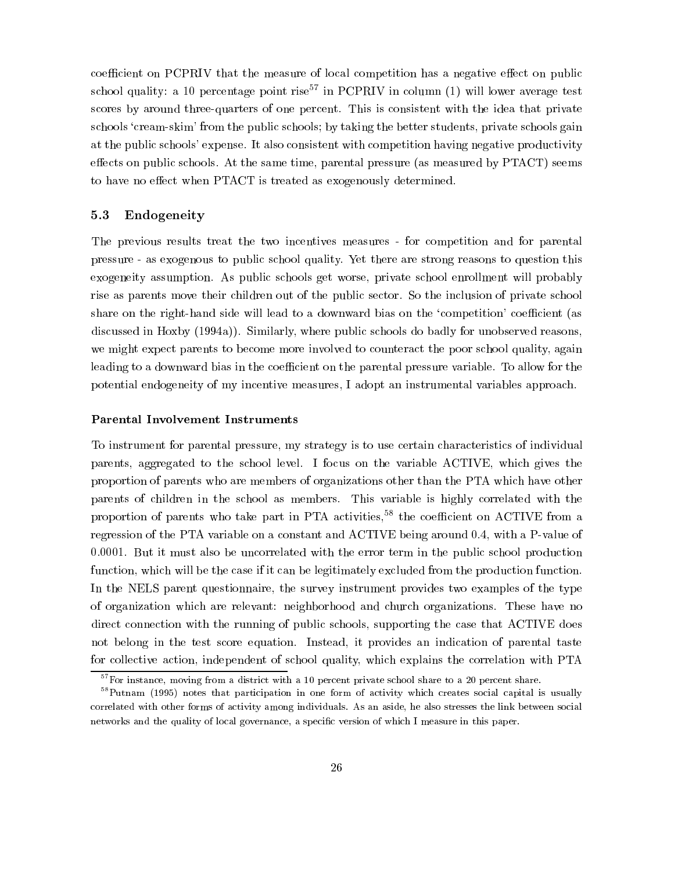coefficient on PCPRIV that the measure of local competition has a negative effect on public school quality: a 10 percentage point rise<sup>57</sup> in PCPRIV in column (1) will lower average test scores by around three-quarters of one percent. This is consistent with the idea that private schools 'cream-skim' from the public schools; by taking the better students, private schools gain at the public schools' expense. It also consistent with competition having negative productivity effects on public schools. At the same time, parental pressure (as measured by PTACT) seems to have no effect when PTACT is treated as exogenously determined.

## 5.3 Endogeneity

The previous results treat the two incentives measures - for competition and for parental pressure - as exogenous to public school quality. Yet there are strong reasons to question this exogeneity assumption. As public schools get worse, private school enrollment will probably rise as parents move their children out of the public sector. So the inclusion of private school share on the right-hand side will lead to a downward bias on the 'competition' coefficient (as discussed in Hoxby (1994a)). Similarly, where public schools do badly for unobserved reasons, we might expect parents to become more involved to counteract the poor school quality, again leading to a downward bias in the coefficient on the parental pressure variable. To allow for the potential endogeneity of my incentive measures, I adopt an instrumental variables approach.

#### Parental Involvement Instruments

To instrument for parental pressure, my strategy is to use certain characteristics of individual parents, aggregated to the school level. I focus on the variable ACTIVE, which gives the proportion of parents who are members of organizations other than the PTA which have other parents of children in the school as members. This variable is highly correlated with the proportion of parents who take part in PTA activities,<sup>58</sup> the coefficient on ACTIVE from a regression of the PTA variable on a constant and ACTIVE being around 0.4, with a P-value of 0.0001. But it must also be uncorrelated with the error term in the public school production function, which will be the case if it can be legitimately excluded from the production function. In the NELS parent questionnaire, the survey instrument provides two examples of the type of organization which are relevant: neighborhood and church organizations. These have no direct connection with the running of public schools, supporting the case that ACTIVE does not belong in the test score equation. Instead, it provides an indication of parental taste for collective action, independent of school quality, which explains the correlation with PTA

 $57$  For instance, moving from a district with a 10 percent private school share to a 20 percent share.

<sup>&</sup>lt;sup>58</sup>Putnam (1995) notes that participation in one form of activity which creates social capital is usually correlated with other forms of activity among individuals. As an aside, he also stresses the link between social networks and the quality of local governance, a specic version of which I measure in this paper.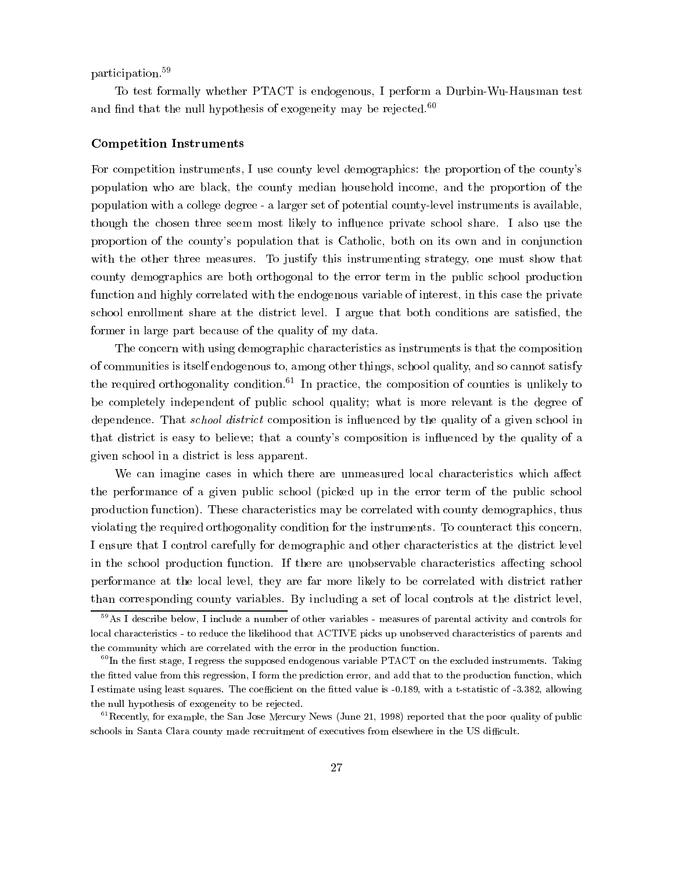participation.59

To test formally whether PTACT is endogenous, I perform a Durbin-Wu-Hausman test and find that the null hypothesis of exogeneity may be rejected. $60$ 

#### Competition Instruments

For competition instruments, I use county level demographics: the proportion of the county's population who are black, the county median household income, and the proportion of the population with a college degree - a larger set of potential county-level instruments is available, though the chosen three seem most likely to in
uence private school share. I also use the proportion of the county's population that is Catholic, both on its own and in conjunction with the other three measures. To justify this instrumenting strategy, one must show that county demographics are both orthogonal to the error term in the public school production function and highly correlated with the endogenous variable of interest, in this case the private school enrollment share at the district level. I argue that both conditions are satised, the former in large part because of the quality of my data.

The concern with using demographic characteristics as instruments is that the composition of communities is itself endogenous to, among other things, school quality, and so cannot satisfy the required orthogonality condition.<sup>61</sup> In practice, the composition of counties is unlikely to be completely independent of public school quality; what is more relevant is the degree of dependence. That *school district* composition is influenced by the quality of a given school in that district is easy to believe; that a county's composition is in
uenced by the quality of a given school in a district is less apparent.

We can imagine cases in which there are unmeasured local characteristics which affect the performance of a given public school (picked up in the error term of the public school production function). These characteristics may be correlated with county demographics, thus violating the required orthogonality condition for the instruments. To counteract this concern, I ensure that I control carefully for demographic and other characteristics at the district level in the school production function. If there are unobservable characteristics affecting school performance at the local level, they are far more likely to be correlated with district rather than corresponding county variables. By including a set of local controls at the district level,

<sup>59</sup>As I describe below, I include a number of other variables - measures of parental activity and controls for local characteristics - to reduce the likelihood that ACTIVE picks up unobserved characteristics of parents and the community which are correlated with the error in the production function.

 ${}^{60}$ In the first stage, I regress the supposed endogenous variable PTACT on the excluded instruments. Taking the fitted value from this regression, I form the prediction error, and add that to the production function, which I estimate using least squares. The coefficient on the fitted value is -0.189, with a t-statistic of -3.382, allowing the null hypothesis of exogeneity to be rejected.

 $^{61}$ Recently, for example, the San Jose Mercury News (June 21, 1998) reported that the poor quality of public schools in Santa Clara county made recruitment of executives from elsewhere in the US difficult.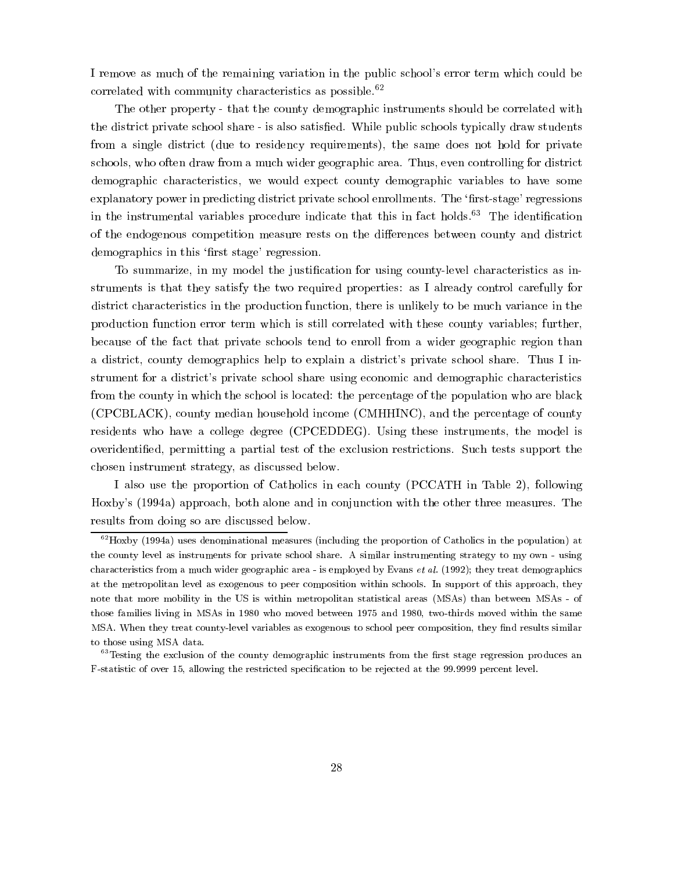I remove as much of the remaining variation in the public school's error term which could be correlated with community characteristics as possible. $62$ 

The other property - that the county demographic instruments should be correlated with the district private school share - is also satisfied. While public schools typically draw students from a single district (due to residency requirements), the same does not hold for private schools, who often draw from a much wider geographic area. Thus, even controlling for district demographic characteristics, we would expect county demographic variables to have some explanatory power in predicting district private school enrollments. The 'first-stage' regressions in the instrumental variables procedure indicate that this in fact holds.<sup>63</sup> The identification of the endogenous competition measure rests on the differences between county and district demographics in this 'first stage' regression.

To summarize, in my model the justification for using county-level characteristics as instruments is that they satisfy the two required properties: as I already control carefully for district characteristics in the production function, there is unlikely to be much variance in the production function error term which is still correlated with these county variables; further, because of the fact that private schools tend to enroll from a wider geographic region than a district, county demographics help to explain a district's private school share. Thus I instrument for a district's private school share using economic and demographic characteristics from the county in which the school is located: the percentage of the population who are black (CPCBLACK), county median household income (CMHHINC), and the percentage of county residents who have a college degree (CPCEDDEG). Using these instruments, the model is overidentied, permitting a partial test of the exclusion restrictions. Such tests support the chosen instrument strategy, as discussed below.

I also use the proportion of Catholics in each county (PCCATH in Table 2), following Hoxby's (1994a) approach, both alone and in conjunction with the other three measures. The results from doing so are discussed below.

 $62$  Hoxby (1994a) uses denominational measures (including the proportion of Catholics in the population) at the county level as instruments for private school share. A similar instrumenting strategy to my own - using characteristics from a much wider geographic area - is employed by Evans *et al.* (1992); they treat demographics at the metropolitan level as exogenous to peer composition within schools. In support of this approach, they note that more mobility in the US is within metropolitan statistical areas (MSAs) than between MSAs - of those families living in MSAs in 1980 who moved between 1975 and 1980, two-thirds moved within the same MSA. When they treat county-level variables as exogenous to school peer composition, they find results similar to those using MSA data.

 $63$ Testing the exclusion of the county demographic instruments from the first stage regression produces an F-statistic of over 15, allowing the restricted specication to be rejected at the 99.9999 percent level.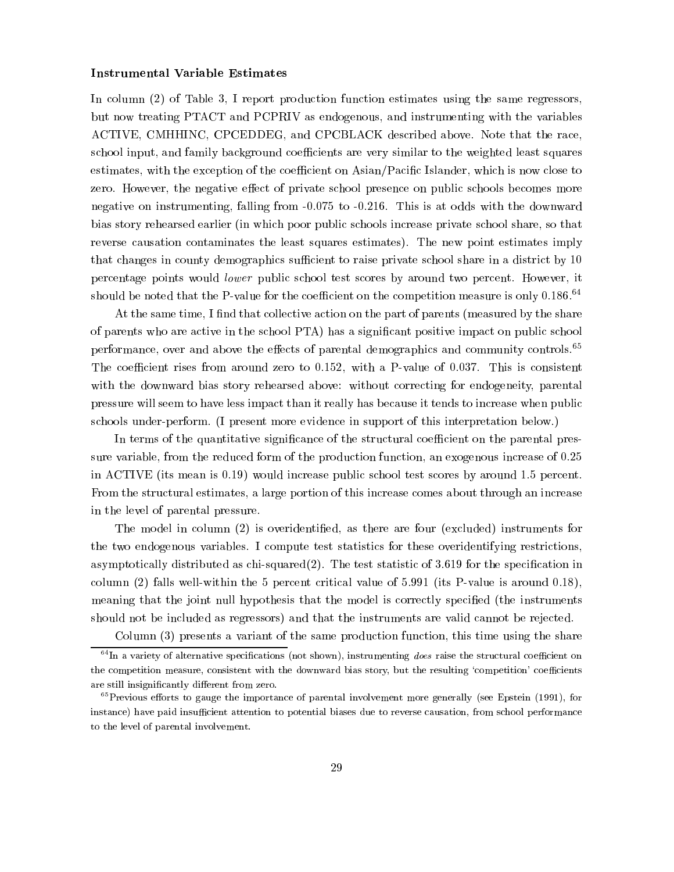#### Instrumental Variable Estimates

In column (2) of Table 3, I report production function estimates using the same regressors, but now treating PTACT and PCPRIV as endogenous, and instrumenting with the variables ACTIVE, CMHHINC, CPCEDDEG, and CPCBLACK described above. Note that the race, school input, and family background coefficients are very similar to the weighted least squares estimates, with the exception of the coefficient on Asian/Pacific Islander, which is now close to zero. However, the negative effect of private school presence on public schools becomes more negative on instrumenting, falling from -0.075 to -0.216. This is at odds with the downward bias story rehearsed earlier (in which poor public schools increase private school share, so that reverse causation contaminates the least squares estimates). The new point estimates imply that changes in county demographics sufficient to raise private school share in a district by 10 percentage points would lower public school test scores by around two percent. However, it should be noted that the P-value for the coefficient on the competition measure is only  $0.186<sup>64</sup>$ 

At the same time, I find that collective action on the part of parents (measured by the share of parents who are active in the school PTA) has a signicant positive impact on public school performance, over and above the effects of parental demographics and community controls.<sup>65</sup> The coefficient rises from around zero to  $0.152$ , with a P-value of 0.037. This is consistent with the downward bias story rehearsed above: without correcting for endogeneity, parental pressure will seem to have less impact than it really has because it tends to increase when public schools under-perform. (I present more evidence in support of this interpretation below.)

In terms of the quantitative significance of the structural coefficient on the parental pressure variable, from the reduced form of the production function, an exogenous increase of 0.25 in ACTIVE (its mean is 0.19) would increase public school test scores by around 1.5 percent. From the structural estimates, a large portion of this increase comes about through an increase in the level of parental pressure.

The model in column (2) is overidentied, as there are four (excluded) instruments for the two endogenous variables. I compute test statistics for these overidentifying restrictions, asymptotically distributed as  $chi$ -squared $(2)$ . The test statistic of 3.619 for the specification in column (2) falls well-within the 5 percent critical value of 5.991 (its P-value is around 0.18), meaning that the joint null hypothesis that the model is correctly specied (the instruments should not be included as regressors) and that the instruments are valid cannot be rejected.

Column (3) presents a variant of the same production function, this time using the share  $64$ In a variety of alternative specifications (not shown), instrumenting *does* raise the structural coefficient on

the competition measure, consistent with the downward bias story, but the resulting 'competition' coefficients are still insignificantly different from zero.

 $65$ Previous efforts to gauge the importance of parental involvement more generally (see Epstein (1991), for instance) have paid insufficient attention to potential biases due to reverse causation, from school performance to the level of parental involvement.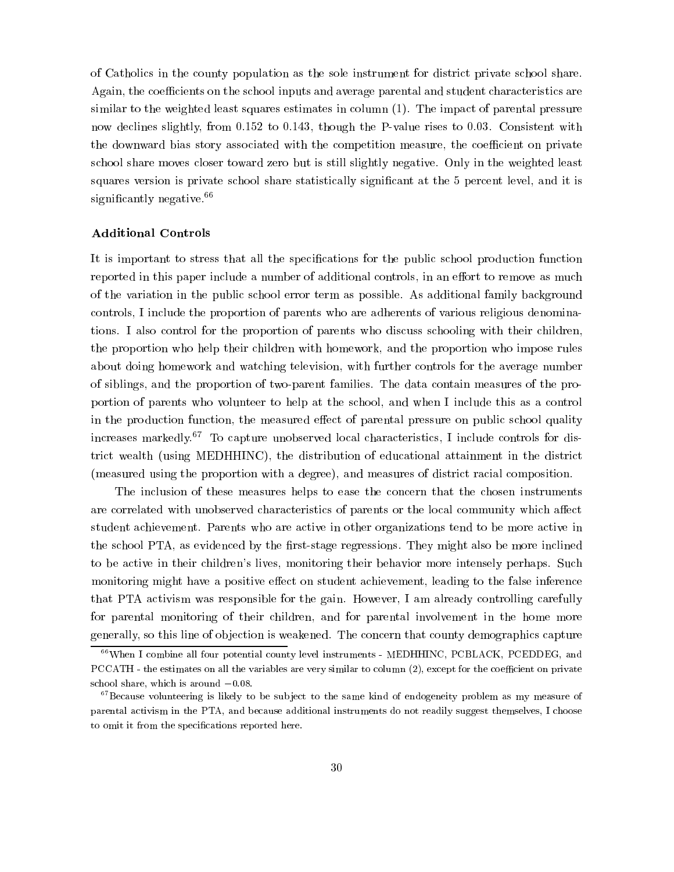of Catholics in the county population as the sole instrument for district private school share. Again, the coefficients on the school inputs and average parental and student characteristics are similar to the weighted least squares estimates in column (1). The impact of parental pressure now declines slightly, from 0.152 to 0.143, though the P-value rises to 0.03. Consistent with the downward bias story associated with the competition measure, the coefficient on private school share moves closer toward zero but is still slightly negative. Only in the weighted least squares version is private school share statistically significant at the 5 percent level, and it is significantly negative.<sup>66</sup>

#### Additional Controls

It is important to stress that all the specifications for the public school production function reported in this paper include a number of additional controls, in an effort to remove as much of the variation in the public school error term as possible. As additional family background controls, I include the proportion of parents who are adherents of various religious denominations. I also control for the proportion of parents who discuss schooling with their children, the proportion who help their children with homework, and the proportion who impose rules about doing homework and watching television, with further controls for the average number of siblings, and the proportion of two-parent families. The data contain measures of the proportion of parents who volunteer to help at the school, and when I include this as a control in the production function, the measured effect of parental pressure on public school quality increases markedly.<sup>67</sup> To capture unobserved local characteristics, I include controls for district wealth (using MEDHHINC), the distribution of educational attainment in the district (measured using the proportion with a degree), and measures of district racial composition.

The inclusion of these measures helps to ease the concern that the chosen instruments are correlated with unobserved characteristics of parents or the local community which affect student achievement. Parents who are active in other organizations tend to be more active in the school PTA, as evidenced by the first-stage regressions. They might also be more inclined to be active in their children's lives, monitoring their behavior more intensely perhaps. Such monitoring might have a positive effect on student achievement, leading to the false inference that PTA activism was responsible for the gain. However, I am already controlling carefully for parental monitoring of their children, and for parental involvement in the home more generally, so this line of objection is weakened. The concern that county demographics capture

<sup>66</sup>When I combine all four potential county level instruments - MEDHHINC, PCBLACK, PCEDDEG, and PCCATH - the estimates on all the variables are very similar to column (2), except for the coefficient on private school share, which is around  $-0.08$ .

 $67$ Because volunteering is likely to be subject to the same kind of endogeneity problem as my measure of parental activism in the PTA, and because additional instruments do not readily suggest themselves, I choose to omit it from the specifications reported here.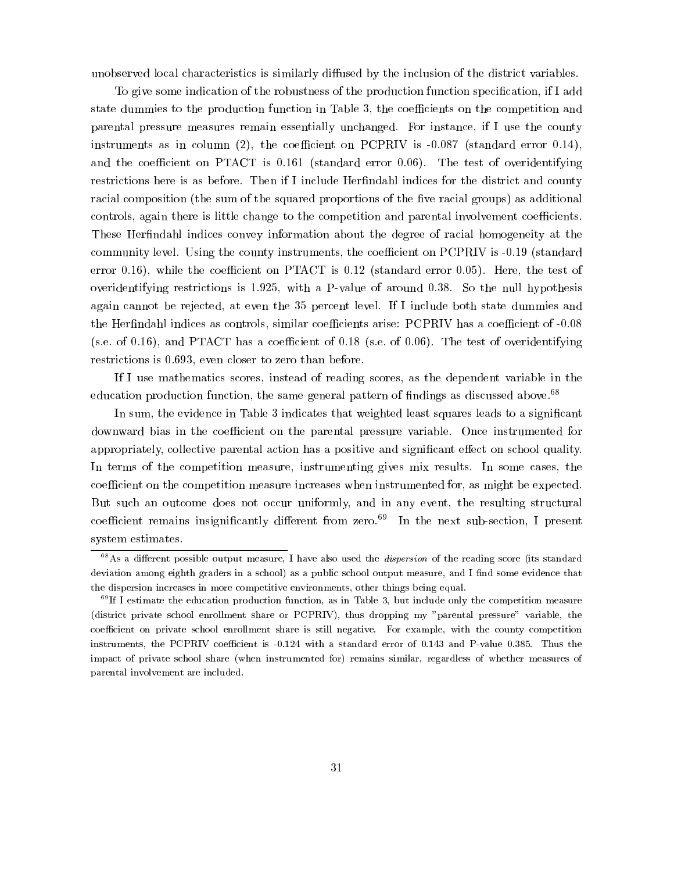unobserved local characteristics is similarly diffused by the inclusion of the district variables.

To give some indication of the robustness of the production function specification, if I add state dummies to the production function in Table 3, the coefficients on the competition and parental pressure measures remain essentially unchanged. For instance, if I use the county instruments as in column (2), the coefficient on PCPRIV is  $-0.087$  (standard error 0.14), and the coefficient on PTACT is  $0.161$  (standard error  $0.06$ ). The test of overidentifying restrictions here is as before. Then if I include Herfindahl indices for the district and county racial composition (the sum of the squared proportions of the five racial groups) as additional controls, again there is little change to the competition and parental involvement coefficients. These Herfindahl indices convey information about the degree of racial homogeneity at the community level. Using the county instruments, the coefficient on PCPRIV is -0.19 (standard error 0.16), while the coefficient on PTACT is  $0.12$  (standard error 0.05). Here, the test of overidentifying restrictions is 1.925, with a P-value of around 0.38. So the null hypothesis again cannot be rejected, at even the 35 percent level. If I include both state dummies and the Herfindahl indices as controls, similar coefficients arise: PCPRIV has a coefficient of -0.08 (s.e. of 0.16), and PTACT has a coefficient of 0.18 (s.e. of 0.06). The test of overidentifying restrictions is 0.693, even closer to zero than before.

If I use mathematics scores, instead of reading scores, as the dependent variable in the education production function, the same general pattern of findings as discussed above.<sup>68</sup>

In sum, the evidence in Table 3 indicates that weighted least squares leads to a significant downward bias in the coefficient on the parental pressure variable. Once instrumented for appropriately, collective parental action has a positive and significant effect on school quality. In terms of the competition measure, instrumenting gives mix results. In some cases, the coefficient on the competition measure increases when instrumented for, as might be expected. But such an outcome does not occur uniformly, and in any event, the resulting structural coefficient remains insignificantly different from zero.<sup>69</sup> In the next sub-section, I present system estimates.

 $68$ As a different possible output measure, I have also used the *dispersion* of the reading score (its standard deviation among eighth graders in a school) as a public school output measure, and I find some evidence that the dispersion increases in more competitive environments, other things being equal.

 $\lq\lq$  If I estimate the education production function, as in Table 3, but include only the competition measure (district private school enrollment share or PCPRIV), thus dropping my "parental pressure" variable, the coefficient on private school enrollment share is still negative. For example, with the county competition instruments, the PCPRIV coefficient is -0.124 with a standard error of 0.143 and P-value 0.385. Thus the impact of private school share (when instrumented for) remains similar, regardless of whether measures of parental involvement are included.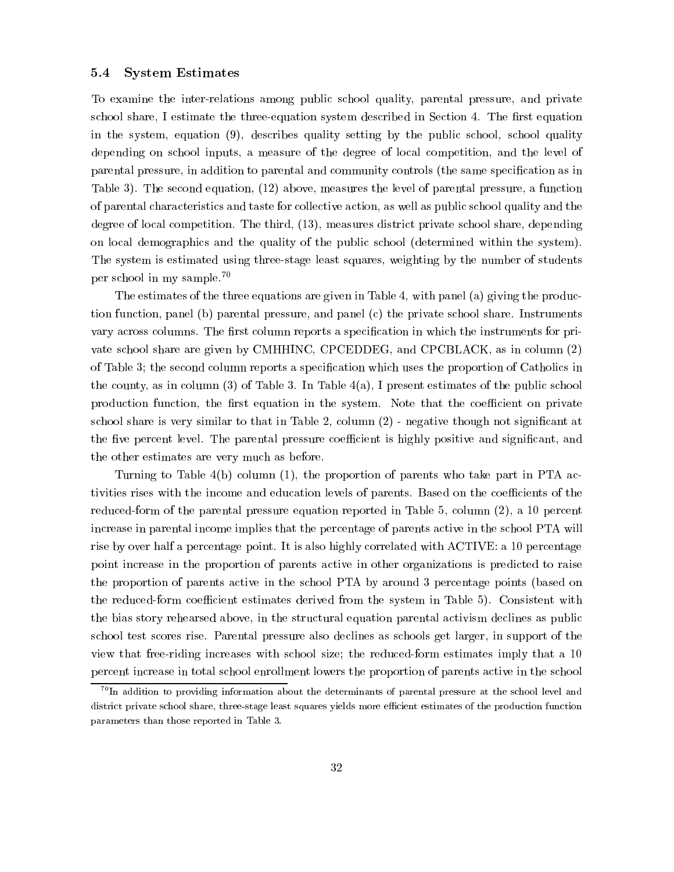#### 5.4 System Estimates

To examine the inter-relations among public school quality, parental pressure, and private school share, I estimate the three-equation system described in Section 4. The first equation in the system, equation (9), describes quality setting by the public school, school quality depending on school inputs, a measure of the degree of local competition, and the level of parental pressure, in addition to parental and community controls (the same specication as in Table 3). The second equation, (12) above, measures the level of parental pressure, a function of parental characteristics and taste for collective action, as well as public school quality and the degree of local competition. The third, (13), measures district private school share, depending on local demographics and the quality of the public school (determined within the system). The system is estimated using three-stage least squares, weighting by the number of students per school in my sample.70

The estimates of the three equations are given in Table 4, with panel (a) giving the production function, panel (b) parental pressure, and panel (c) the private school share. Instruments vary across columns. The first column reports a specification in which the instruments for private school share are given by CMHHINC, CPCEDDEG, and CPCBLACK, as in column (2) of Table 3; the second column reports a specication which uses the proportion of Catholics in the county, as in column (3) of Table 3. In Table  $4(a)$ , I present estimates of the public school production function, the first equation in the system. Note that the coefficient on private school share is very similar to that in Table 2, column (2) - negative though not signicant at the five percent level. The parental pressure coefficient is highly positive and significant, and the other estimates are very much as before.

Turning to Table 4(b) column (1), the proportion of parents who take part in PTA activities rises with the income and education levels of parents. Based on the coefficients of the reduced-form of the parental pressure equation reported in Table 5, column (2), a 10 percent increase in parental income implies that the percentage of parents active in the school PTA will rise by over half a percentage point. It is also highly correlated with ACTIVE: a 10 percentage point increase in the proportion of parents active in other organizations is predicted to raise the proportion of parents active in the school PTA by around 3 percentage points (based on the reduced-form coefficient estimates derived from the system in Table 5). Consistent with the bias story rehearsed above, in the structural equation parental activism declines as public school test scores rise. Parental pressure also declines as schools get larger, in support of the view that free-riding increases with school size; the reduced-form estimates imply that a 10 percent increase in total school enrollment lowers the proportion of parents active in the school

 $^{70}$ In addition to providing information about the determinants of parental pressure at the school level and district private school share, three-stage least squares yields more efficient estimates of the production function parameters than those reported in Table 3.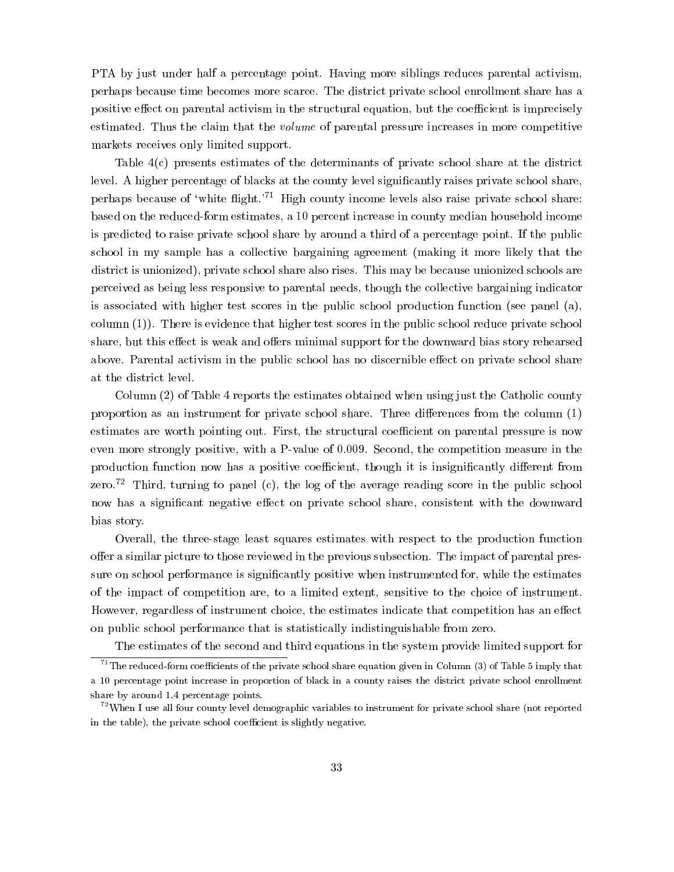PTA by just under half a percentage point. Having more siblings reduces parental activism, perhaps because time becomes more scarce. The district private school enrollment share has a positive effect on parental activism in the structural equation, but the coefficient is imprecisely estimated. Thus the claim that the volume of parental pressure increases in more competitive markets receives only limited support.

Table 4(c) presents estimates of the determinants of private school share at the district level. A higher percentage of blacks at the county level significantly raises private school share, perhaps because of 'white flight.'<sup>71</sup> High county income levels also raise private school share: based on the reduced-form estimates, a 10 percent increase in county median household income is predicted to raise private school share by around a third of a percentage point. If the public school in my sample has a collective bargaining agreement (making it more likely that the district is unionized), private school share also rises. This may be because unionized schools are perceived as being less responsive to parental needs, though the collective bargaining indicator is associated with higher test scores in the public school production function (see panel (a), column (1)). There is evidence that higher test scores in the public school reduce private school share, but this effect is weak and offers minimal support for the downward bias story rehearsed above. Parental activism in the public school has no discernible effect on private school share

Column (2) of Table 4 reports the estimates obtained when using just the Catholic county proportion as an instrument for private school share. Three differences from the column  $(1)$ estimates are worth pointing out. First, the structural coefficient on parental pressure is now even more strongly positive, with a P-value of 0:009. Second, the competition measure in the production function now has a positive coefficient, though it is insignificantly different from zero.<sup>72</sup> Third, turning to panel (c), the log of the average reading score in the public school now has a significant negative effect on private school share, consistent with the downward bias story.

Overall, the three-stage least squares estimates with respect to the production function offer a similar picture to those reviewed in the previous subsection. The impact of parental pressure on school performance is signicantly positive when instrumented for, while the estimates of the impact of competition are, to a limited extent, sensitive to the choice of instrument. However, regardless of instrument choice, the estimates indicate that competition has an effect on public school performance that is statistically indistinguishable from zero.

The estimates of the second and third equations in the system provide limited support for

<sup>&</sup>lt;sup>71</sup>The reduced-form coefficients of the private school share equation given in Column (3) of Table 5 imply that a 10 percentage point increase in proportion of black in a county raises the district private school enrollment share by around 1:4 percentage points.

 $72$ When I use all four county level demographic variables to instrument for private school share (not reported in the table), the private school coefficient is slightly negative.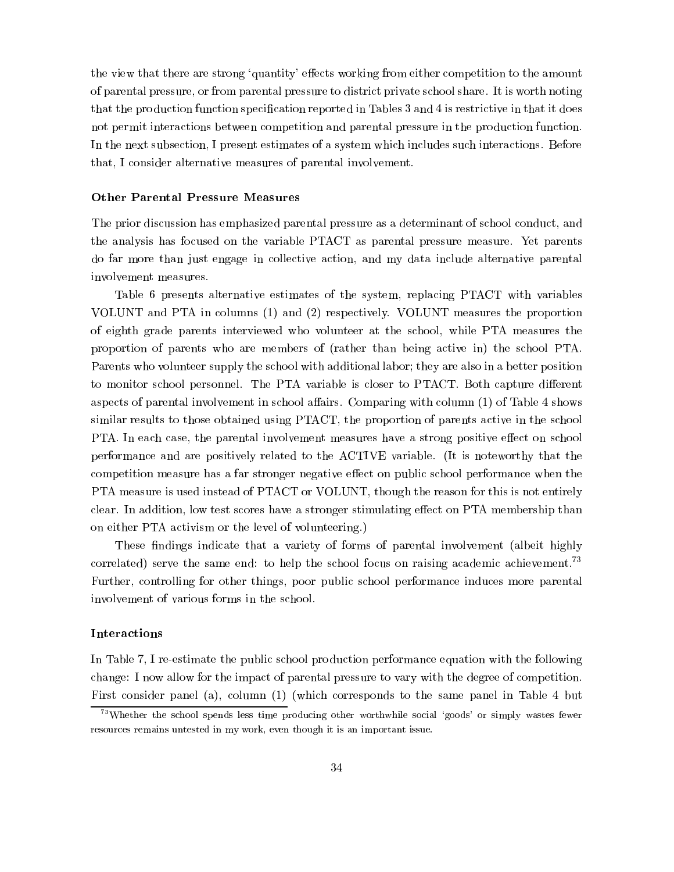the view that there are strong 'quantity' effects working from either competition to the amount of parental pressure, or from parental pressure to district private school share. It is worth noting that the production function specification reported in Tables 3 and 4 is restrictive in that it does not permit interactions between competition and parental pressure in the production function. In the next subsection, I present estimates of a system which includes such interactions. Before that, I consider alternative measures of parental involvement.

#### Other Parental Pressure Measures

The prior discussion has emphasized parental pressure as a determinant of school conduct, and the analysis has focused on the variable PTACT as parental pressure measure. Yet parents do far more than just engage in collective action, and my data include alternative parental involvement measures.

Table 6 presents alternative estimates of the system, replacing PTACT with variables VOLUNT and PTA in columns (1) and (2) respectively. VOLUNT measures the proportion of eighth grade parents interviewed who volunteer at the school, while PTA measures the proportion of parents who are members of (rather than being active in) the school PTA. Parents who volunteer supply the school with additional labor; they are also in a better position to monitor school personnel. The PTA variable is closer to PTACT. Both capture different aspects of parental involvement in school affairs. Comparing with column  $(1)$  of Table 4 shows similar results to those obtained using PTACT, the proportion of parents active in the school PTA. In each case, the parental involvement measures have a strong positive effect on school performance and are positively related to the ACTIVE variable. (It is noteworthy that the competition measure has a far stronger negative effect on public school performance when the PTA measure is used instead of PTACT or VOLUNT, though the reason for this is not entirely clear. In addition, low test scores have a stronger stimulating effect on PTA membership than on either PTA activism or the level of volunteering.)

These findings indicate that a variety of forms of parental involvement (albeit highly correlated) serve the same end: to help the school focus on raising academic achievement.<sup>73</sup> Further, controlling for other things, poor public school performance induces more parental involvement of various forms in the school.

#### Interactions

In Table 7, I re-estimate the public school production performance equation with the following change: I now allow for the impact of parental pressure to vary with the degree of competition. First consider panel (a), column (1) (which corresponds to the same panel in Table 4 but

 $73$ Whether the school spends less time producing other worthwhile social 'goods' or simply wastes fewer resources remains untested in my work, even though it is an important issue.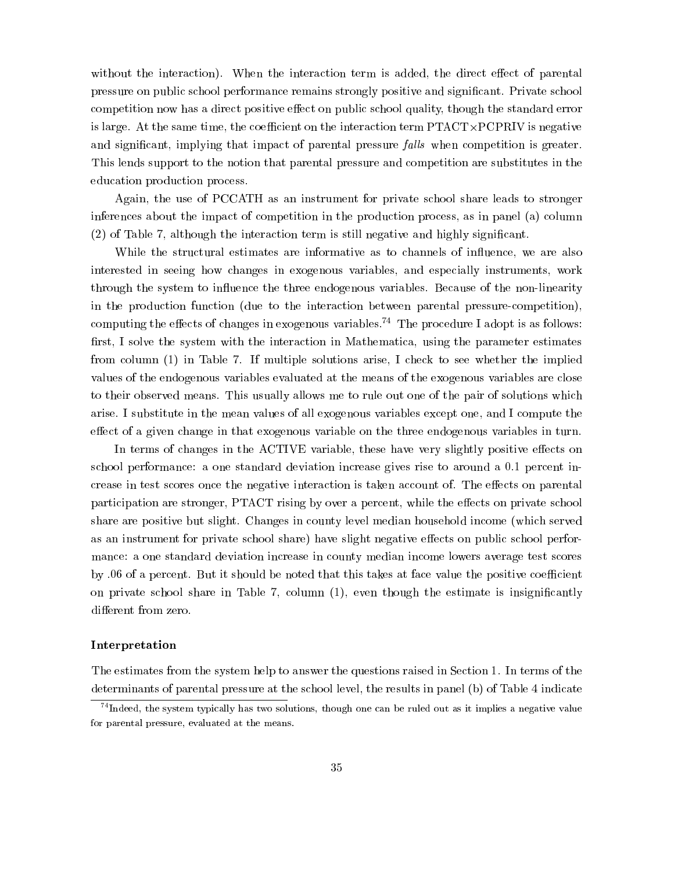without the interaction). When the interaction term is added, the direct effect of parental pressure on public school performance remains strongly positive and signicant. Private school competition now has a direct positive effect on public school quality, though the standard error is large. At the same time, the coecient on the interaction term PTACT-PCPRIV is negative and significant, implying that impact of parental pressure *falls* when competition is greater. This lends support to the notion that parental pressure and competition are substitutes in the education production process.

Again, the use of PCCATH as an instrument for private school share leads to stronger inferences about the impact of competition in the production process, as in panel (a) column (2) of Table 7, although the interaction term is still negative and highly signicant.

While the structural estimates are informative as to channels of influence, we are also interested in seeing how changes in exogenous variables, and especially instruments, work through the system to influence the three endogenous variables. Because of the non-linearity in the production function (due to the interaction between parental pressure-competition), computing the effects of changes in exogenous variables.<sup>74</sup> The procedure I adopt is as follows: first, I solve the system with the interaction in Mathematica, using the parameter estimates from column (1) in Table 7.If multiple solutions arise, I check to see whether the implied values of the endogenous variables evaluated at the means of the exogenous variables are close to their observed means. This usually allows me to rule out one of the pair of solutions which arise. I substitute in the mean values of all exogenous variables except one, and I compute the effect of a given change in that exogenous variable on the three endogenous variables in turn.

In terms of changes in the ACTIVE variable, these have very slightly positive effects on school performance: a one standard deviation increase gives rise to around a 0.1 percent increase in test scores once the negative interaction is taken account of. The effects on parental participation are stronger, PTACT rising by over a percent, while the effects on private school share are positive but slight. Changes in county level median household income (which served as an instrument for private school share) have slight negative effects on public school performance: a one standard deviation increase in county median income lowers average test scores by .06 of a percent. But it should be noted that this takes at face value the positive coefficient on private school share in Table 7, column  $(1)$ , even though the estimate is insignificantly different from zero.

#### Interpretation

The estimates from the system help to answer the questions raised in Section 1. In terms of the determinants of parental pressure at the school level, the results in panel (b) of Table 4 indicate

 $74$ Indeed, the system typically has two solutions, though one can be ruled out as it implies a negative value for parental pressure, evaluated at the means.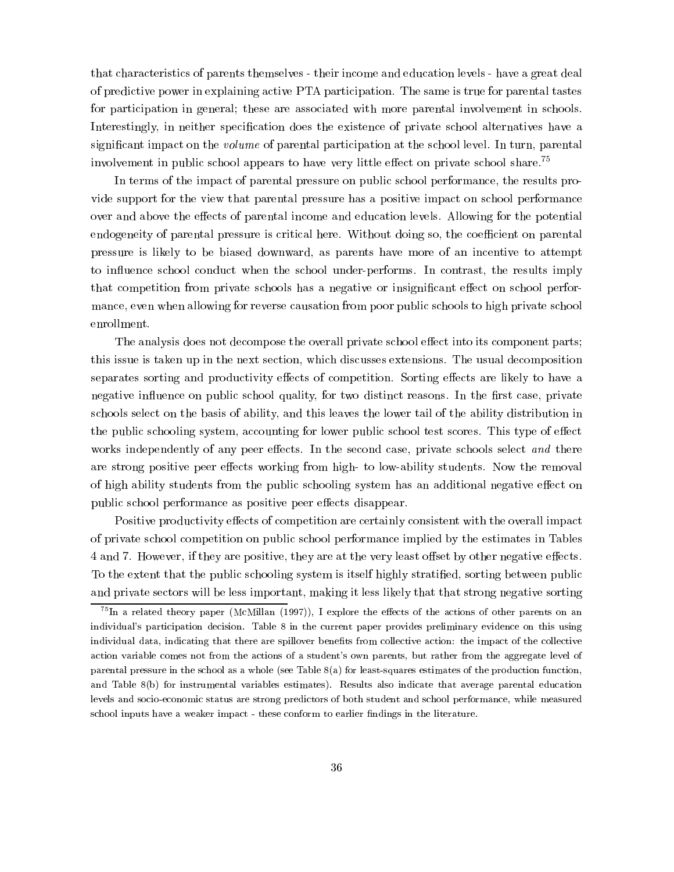that characteristics of parents themselves - their income and education levels - have a great deal of predictive power in explaining active PTA participation. The same is true for parental tastes for participation in general; these are associated with more parental involvement in schools. Interestingly, in neither specification does the existence of private school alternatives have a significant impact on the *volume* of parental participation at the school level. In turn, parental involvement in public school appears to have very little effect on private school share.<sup>75</sup>

In terms of the impact of parental pressure on public school performance, the results provide support for the view that parental pressure has a positive impact on school performance over and above the effects of parental income and education levels. Allowing for the potential endogeneity of parental pressure is critical here. Without doing so, the coefficient on parental pressure is likely to be biased downward, as parents have more of an incentive to attempt to in
uence school conduct when the school under-performs. In contrast, the results imply that competition from private schools has a negative or insignificant effect on school performance, even when allowing for reverse causation from poor public schools to high private school enrollment.

The analysis does not decompose the overall private school effect into its component parts; this issue is taken up in the next section, which discusses extensions. The usual decomposition separates sorting and productivity effects of competition. Sorting effects are likely to have a negative influence on public school quality, for two distinct reasons. In the first case, private schools select on the basis of ability, and this leaves the lower tail of the ability distribution in the public schooling system, accounting for lower public school test scores. This type of effect works independently of any peer effects. In the second case, private schools select and there are strong positive peer effects working from high- to low-ability students. Now the removal of high ability students from the public schooling system has an additional negative effect on public school performance as positive peer effects disappear.

Positive productivity effects of competition are certainly consistent with the overall impact of private school competition on public school performance implied by the estimates in Tables 4 and 7. However, if they are positive, they are at the very least offset by other negative effects. To the extent that the public schooling system is itself highly stratied, sorting between public and private sectors will be less important, making it less likely that that strong negative sorting

 $^{75}$ In a related theory paper (McMillan (1997)), I explore the effects of the actions of other parents on an individual's participation decision. Table 8 in the current paper provides preliminary evidence on this using individual data, indicating that there are spillover benets from collective action: the impact of the collective action variable comes not from the actions of a student's own parents, but rather from the aggregate level of parental pressure in the school as a whole (see Table 8(a) for least-squares estimates of the production function, and Table 8(b) for instrumental variables estimates). Results also indicate that average parental education levels and socio-economic status are strong predictors of both student and school performance, while measured school inputs have a weaker impact - these conform to earlier findings in the literature.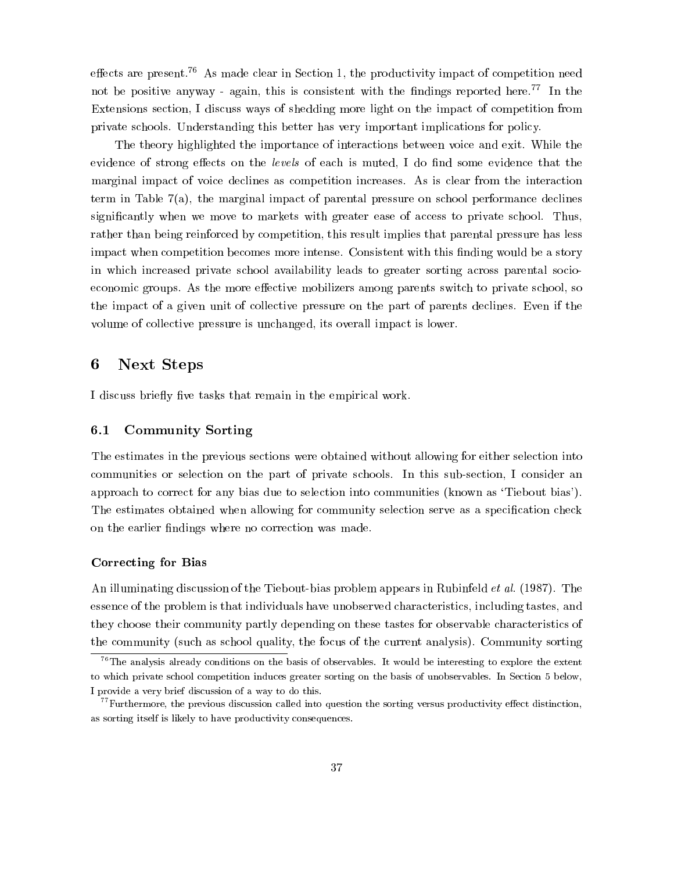effects are present.<sup>76</sup> As made clear in Section 1, the productivity impact of competition need not be positive anyway - again, this is consistent with the findings reported here.<sup>77</sup> In the Extensions section, I discuss ways of shedding more light on the impact of competition from private schools. Understanding this better has very important implications for policy.

The theory highlighted the importance of interactions between voice and exit. While the evidence of strong effects on the levels of each is muted, I do find some evidence that the marginal impact of voice declines as competition increases. As is clear from the interaction term in Table 7(a), the marginal impact of parental pressure on school performance declines signicantly when we move to markets with greater ease of access to private school. Thus, rather than being reinforced by competition, this result implies that parental pressure has less impact when competition becomes more intense. Consistent with this finding would be a story in which increased private school availability leads to greater sorting across parental socioeconomic groups. As the more effective mobilizers among parents switch to private school, so the impact of a given unit of collective pressure on the part of parents declines. Even if the volume of collective pressure is unchanged, its overall impact is lower.

#### 6 Next Steps

I discuss briefly five tasks that remain in the empirical work.

### 6.1 Community Sorting

The estimates in the previous sections were obtained without allowing for either selection into communities or selection on the part of private schools. In this sub-section, I consider an approach to correct for any bias due to selection into communities (known as `Tiebout bias'). The estimates obtained when allowing for community selection serve as a specification check on the earlier findings where no correction was made.

#### Correcting for Bias

An illuminating discussion of the Tiebout-bias problem appears in Rubinfeld *et al.* (1987). The essence of the problem is that individuals have unobserved characteristics, including tastes, and they choose their community partly depending on these tastes for observable characteristics of the community (such as school quality, the focus of the current analysis). Community sorting

 $^{76}$ The analysis already conditions on the basis of observables. It would be interesting to explore the extent to which private school competition induces greater sorting on the basis of unobservables. In Section 5 below, I provide a very brief discussion of a way to do this.

 $^{77}$ Furthermore, the previous discussion called into question the sorting versus productivity effect distinction, as sorting itself is likely to have productivity consequences.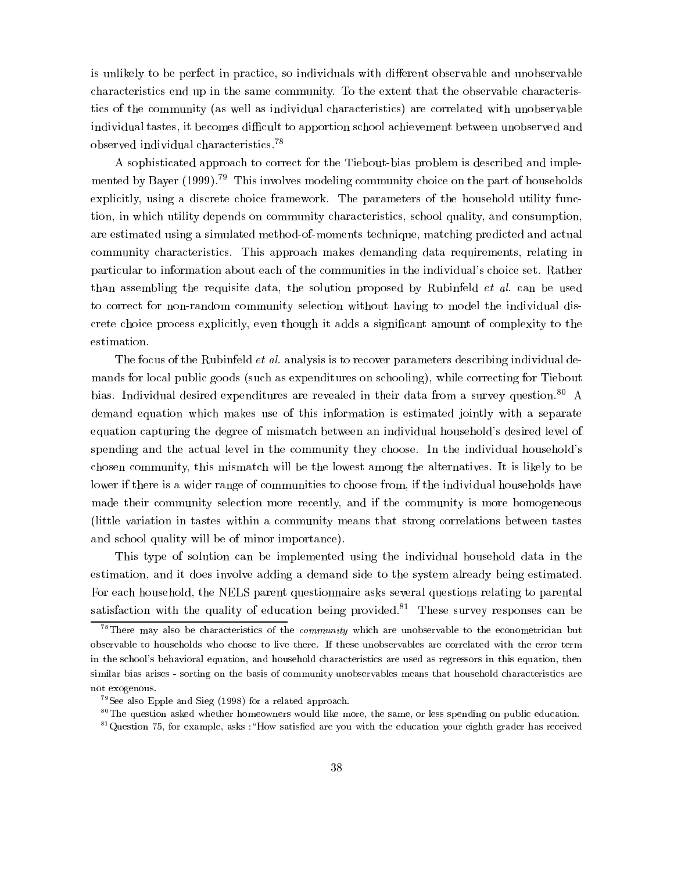is unlikely to be perfect in practice, so individuals with different observable and unobservable characteristics end up in the same community. To the extent that the observable characteristics of the community (as well as individual characteristics) are correlated with unobservable individual tastes, it becomes difficult to apportion school achievement between unobserved and observed individual characteristics.78

A sophisticated approach to correct for the Tiebout-bias problem is described and implemented by Bayer (1999).<sup>79</sup> This involves modeling community choice on the part of households explicitly, using a discrete choice framework. The parameters of the household utility function, in which utility depends on community characteristics, school quality, and consumption, are estimated using a simulated method-of-moments technique, matching predicted and actual community characteristics. This approach makes demanding data requirements, relating in particular to information about each of the communities in the individual's choice set. Rather than assembling the requisite data, the solution proposed by Rubinfeld et al. can be used to correct for non-random community selection without having to model the individual discrete choice process explicitly, even though it adds a signicant amount of complexity to the estimation.

The focus of the Rubinfeld *et al.* analysis is to recover parameters describing individual demands for local public goods (such as expenditures on schooling), while correcting for Tiebout bias. Individual desired expenditures are revealed in their data from a survey question.<sup>80</sup> A demand equation which makes use of this information is estimated jointly with a separate equation capturing the degree of mismatch between an individual household's desired level of spending and the actual level in the community they choose. In the individual household's chosen community, this mismatch will be the lowest among the alternatives. It is likely to be lower if there is a wider range of communities to choose from, if the individual households have made their community selection more recently, and if the community is more homogeneous (little variation in tastes within a community means that strong correlations between tastes and school quality will be of minor importance).

This type of solution can be implemented using the individual household data in the estimation, and it does involve adding a demand side to the system already being estimated. For each household, the NELS parent questionnaire asks several questions relating to parental satisfaction with the quality of education being provided.<sup>81</sup> These survey responses can be

 $78$ There may also be characteristics of the *community* which are unobservable to the econometrician but observable to households who choose to live there. If these unobservables are correlated with the error term in the school's behavioral equation, and household characteristics are used as regressors in this equation, then similar bias arises - sorting on the basis of community unobservables means that household characteristics are not exogenous.

<sup>79</sup>See also Epple and Sieg (1998) for a related approach.

<sup>&</sup>lt;sup>80</sup>The question asked whether homeowners would like more, the same, or less spending on public education.

 $81$ Question 75, for example, asks : "How satisfied are you with the education your eighth grader has received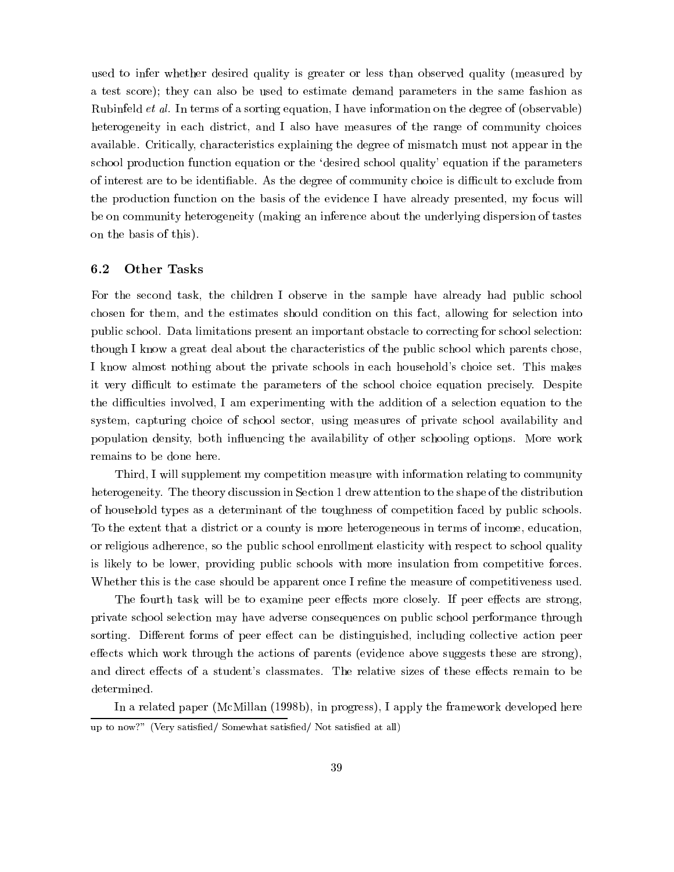used to infer whether desired quality is greater or less than observed quality (measured by a test score); they can also be used to estimate demand parameters in the same fashion as Rubinfeld et al. In terms of a sorting equation, I have information on the degree of (observable) heterogeneity in each district, and I also have measures of the range of community choices available. Critically, characteristics explaining the degree of mismatch must not appear in the school production function equation or the `desired school quality' equation if the parameters of interest are to be identifiable. As the degree of community choice is difficult to exclude from the production function on the basis of the evidence I have already presented, my focus will be on community heterogeneity (making an inference about the underlying dispersion of tastes on the basis of this).

#### $6.2$ **Other Tasks**

For the second task, the children I observe in the sample have already had public school chosen for them, and the estimates should condition on this fact, allowing for selection into public school. Data limitations present an important obstacle to correcting for school selection: though I know a great deal about the characteristics of the public school which parents chose, I know almost nothing about the private schools in each household's choice set. This makes it very difficult to estimate the parameters of the school choice equation precisely. Despite the difficulties involved, I am experimenting with the addition of a selection equation to the system, capturing choice of school sector, using measures of private school availability and population density, both in
uencing the availability of other schooling options. More work remains to be done here.

Third, I will supplement my competition measure with information relating to community heterogeneity. The theory discussion in Section 1 drew attention to the shape of the distribution of household types as a determinant of the toughness of competition faced by public schools. To the extent that a district or a county is more heterogeneous in terms of income, education, or religious adherence, so the public school enrollment elasticity with respect to school quality is likely to be lower, providing public schools with more insulation from competitive forces. Whether this is the case should be apparent once I refine the measure of competitiveness used.

The fourth task will be to examine peer effects more closely. If peer effects are strong, private school selection may have adverse consequences on public school performance through sorting. Different forms of peer effect can be distinguished, including collective action peer effects which work through the actions of parents (evidence above suggests these are strong), and direct effects of a student's classmates. The relative sizes of these effects remain to be determined.

In a related paper (McMillan (1998b), in progress), I apply the framework developed here up to now?" (Very satisfied/ Somewhat satisfied/ Not satisfied at all)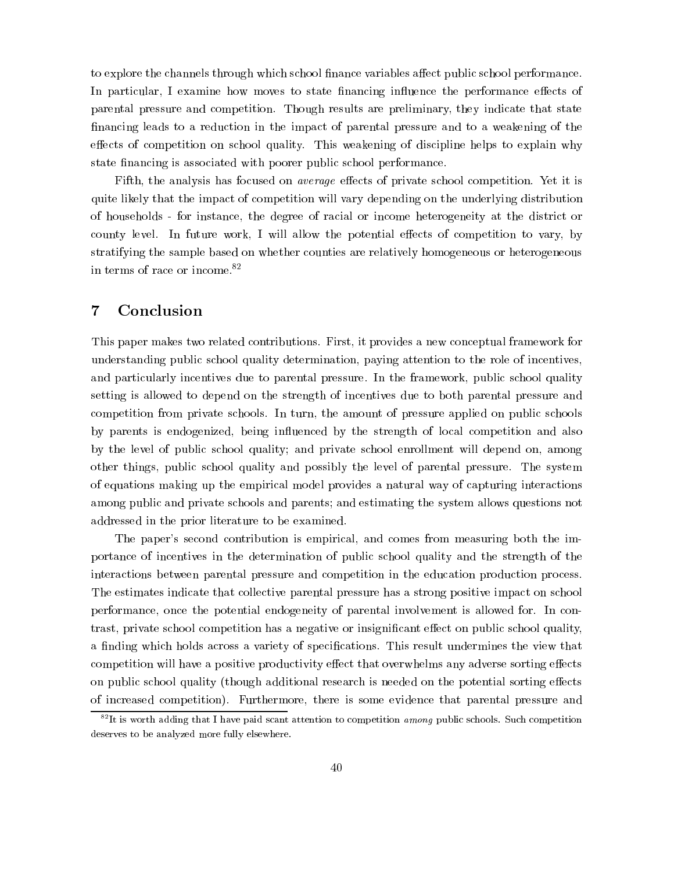to explore the channels through which school finance variables affect public school performance. In particular, I examine how moves to state financing influence the performance effects of parental pressure and competition. Though results are preliminary, they indicate that state financing leads to a reduction in the impact of parental pressure and to a weakening of the effects of competition on school quality. This weakening of discipline helps to explain why state financing is associated with poorer public school performance.

Fifth, the analysis has focused on *average* effects of private school competition. Yet it is quite likely that the impact of competition will vary depending on the underlying distribution of households - for instance, the degree of racial or income heterogeneity at the district or county level. In future work, I will allow the potential effects of competition to vary, by stratifying the sample based on whether counties are relatively homogeneous or heterogeneous in terms of race or income.82

#### $\overline{7}$ **Conclusion**

This paper makes two related contributions. First, it provides a new conceptual framework for understanding public school quality determination, paying attention to the role of incentives, and particularly incentives due to parental pressure. In the framework, public school quality setting is allowed to depend on the strength of incentives due to both parental pressure and competition from private schools. In turn, the amount of pressure applied on public schools by parents is endogenized, being influenced by the strength of local competition and also by the level of public school quality; and private school enrollment will depend on, among other things, public school quality and possibly the level of parental pressure. The system of equations making up the empirical model provides a natural way of capturing interactions among public and private schools and parents; and estimating the system allows questions not addressed in the prior literature to be examined.

The paper's second contribution is empirical, and comes from measuring both the importance of incentives in the determination of public school quality and the strength of the interactions between parental pressure and competition in the education production process. The estimates indicate that collective parental pressure has a strong positive impact on school performance, once the potential endogeneity of parental involvement is allowed for. In contrast, private school competition has a negative or insignificant effect on public school quality, a finding which holds across a variety of specifications. This result undermines the view that competition will have a positive productivity effect that overwhelms any adverse sorting effects on public school quality (though additional research is needed on the potential sorting effects of increased competition). Furthermore, there is some evidence that parental pressure and

 $82$ It is worth adding that I have paid scant attention to competition among public schools. Such competition deserves to be analyzed more fully elsewhere.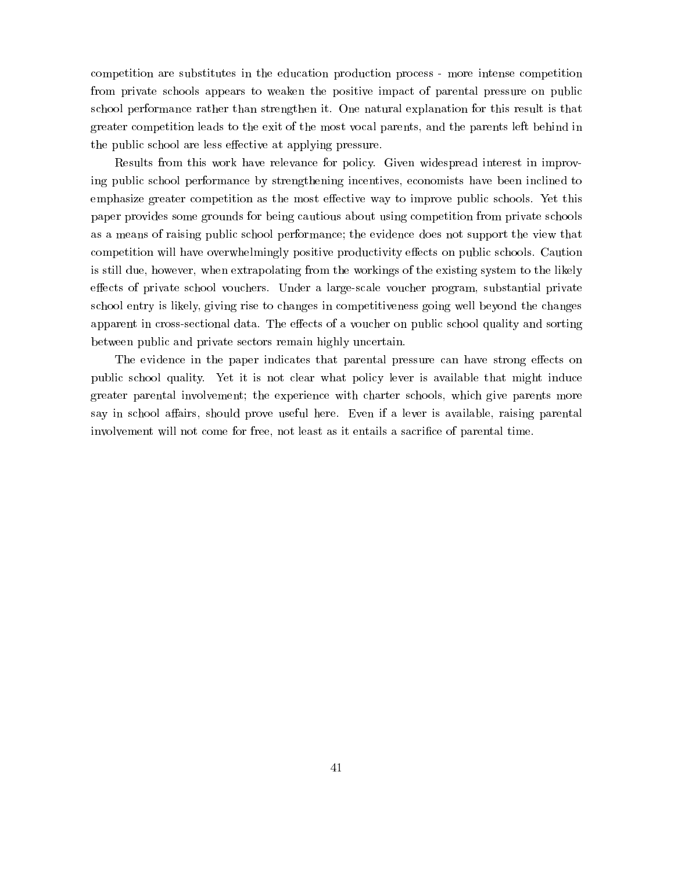competition are substitutes in the education production process - more intense competition from private schools appears to weaken the positive impact of parental pressure on public school performance rather than strengthen it. One natural explanation for this result is that greater competition leads to the exit of the most vocal parents, and the parents left behind in the public school are less effective at applying pressure.

Results from this work have relevance for policy. Given widespread interest in improving public school performance by strengthening incentives, economists have been inclined to emphasize greater competition as the most effective way to improve public schools. Yet this paper provides some grounds for being cautious about using competition from private schools as a means of raising public school performance; the evidence does not support the view that competition will have overwhelmingly positive productivity effects on public schools. Caution is still due, however, when extrapolating from the workings of the existing system to the likely effects of private school vouchers. Under a large-scale voucher program, substantial private school entry is likely, giving rise to changes in competitiveness going well beyond the changes apparent in cross-sectional data. The effects of a voucher on public school quality and sorting between public and private sectors remain highly uncertain.

The evidence in the paper indicates that parental pressure can have strong effects on public school quality. Yet it is not clear what policy lever is available that might induce greater parental involvement; the experience with charter schools, which give parents more say in school affairs, should prove useful here. Even if a lever is available, raising parental involvement will not come for free, not least as it entails a sacrifice of parental time.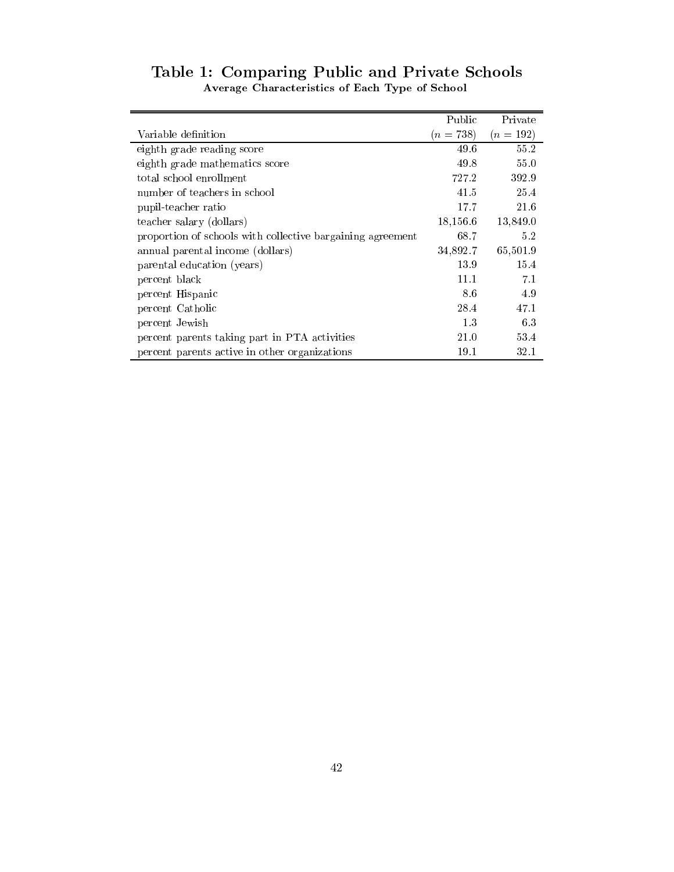|                                                            | Public      | Private   |
|------------------------------------------------------------|-------------|-----------|
| Variable definition                                        | $(n = 738)$ | $(n=192)$ |
| eighth grade reading score                                 | 49.6        | 55.2      |
| eighth grade mathematics score                             | 49.8        | 55.0      |
| total school enrollment                                    | 727.2       | 392.9     |
| number of teachers in school                               | 41.5        | 25.4      |
| pupil-teacher ratio                                        | 17.7        | 21.6      |
| teacher salary (dollars)                                   | 18,156.6    | 13,849.0  |
| proportion of schools with collective bargaining agreement | 68.7        | 5.2       |
| annual parental income (dollars)                           | 34,892.7    | 65,501.9  |
| parental education (years)                                 | 13.9        | 15.4      |
| percent black                                              | 11.1        | 7.1       |
| percent Hispanic                                           | 8.6         | 4.9       |
| percent Catholic                                           | 28.4        | 47.1      |
| percent Jewish                                             | 13          | 6.3       |
| percent parents taking part in PTA activities              | 21.0        | 53.4      |
| percent parents active in other organizations              | 19.1        | 32.1      |

## Table 1: Comparing Public and Private Schools Average Characteristics of Each Type of School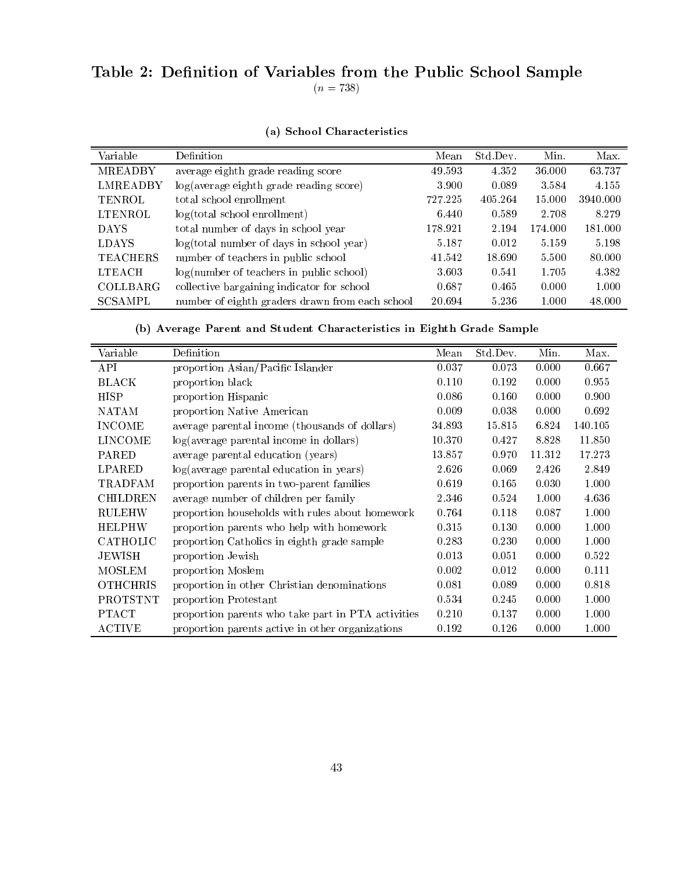# Table 2: Definition of Variables from the Public School Sample  $(n = 738)$

| Variable        | Definition                                      | Mean    | Std.Dev. | Min.    | Max.     |
|-----------------|-------------------------------------------------|---------|----------|---------|----------|
| MREADBY         | average eighth grade reading score              | 49.593  | 4.352    | 36.000  | 63.737   |
| <b>LMREADBY</b> | log(average eighth grade reading score)         | 3.900   | 0.089    | 3.584   | 4.155    |
| TENROL          | total school enrollment                         | 727.225 | 405.264  | 15.000  | 3940.000 |
| LTENROL         | $log(total$ school enrollment)                  | 6.440   | 0.589    | 2.708   | 8.279    |
| <b>DAYS</b>     | total number of days in school year             | 178.921 | 2.194    | 174.000 | 181.000  |
| <b>LDAYS</b>    | $log(total number of days in school year)$      | 5.187   | 0.012    | 5.159   | 5.198    |
| <b>TEACHERS</b> | number of teachers in public school             | 41.542  | 18.690   | 5.500   | 80.000   |
| <b>LTEACH</b>   | log(number of teachers in public school)        | 3.603   | 0.541    | 1.705   | 4.382    |
| <b>COLLBARG</b> | collective bargaining indicator for school      | 0.687   | 0.465    | 0.000   | 1.000    |
| SCSAMPL         | number of eighth graders drawn from each school | 20.694  | 5.236    | 1.000   | 48.000   |

# (a) School Characteristics

(b) Average Parent and Student Characteristics in Eighth Grade Sample

| Variable        | Definition                                         | Mean   | Std.Dev. | Min.   | Max.    |
|-----------------|----------------------------------------------------|--------|----------|--------|---------|
| <b>API</b>      | proportion Asian/Pacific Islander                  | 0.037  | 0.073    | 0.000  | 0.667   |
| <b>BLACK</b>    | proportion black                                   | 0.110  | 0.192    | 0.000  | 0.955   |
| HISP            | proportion Hispanic                                | 0.086  | 0.160    | 0.000  | 0.900   |
| <b>NATAM</b>    | proportion Native American                         | 0.009  | 0.038    | 0.000  | 0.692   |
| <b>INCOME</b>   | average parental income (thousands of dollars)     | 34.893 | 15.815   | 6.824  | 140.105 |
| <b>LINCOME</b>  | $log(average parental income in dollars)$          | 10.370 | 0.427    | 8.828  | 11.850  |
| PARED           | average parental education (years)                 | 13.857 | 0.970    | 11.312 | 17.273  |
| LPARED          | log(average parental education in years)           | 2.626  | 0.069    | 2.426  | 2.849   |
| TRADFAM         | proportion parents in two-parent families          | 0.619  | 0.165    | 0.030  | 1.000   |
| <b>CHILDREN</b> | average number of children per family              | 2.346  | 0.524    | 1.000  | 4.636   |
| <b>RULEHW</b>   | proportion households with rules about homework    | 0.764  | 0.118    | 0.087  | 1.000   |
| <b>HELPHW</b>   | proportion parents who help with homework          | 0.315  | 0.130    | 0.000  | 1.000   |
| CATHOLIC        | proportion Catholics in eighth grade sample        | 0.283  | 0.230    | 0.000  | 1.000   |
| JEWISH          | proportion Jewish                                  | 0.013  | 0.051    | 0.000  | 0.522   |
| <b>MOSLEM</b>   | proportion Moslem                                  | 0.002  | 0.012    | 0.000  | 0.111   |
| <b>OTHCHRIS</b> | proportion in other Christian denominations        | 0.081  | 0.089    | 0.000  | 0.818   |
| PROTSTNT        | proportion Protestant                              | 0.534  | 0.245    | 0.000  | 1.000   |
| <b>PTACT</b>    | proportion parents who take part in PTA activities | 0.210  | 0.137    | 0.000  | 1.000   |
| <b>ACTIVE</b>   | proportion parents active in other organizations   | 0.192  | 0.126    | 0.000  | 1.000   |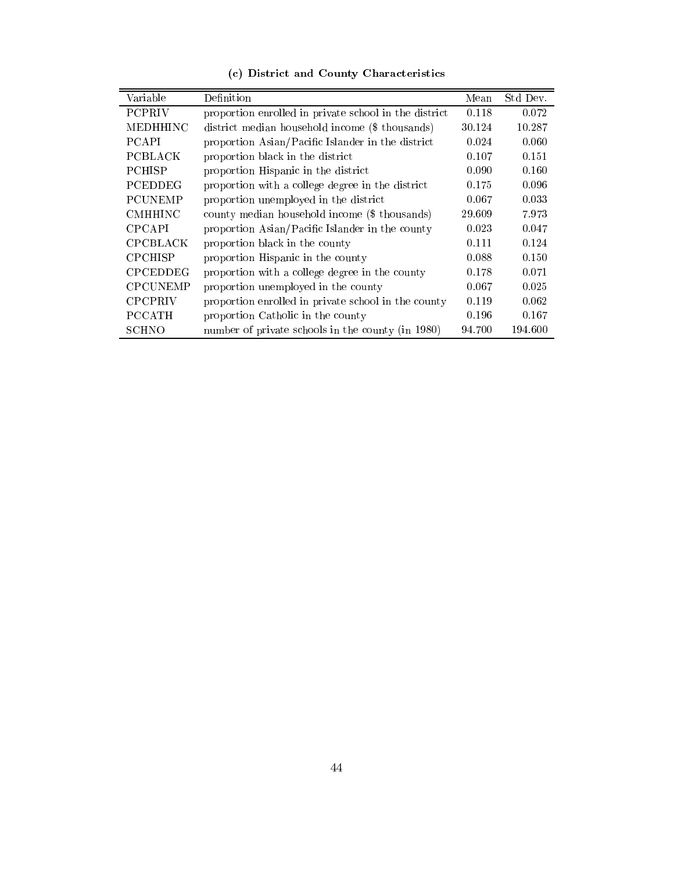| Variable        | Definition                                            | Mean   | Std Dev. |
|-----------------|-------------------------------------------------------|--------|----------|
| <b>PCPRIV</b>   | proportion enrolled in private school in the district | 0.118  | 0.072    |
| <b>MEDHHINC</b> | district median household income (\$ thousands)       | 30.124 | 10.287   |
| <b>PCAPI</b>    | proportion Asian/Pacific Islander in the district     | 0.024  | 0.060    |
| PCBLACK         | proportion black in the district                      | 0.107  | 0.151    |
| <b>PCHISP</b>   | proportion Hispanic in the district                   | 0.090  | 0.160    |
| PCEDDEG         | proportion with a college degree in the district      | 0.175  | 0.096    |
| <b>PCUNEMP</b>  | proportion unemployed in the district                 | 0.067  | 0.033    |
| <b>CMHHINC</b>  | county median household income (\$ thousands)         | 29.609 | 7.973    |
| <b>CPCAPI</b>   | proportion Asian/Pacific Islander in the county       | 0.023  | 0.047    |
| CPCBLACK        | proportion black in the county                        | 0.111  | 0.124    |
| <b>CPCHISP</b>  | proportion Hispanic in the county                     | 0.088  | 0.150    |
| <b>CPCEDDEG</b> | proportion with a college degree in the county        | 0.178  | 0.071    |
| <b>CPCUNEMP</b> | proportion unemployed in the county                   | 0.067  | 0.025    |
| <b>CPCPRIV</b>  | proportion enrolled in private school in the county   | 0.119  | 0.062    |
| <b>PCCATH</b>   | proportion Catholic in the county                     | 0.196  | 0.167    |
| SCHNO           | number of private schools in the county (in 1980)     | 94.700 | 194.600  |

(c) District and County Characteristics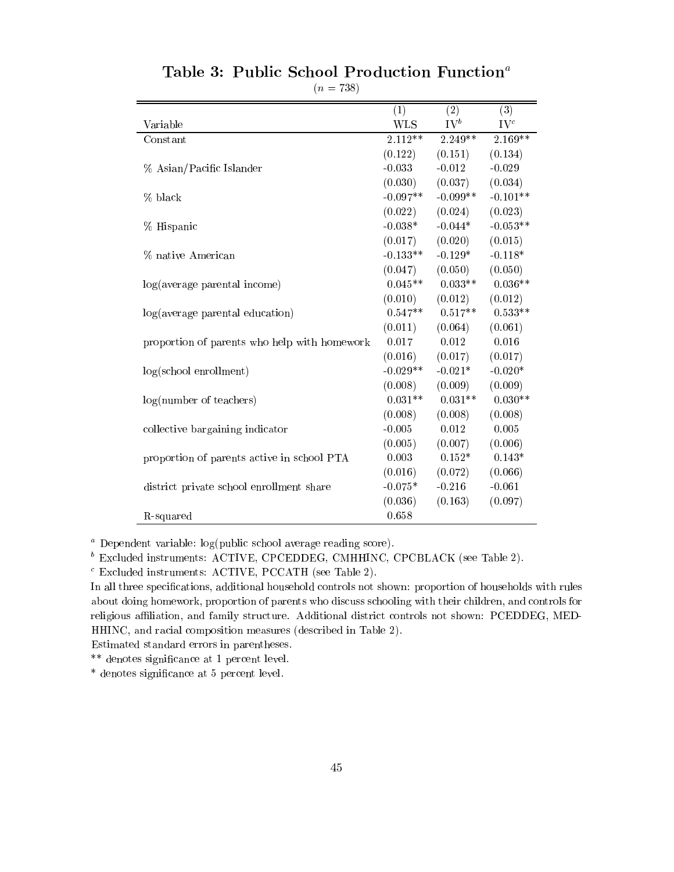|                                              | (1)        | (2)             | (3)        |
|----------------------------------------------|------------|-----------------|------------|
| Variable                                     | <b>WLS</b> | $\mathrm{IV}^b$ | $IV^c$     |
| Constant                                     | $2.112**$  | 2.249**         | $2.169**$  |
|                                              | (0.122)    | (0.151)         | (0.134)    |
| % Asian/Pacific Islander                     | $-0.033$   | $-0.012$        | $-0.029$   |
|                                              | (0.030)    | (0.037)         | (0.034)    |
| % black                                      | $-0.097**$ | $-0.099**$      | $-0.101**$ |
|                                              | (0.022)    | (0.024)         | (0.023)    |
| % Hispanic                                   | $-0.038*$  | $-0.044*$       | $-0.053**$ |
|                                              | (0.017)    | (0.020)         | (0.015)    |
| % native American                            | $-0.133**$ | $-0.129*$       | $-0.118*$  |
|                                              | (0.047)    | (0.050)         | (0.050)    |
| log(average parental income)                 | $0.045**$  | $0.033**$       | $0.036**$  |
|                                              | (0.010)    | (0.012)         | (0.012)    |
| log(average parental education)              | $0.547**$  | $0.517**$       | $0.533**$  |
|                                              | (0.011)    | (0.064)         | (0.061)    |
| proportion of parents who help with homework | 0.017      | 0.012           | 0.016      |
|                                              | (0.016)    | (0.017)         | (0.017)    |
| $log(school$ enrollment)                     | $-0.029**$ | $-0.021*$       | $-0.020*$  |
|                                              | (0.008)    | (0.009)         | (0.009)    |
| log(number of teachers)                      | $0.031**$  | $0.031**$       | $0.030**$  |
|                                              | (0.008)    | (0.008)         | (0.008)    |
| collective bargaining indicator              | $-0.005$   | 0.012           | 0.005      |
|                                              | (0.005)    | (0.007)         | (0.006)    |
| proportion of parents active in school PTA   | 0.003      | $0.152*$        | $0.143*$   |
|                                              | (0.016)    | (0.072)         | (0.066)    |
| district private school enrollment share     | $-0.075*$  | $-0.216$        | $-0.061$   |
|                                              | (0.036)    | (0.163)         | (0.097)    |
| R-squared                                    | 0.658      |                 |            |

# Table 3: Public School Production Function<sup>a</sup>

 $(n = 738)$ 

<sup>a</sup> Dependent variable: log(public school average reading score).

<sup>b</sup> Excluded instruments: ACTIVE, CPCEDDEG, CMHHINC, CPCBLACK (see Table 2).

<sup>c</sup> Excluded instruments: ACTIVE, PCCATH (see Table 2).

In all three specications, additional household controls not shown: proportion of households with rules about doing homework, proportion of parents who discuss schooling with their children, and controls for religious affiliation, and family structure. Additional district controls not shown: PCEDDEG, MED-HHINC, and racial composition measures (described in Table 2).

Estimated standard errors in parentheses.

\*\* denotes signicance at 1 percent level.

\* denotes signicance at 5 percent level.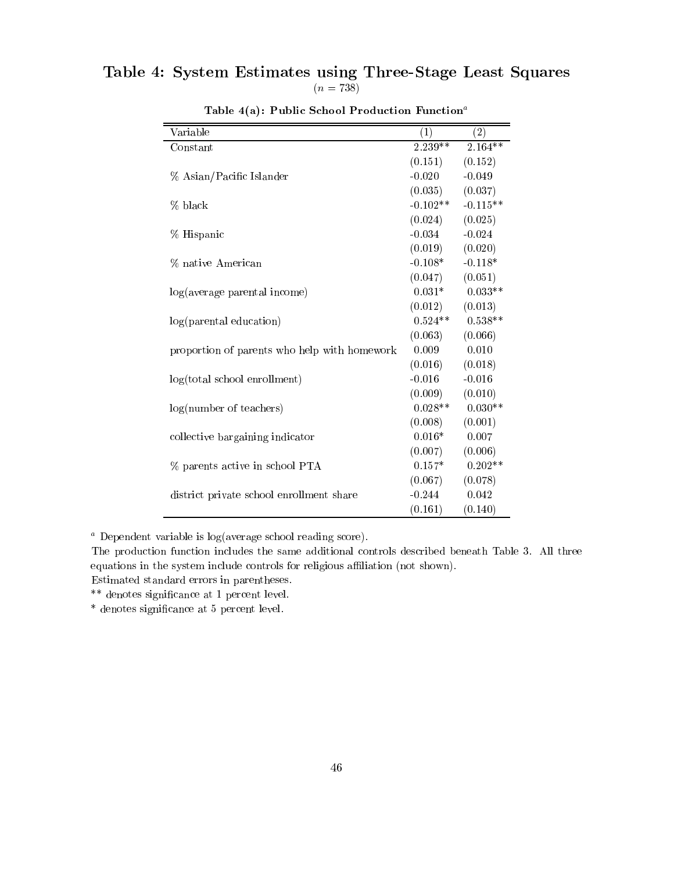# Table 4: System Estimates using Three-Stage Least Squares  $(n = 738)$

| Variable                                     | (1)        | (2)        |
|----------------------------------------------|------------|------------|
| Constant                                     | 2.239**    | $2.164**$  |
|                                              | (0.151)    | (0.152)    |
| % Asian/Pacific Islander                     | $-0.020$   | $-0.049$   |
|                                              | (0.035)    | (0.037)    |
| % black                                      | $-0.102**$ | $-0.115**$ |
|                                              | (0.024)    | (0.025)    |
| % Hispanic                                   | $-0.034$   | $-0.024$   |
|                                              | (0.019)    | (0.020)    |
| % native American                            | $-0.108*$  | $-0.118*$  |
|                                              | (0.047)    | (0.051)    |
| log(average parental income)                 | $0.031*$   | $0.033**$  |
|                                              | (0.012)    | (0.013)    |
| log(parental education)                      | $0.524**$  | $0.538**$  |
|                                              | (0.063)    | (0.066)    |
| proportion of parents who help with homework | 0.009      | 0.010      |
|                                              | (0.016)    | (0.018)    |
| log(total school en rollment)                | $-0.016$   | $-0.016$   |
|                                              | (0.009)    | (0.010)    |
| log(number of teachers)                      | $0.028**$  | $0.030**$  |
|                                              | (0.008)    | (0.001)    |
| collective bargaining indicator              | $0.016*$   | 0.007      |
|                                              | (0.007)    | (0.006)    |
| % parents active in school PTA               | $0.157*$   | $0.202**$  |
|                                              | (0.067)    | (0.078)    |
| district private school enrollment share     | $-0.244$   | 0.042      |
|                                              | (0.161)    | (0.140)    |

Table  $4(a)$ : Public School Production Function<sup>a</sup>

<sup>a</sup> Dependent variable is log(average school reading score).

The production function includes the same additional controls described beneath Table 3. All three equations in the system include controls for religious affiliation (not shown).

Estimated standard errors in parentheses.

\*\* denotes signicance at 1 percent level.

\* denotes signicance at 5 percent level.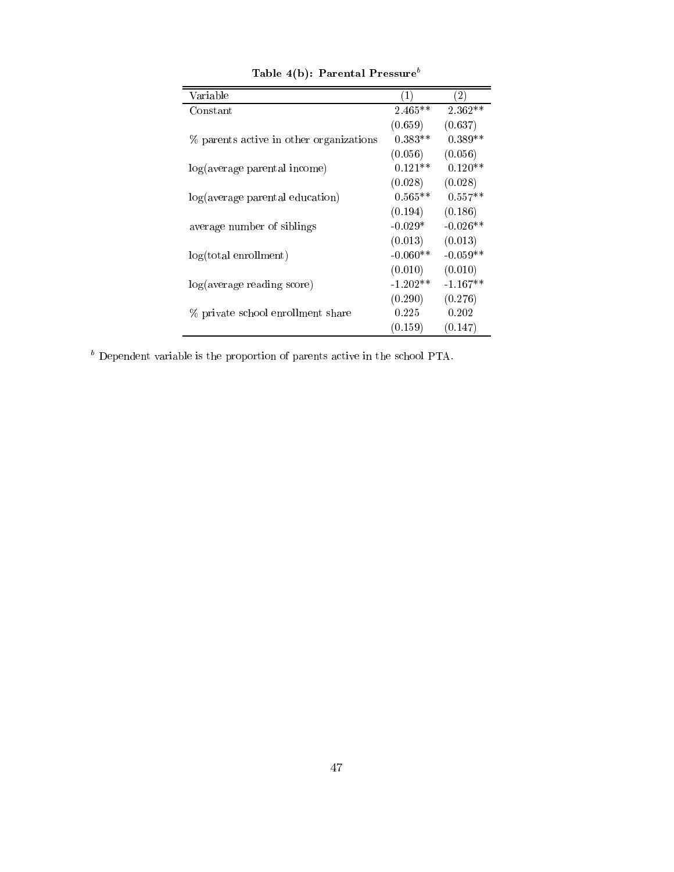| Variable                                | $\left( 1\right)$ | (2)        |
|-----------------------------------------|-------------------|------------|
| Constant                                | $2.465**$         | $2.362**$  |
|                                         | (0.659)           | (0.637)    |
| % parents active in other organizations | $0.383**$         | $0.389**$  |
|                                         | (0.056)           | (0.056)    |
| log(average parental income)            | $0.121**$         | $0.120**$  |
|                                         | (0.028)           | (0.028)    |
| log(average parental education)         | $0.565**$         | $0.557**$  |
|                                         | (0.194)           | (0.186)    |
| average number of siblings              | $-0.029*$         | $-0.026**$ |
|                                         | (0.013)           | (0.013)    |
| $log(total \text{ enrollment})$         | $-0.060**$        | $-0.059**$ |
|                                         | (0.010)           | (0.010)    |
| log(average reading score)              | $-1.202**$        | $-1.167**$ |
|                                         | (0.290)           | (0.276)    |
| % private school enrollment share       | 0.225             | 0.202      |
|                                         | (0.159)           | (0.147)    |

Table 4(b): Parental Pressure<sup>b</sup>

<sup>b</sup> Dependent variable is the proportion of parents active in the school PTA.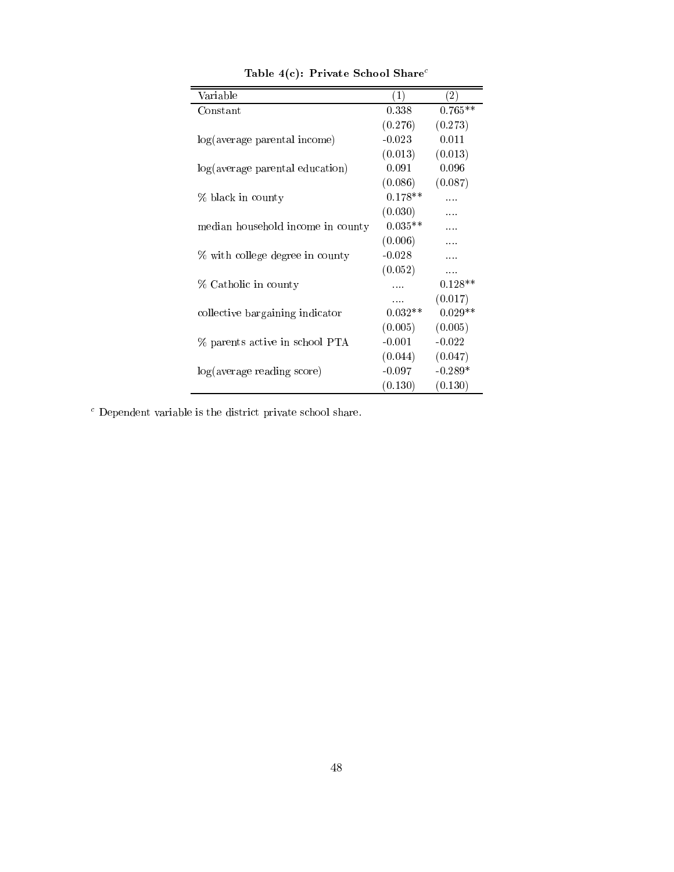| Variable                          | (1)       | (2)       |
|-----------------------------------|-----------|-----------|
| $_{\rm Constant}$                 | 0.338     | $0.765**$ |
|                                   | (0.276)   | (0.273)   |
| log(average parental income)      | $-0.023$  | 0.011     |
|                                   | (0.013)   | (0.013)   |
| log(average parental education)   | 0.091     | 0.096     |
|                                   | (0.086)   | (0.087)   |
| % black in county                 | $0.178**$ | .         |
|                                   | (0.030)   | .         |
| median household income in county | $0.035**$ |           |
|                                   | (0.006)   |           |
| % with college degree in county   | $-0.028$  | .         |
|                                   | (0.052)   | .         |
| % Catholic in county              | .         | $0.128**$ |
|                                   | .         | (0.017)   |
| collective bargaining indicator   | $0.032**$ | $0.029**$ |
|                                   | (0.005)   | (0.005)   |
| % parents active in school PTA    | $-0.001$  | $-0.022$  |
|                                   | (0.044)   | (0.047)   |
| log(average reading score)        | $-0.097$  | $-0.289*$ |
|                                   | (0.130)   | (0.130)   |

Table 4(c): Private School Share<sup>c</sup>

<sup>c</sup> Dependent variable is the district private school share.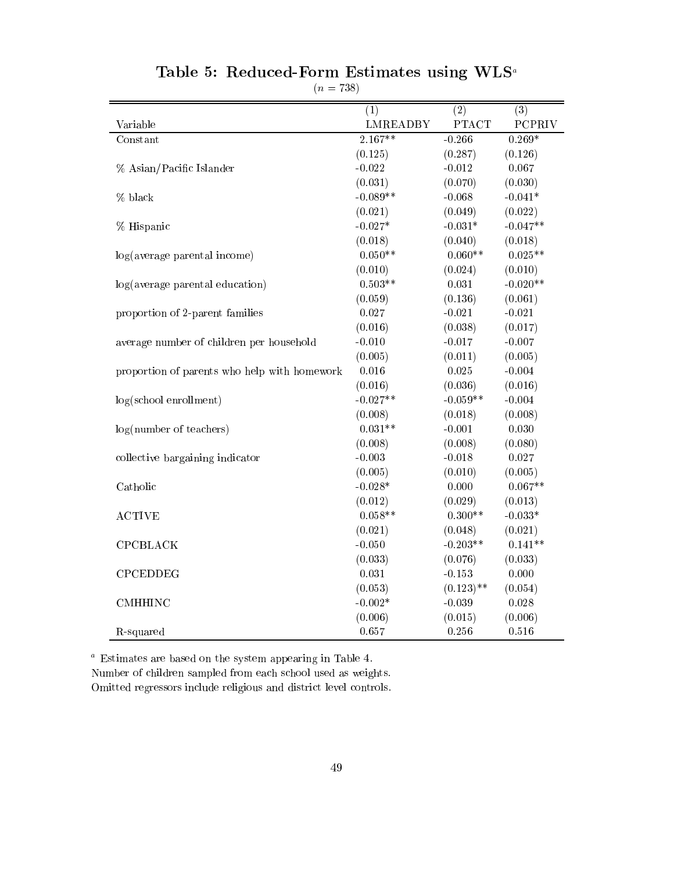|                                              | (1)             | (2)          | (3)           |
|----------------------------------------------|-----------------|--------------|---------------|
| Variable                                     | <b>LMREADBY</b> | <b>PTACT</b> | <b>PCPRIV</b> |
| Constant                                     | $2.167**$       | $-0.266$     | $0.269*$      |
|                                              | (0.125)         | (0.287)      | (0.126)       |
| % Asian/Pacific Islander                     | $-0.022$        | $-0.012$     | 0.067         |
|                                              | (0.031)         | (0.070)      | (0.030)       |
| % black                                      | $-0.089**$      | $-0.068$     | $-0.041*$     |
|                                              | (0.021)         | (0.049)      | (0.022)       |
| % Hispanic                                   | $-0.027*$       | $-0.031*$    | $-0.047**$    |
|                                              | (0.018)         | (0.040)      | (0.018)       |
| log(average parental income)                 | $0.050**$       | $0.060**$    | $0.025**$     |
|                                              | (0.010)         | (0.024)      | (0.010)       |
| log(average parental education)              | $0.503**$       | 0.031        | $-0.020**$    |
|                                              | (0.059)         | (0.136)      | (0.061)       |
| proportion of 2-parent families              | 0.027           | $-0.021$     | $-0.021$      |
|                                              | (0.016)         | (0.038)      | (0.017)       |
| average number of children per household     | $-0.010$        | $-0.017$     | $-0.007$      |
|                                              | (0.005)         | (0.011)      | (0.005)       |
| proportion of parents who help with homework | $0.016\,$       | 0.025        | $-0.004$      |
|                                              | (0.016)         | (0.036)      | (0.016)       |
| log(school enrollment)                       | $-0.027**$      | $-0.059**$   | $-0.004$      |
|                                              | (0.008)         | (0.018)      | (0.008)       |
| log(number of teachers)                      | $0.031**$       | $-0.001$     | 0.030         |
|                                              | (0.008)         | (0.008)      | (0.080)       |
| collective bargaining indicator              | $-0.003$        | $-0.018$     | 0.027         |
|                                              | (0.005)         | (0.010)      | (0.005)       |
| Catholic                                     | $-0.028*$       | 0.000        | $0.067**$     |
|                                              | (0.012)         | (0.029)      | (0.013)       |
| <b>ACTIVE</b>                                | $0.058**$       | $0.300**$    | $-0.033*$     |
|                                              | (0.021)         | (0.048)      | (0.021)       |
| CPCBLACK                                     | $-0.050$        | $-0.203**$   | $0.141**$     |
|                                              | (0.033)         | (0.076)      | (0.033)       |
| <b>CPCEDDEG</b>                              | $0.031\,$       | $-0.153$     | 0.000         |
|                                              | (0.053)         | $(0.123)$ ** | (0.054)       |
| <b>CMHHINC</b>                               | $-0.002*$       | $-0.039$     | 0.028         |
|                                              | (0.006)         | (0.015)      | (0.006)       |
| R-squared                                    | 0.657           | 0.256        | 0.516         |

# Table 5. Reduced-Form Estimates using WLS

 $\sqrt{2}$   $\sqrt{3}$ 

<sup>a</sup> Estimates are based on the system appearing in Table 4.

Number of children sampled from each school used as weights. Omitted regressors include religious and district level controls.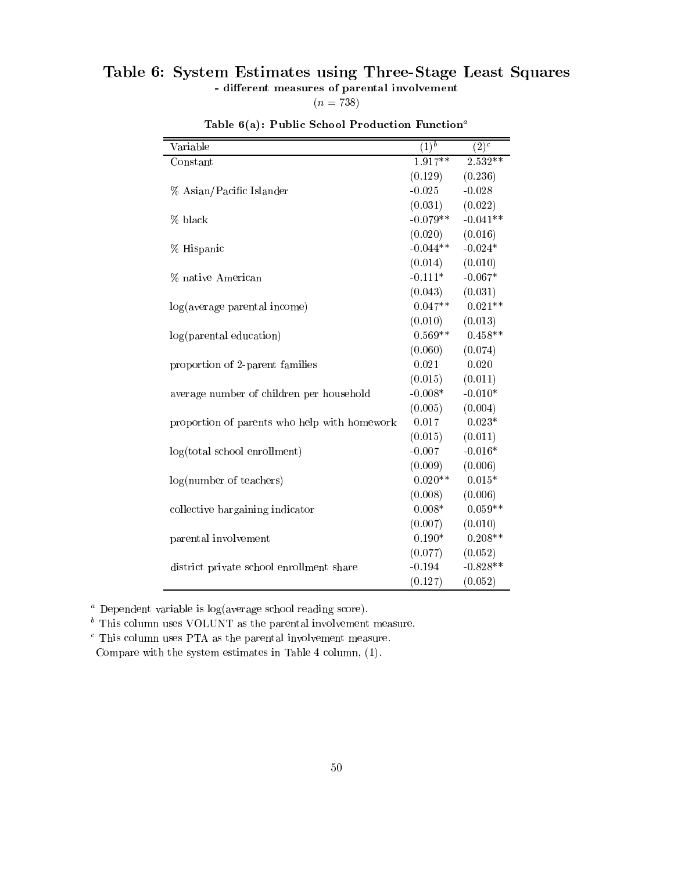# Table 6: System Estimates using Three-Stage Least Squares

- different measures of parental involvement

 $(n = 738)$ 

| Variable                                     | $\overline{(1)^b}$ | $\overline{(2)^c}$ |
|----------------------------------------------|--------------------|--------------------|
| Constant                                     | $1.917**$          | 2.532**            |
|                                              | (0.129)            | (0.236)            |
| % Asian/Pacific Islander                     | $-0.025$           | $-0.028$           |
|                                              | (0.031)            | (0.022)            |
| % black                                      | $-0.079**$         | $-0.041**$         |
|                                              | (0.020)            | (0.016)            |
| % Hispanic                                   | $-0.044**$         | $-0.024*$          |
|                                              | (0.014)            | (0.010)            |
| % native American                            | $-0.111*$          | $-0.067*$          |
|                                              | (0.043)            | (0.031)            |
| log(average parental income)                 | $0.047**$          | $0.021**$          |
|                                              | (0.010)            | (0.013)            |
| log(parental education)                      | $0.569**$          | $0.458**$          |
|                                              | (0.060)            | (0.074)            |
| proportion of 2-parent families              | 0.021              | 0.020              |
|                                              | (0.015)            | (0.011)            |
| average number of children per household     | $-0.008*$          | $-0.010*$          |
|                                              | (0.005)            | (0.004)            |
| proportion of parents who help with homework | 0.017              | $0.023*$           |
|                                              | (0.015)            | (0.011)            |
| log(total school en rollment)                | $-0.007$           | $-0.016*$          |
|                                              | (0.009)            | (0.006)            |
| log(number of teachers)                      | $0.020**$          | $0.015*$           |
|                                              | (0.008)            | (0.006)            |
| collective bargaining indicator              | $0.008*$           | $0.059**$          |
|                                              | (0.007)            | (0.010)            |
| parental involvement                         | $0.190*$           | $0.208**$          |
|                                              | (0.077)            | (0.052)            |
| district private school enrollment share     | $-0.194$           | $-0.828**$         |
|                                              | (0.127)            | (0.052)            |

Table  $6(a)$ : Public School Production Function<sup>a</sup>

<sup>a</sup> Dependent variable is log(average school reading score).

<sup>b</sup> This column uses VOLUNT as the parental involvement measure.

<sup>c</sup> This column uses PTA as the parental involvement measure. Compare with the system estimates in Table 4 column, (1).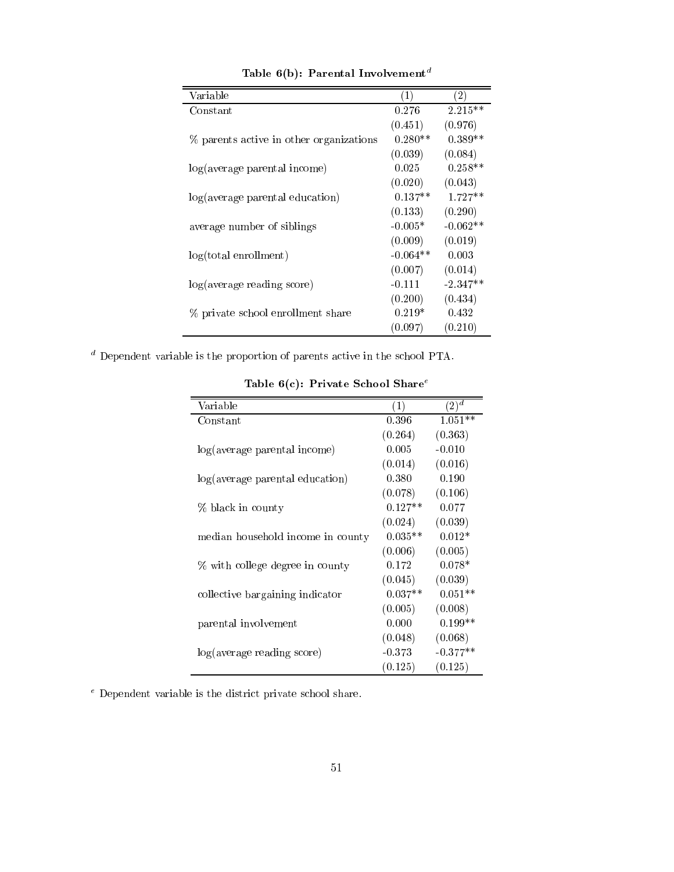| Variable                                | (1)        | (2)        |
|-----------------------------------------|------------|------------|
| $\rm Constant$                          | 0.276      | $2.215**$  |
|                                         | (0.451)    | (0.976)    |
| % parents active in other organizations | $0.280**$  | $0.389**$  |
|                                         | (0.039)    | (0.084)    |
| log(average parental income)            | 0.025      | $0.258**$  |
|                                         | (0.020)    | (0.043)    |
| log(average parental education)         | $0.137**$  | $1.727**$  |
|                                         | (0.133)    | (0.290)    |
| average number of siblings              | $-0.005*$  | $-0.062**$ |
|                                         | (0.009)    | (0.019)    |
| $log(total \text{ enrollment})$         | $-0.064**$ | 0.003      |
|                                         | (0.007)    | (0.014)    |
| log(average reading score)              | $-0.111$   | $-2.347**$ |
|                                         | (0.200)    | (0.434)    |
| % private school enrollment share       | $0.219*$   | 0.432      |
|                                         | (0.097)    | (0.210)    |

Table 6(b): Parental Involvement <sup>d</sup>

<sup>d</sup> Dependent variable is the proportion of parents active in the school PTA.

| Variable                          | (1)       | $(2)^{\overline{d}}$ |
|-----------------------------------|-----------|----------------------|
| $\rm Constant$                    | 0.396     | $1.051**$            |
|                                   | (0.264)   | (0.363)              |
| log(average parental income)      | 0.005     | $-0.010$             |
|                                   | (0.014)   | (0.016)              |
| log(average parental education)   | 0.380     | 0.190                |
|                                   | (0.078)   | (0.106)              |
| % black in county                 | $0.127**$ | 0.077                |
|                                   | (0.024)   | (0.039)              |
| median household income in county | $0.035**$ | $0.012*$             |
|                                   | (0.006)   | (0.005)              |
| % with college degree in county   | 0.172     | $0.078*$             |
|                                   | (0.045)   | (0.039)              |
| collective bargaining indicator   | $0.037**$ | $0.051**$            |
|                                   | (0.005)   | (0.008)              |
| parental involvement              | 0.000     | $0.199**$            |
|                                   | (0.048)   | (0.068)              |
| log(average reading score)        | $-0.373$  | $-0.377**$           |
|                                   | (0.125)   | (0.125)              |

Table  $6(c)$ : Private School Share<sup>e</sup>

<sup>e</sup> Dependent variable is the district private school share.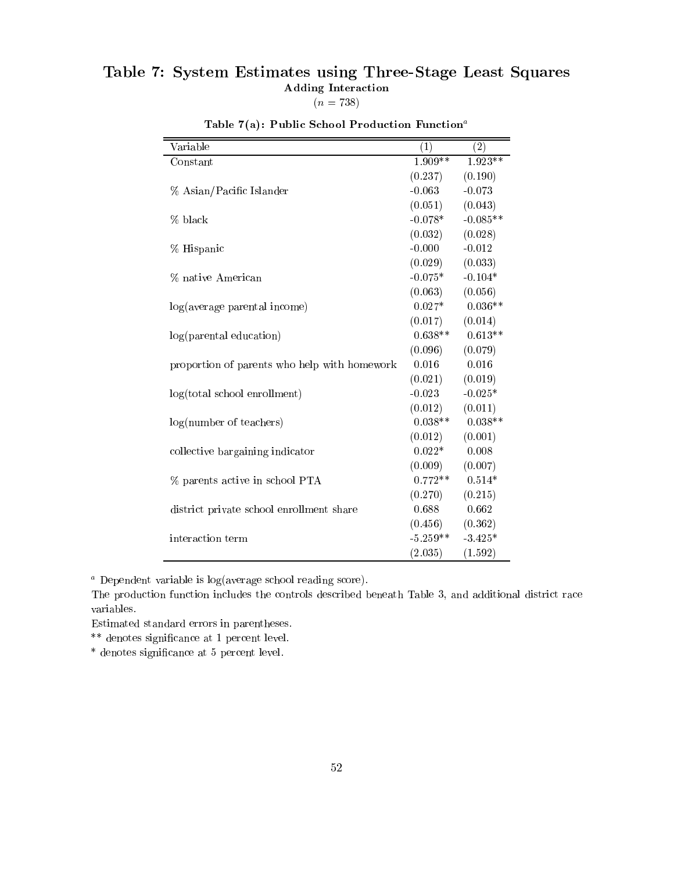# Table 7: System Estimates using Three-Stage Least Squares Adding Interaction  $(n = 738)$

| Variable                                     | (1)        | (2)        |
|----------------------------------------------|------------|------------|
| Constant                                     | $1.909**$  | $1.923**$  |
|                                              | (0.237)    | (0.190)    |
| % Asian/Pacific Islander                     | $-0.063$   | $-0.073$   |
|                                              | (0.051)    | (0.043)    |
| % black                                      | $-0.078*$  | $-0.085**$ |
|                                              | (0.032)    | (0.028)    |
| % Hispanic                                   | $-0.000$   | $-0.012$   |
|                                              | (0.029)    | (0.033)    |
| % native American                            | $-0.075*$  | $-0.104*$  |
|                                              | (0.063)    | (0.056)    |
| log(average parental income)                 | $0.027*$   | $0.036**$  |
|                                              | (0.017)    | (0.014)    |
| log(parental education)                      | $0.638**$  | $0.613**$  |
|                                              | (0.096)    | (0.079)    |
| proportion of parents who help with homework | 0.016      | 0.016      |
|                                              | (0.021)    | (0.019)    |
| log(total school en rollment)                | $-0.023$   | $-0.025*$  |
|                                              | (0.012)    | (0.011)    |
| log(number of teachers)                      | $0.038**$  | $0.038**$  |
|                                              | (0.012)    | (0.001)    |
| collective bargaining indicator              | $0.022*$   | 0.008      |
|                                              | (0.009)    | (0.007)    |
| $\%$ parents active in school PTA            | $0.772**$  | $0.514*$   |
|                                              | (0.270)    | (0.215)    |
| district private school enrollment share     | 0.688      | 0.662      |
|                                              | (0.456)    | (0.362)    |
| interaction term                             | $-5.259**$ | $-3.425*$  |
|                                              | (2.035)    | (1.592)    |

Table 7(a): Public School Production Function<sup>a</sup>

<sup>a</sup> Dependent variable is log(average school reading score).

The production function includes the controls described beneath Table 3, and additional district race variables.

Estimated standard errors in parentheses.

\*\* denotes signicance at 1 percent level.

\* denotes signicance at 5 percent level.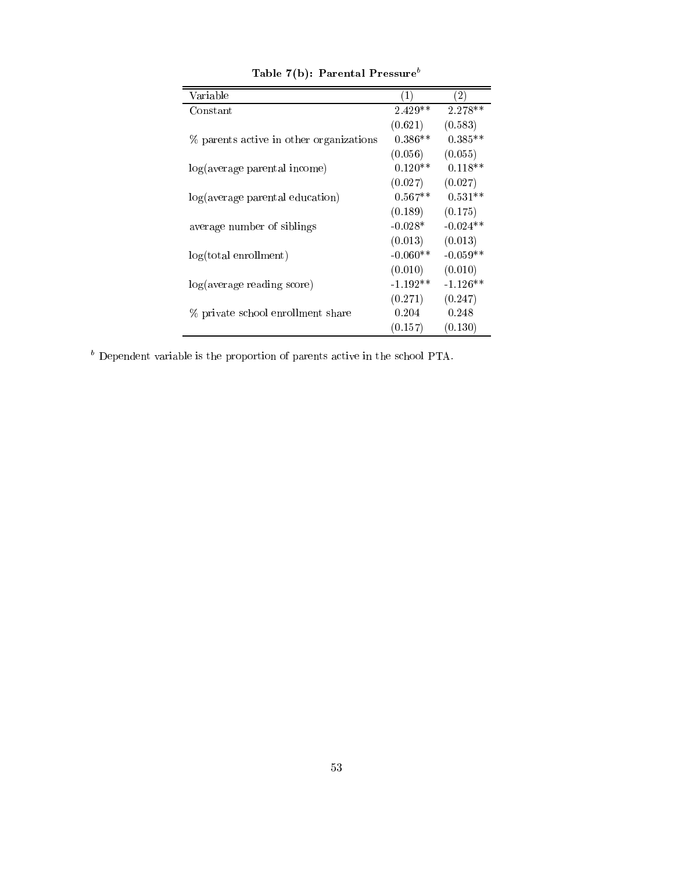| Variable                                | $\left( 1\right)$ | $\left( 2\right)$ |
|-----------------------------------------|-------------------|-------------------|
| Constant                                | $2.429**$         | 2.278**           |
|                                         | (0.621)           | (0.583)           |
| % parents active in other organizations | $0.386**$         | $0.385**$         |
|                                         | (0.056)           | (0.055)           |
| log(average parental income)            | $0.120**$         | $0.118**$         |
|                                         | (0.027)           | (0.027)           |
| log(average parental education)         | $0.567**$         | $0.531**$         |
|                                         | (0.189)           | (0.175)           |
| average number of siblings              | $-0.028*$         | $-0.024**$        |
|                                         | (0.013)           | (0.013)           |
| $log(total \text{ enrollment})$         | $-0.060**$        | $-0.059**$        |
|                                         | (0.010)           | (0.010)           |
| log(average reading score)              | $-1.192**$        | $-1.126**$        |
|                                         | (0.271)           | (0.247)           |
| % private school enrollment share       | 0.204             | 0.248             |
|                                         | (0.157)           | (0.130)           |

Table 7(b): Parental Pressure<sup>b</sup>

<sup>b</sup> Dependent variable is the proportion of parents active in the school PTA.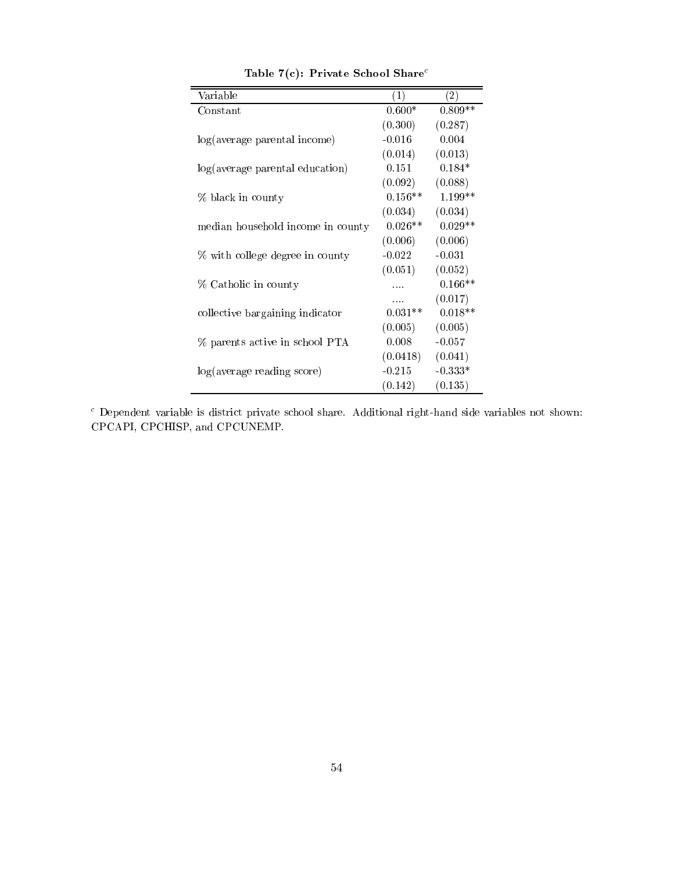| Variable                          | (1)       | $\left( 2\right)$ |
|-----------------------------------|-----------|-------------------|
| $\rm Constant$                    | $0.600*$  | $0.809**$         |
|                                   | (0.300)   | (0.287)           |
| log(average parental income)      | $-0.016$  | 0.004             |
|                                   | (0.014)   | (0.013)           |
| log(average parental education)   | 0.151     | $0.184*$          |
|                                   | (0.092)   | (0.088)           |
| % black in county                 | $0.156**$ | $1.199**$         |
|                                   | (0.034)   | (0.034)           |
| median household income in county | $0.026**$ | $0.029**$         |
|                                   | (0.006)   | (0.006)           |
| % with college degree in county   | $-0.022$  | $-0.031$          |
|                                   | (0.051)   | (0.052)           |
| % Catholic in county              |           | $0.166**$         |
|                                   | .         | (0.017)           |
| collective bargaining indicator   | $0.031**$ | $0.018**$         |
|                                   | (0.005)   | (0.005)           |
| % parents active in school PTA    | 0.008     | $-0.057$          |
|                                   | (0.0418)  | (0.041)           |
| log(average reading score)        | $-0.215$  | $-0.333*$         |
|                                   | (0.142)   | (0.135)           |

Table 7(c): Private School Share<sup>c</sup>

<sup>c</sup> Dependent variable is district private school share. Additional right-hand side variables not shown: CPCAPI, CPCHISP, and CPCUNEMP.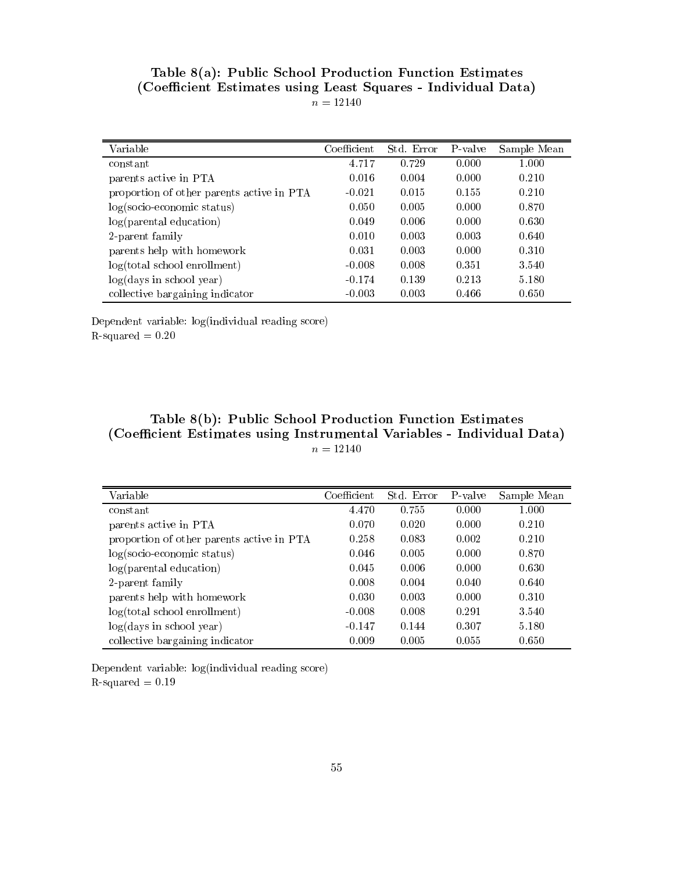| Table 8(a): Public School Production Function Estimates       |
|---------------------------------------------------------------|
| (Coefficient Estimates using Least Squares - Individual Data) |
| $n = 12140$                                                   |

| Variable                                  | Coefficient | Std. Error | P-valve | Sample Mean |
|-------------------------------------------|-------------|------------|---------|-------------|
| constant                                  | 4.717       | 0.729      | 0.000   | 1.000       |
| parents active in PTA                     | 0.016       | 0.004      | 0.000   | 0.210       |
| proportion of other parents active in PTA | $-0.021$    | 0.015      | 0.155   | 0.210       |
| $log(socio-economic status)$              | 0.050       | 0.005      | 0.000   | 0.870       |
| log(parental education)                   | 0.049       | 0.006      | 0.000   | 0.630       |
| 2-parent family                           | 0.010       | 0.003      | 0.003   | 0.640       |
| parents help with homework                | 0.031       | 0.003      | 0.000   | 0.310       |
| $log(total$ school enrollment)            | $-0.008$    | 0.008      | 0.351   | 3.540       |
| log(days in school year)                  | $-0.174$    | 0.139      | 0.213   | 5.180       |
| collective bargaining indicator           | $-0.003$    | 0.003      | 0.466   | 0.650       |

Dependent variable: log(individual reading score)  $R$ -squared  $= 0.20$ 

# Table 8(b): Public School Production Function Estimates (Coefficient Estimates using Instrumental Variables - Individual Data)  $n = 12140$

| Variable                                  | Coefficient | Std. Error | P-valve | Sample Mean |
|-------------------------------------------|-------------|------------|---------|-------------|
| constant                                  | 4.470       | 0.755      | 0.000   | 1.000       |
| parents active in PTA                     | 0.070       | 0.020      | 0.000   | 0.210       |
| proportion of other parents active in PTA | 0.258       | 0.083      | 0.002   | 0.210       |
| $log(socio-economic status)$              | 0.046       | 0.005      | 0.000   | 0.870       |
| log(parental education)                   | 0.045       | 0.006      | 0.000   | 0.630       |
| 2-parent family                           | 0.008       | 0.004      | 0.040   | 0.640       |
| parents help with homework                | 0.030       | 0.003      | 0.000   | 0.310       |
| log(total school envoliment)              | $-0.008$    | 0.008      | 0.291   | 3.540       |
| log(days in school year)                  | $-0.147$    | 0.144      | 0.307   | 5.180       |
| collective bargaining indicator           | 0.009       | 0.005      | 0.055   | 0.650       |

Dependent variable: log(individual reading score)  $\mathrm{R}\text{-}\mathrm{squared}\,=0.19$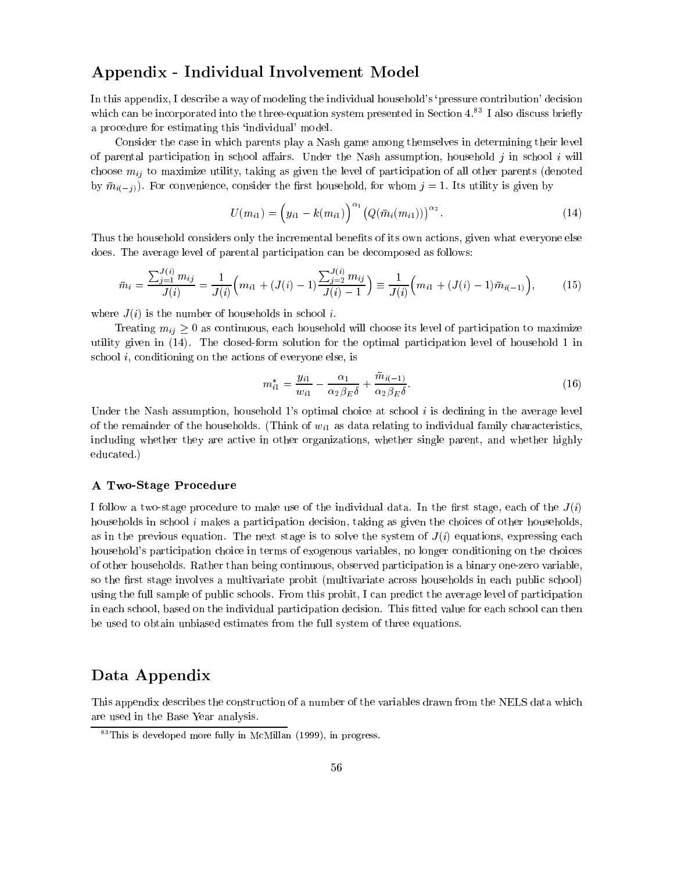# Appendix - Individual Involvement Model

In this appendix, I describe a way of modeling the individual household's 'pressure contribution' decision which can be incorporated into the three-equation system presented in Section  $4^{83}$  I also discuss briefly a procedure for estimating this `individual' model.

Consider the case in which parents play a Nash game among themselves in determining their level of parental participation in school affairs. Under the Nash assumption, household  $j$  in school  $i$  will choose  $m_{ij}$  to maximize utility, taking as given the level of participation of all other parents (denoted where the constant of the constant  $\mathcal{S}$  and  $\mathcal{S}$  and  $\mathcal{S}$  is utility is given by  $\mathcal{S}$  . Its utility is given by  $\mathcal{S}$ 

$$
U(m_{i1}) = (y_{i1} - k(m_{i1}))^{\alpha_1} (Q(\bar{m}_i(m_{i1})))^{\alpha_2}.
$$
 (14)

Thus the household considers only the incremental benefits of its own actions, given what everyone else does. The average level of parental participation can be decomposed as follows:

$$
\bar{m}_i = \frac{\sum_{j=1}^{J(i)} m_{ij}}{J(i)} = \frac{1}{J(i)} \Big( m_{i1} + (J(i) - 1) \frac{\sum_{j=2}^{J(i)} m_{ij}}{J(i) - 1} \Big) \equiv \frac{1}{J(i)} \Big( m_{i1} + (J(i) - 1) \bar{m}_{i(-1)} \Big), \tag{15}
$$

where  $J(i)$  is the number of households in school i.

Treating  $m_{ij} \geq 0$  as continuous, each household will choose its level of participation to maximize utility given in (14). The closed-form solution for the optimal participation level of household 1 in school i, conditioning on the actions of everyone else, is

$$
m_{i1}^{*} = \frac{y_{i1}}{w_{i1}} - \frac{\alpha_1}{\alpha_2 \beta_E \delta} + \frac{\bar{m}_{i(-1)}}{\alpha_2 \beta_E \delta}.
$$
 (16)

Under the Nash assumption, household 1's optimal choice at school  $i$  is declining in the average level of the remainder of the households. (Think of  $w_{i1}$  as data relating to individual family characteristics, including whether they are active in other organizations, whether single parent, and whether highly educated.)

#### A Two-Stage Procedure

I follow a two-stage procedure to make use of the individual data. In the first stage, each of the  $J(i)$ households in school i makes a participation decision, taking as given the choices of other households, as in the previous equation. The next stage is to solve the system of  $J(i)$  equations, expressing each household's participation choice in terms of exogenous variables, no longer conditioning on the choices of other households. Rather than being continuous, observed participation is a binary one-zero variable, so the first stage involves a multivariate probit (multivariate across households in each public school) using the full sample of public schools. From this probit, I can predict the average level of participation in each school, based on the individual participation decision. This fitted value for each school can then be used to obtain unbiased estimates from the full system of three equations.

# Data Appendix

This appendix describes the construction of a number of the variables drawn from the NELS data which are used in the Base Year analysis.

 $83$ This is developed more fully in McMillan (1999), in progress.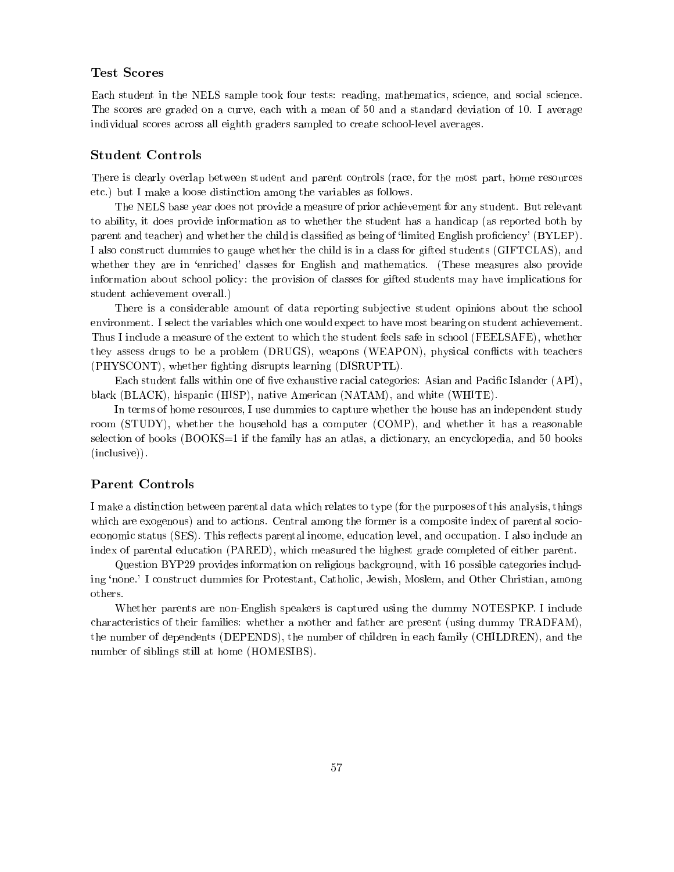### Test Scores

Each student in the NELS sample took four tests: reading, mathematics, science, and social science. The scores are graded on a curve, each with a mean of 50 and a standard deviation of 10. I average individual scores across all eighth graders sampled to create school-level averages.

#### Student Controls

There is clearly overlap between student and parent controls (race, for the most part, home resources etc.) but I make a loose distinction among the variables as follows.

The NELS base year does not provide a measure of prior achievement for any student. But relevant to ability, it does provide information as to whether the student has a handicap (as reported both by parent and teacher) and whether the child is classified as being of 'limited English proficiency' (BYLEP). I also construct dummies to gauge whether the child is in a class for gifted students (GIFTCLAS), and whether they are in 'enriched' classes for English and mathematics. (These measures also provide information about school policy: the provision of classes for gifted students may have implications for student achievement overall.)

There is a considerable amount of data reporting subjective student opinions about the school environment. I select the variables which one would expect to have most bearing on student achievement. Thus I include a measure of the extent to which the student feels safe in school (FEELSAFE), whether they assess drugs to be a problem (DRUGS), weapons (WEAPON), physical conflicts with teachers (PHYSCONT), whether ghting disrupts learning (DISRUPTL).

Each student falls within one of five exhaustive racial categories: Asian and Pacific Islander (API), black (BLACK), hispanic (HISP), native American (NATAM), and white (WHITE).

In terms of home resources, I use dummies to capture whether the house has an independent study room (STUDY), whether the household has a computer (COMP), and whether it has a reasonable selection of books (BOOKS=1 if the family has an atlas, a dictionary, an encyclopedia, and 50 books (inclusive)).

## Parent Controls

I make a distinction between parental data which relates to type (for the purposes of this analysis, things which are exogenous) and to actions. Central among the former is a composite index of parental socioeconomic status (SES). This reflects parental income, education level, and occupation. I also include an index of parental education (PARED), which measured the highest grade completed of either parent.

Question BYP29 provides information on religious background, with 16 possible categories including `none.' I construct dummies for Protestant, Catholic, Jewish, Moslem, and Other Christian, among others.

Whether parents are non-English speakers is captured using the dummy NOTESPKP. I include characteristics of their families: whether a mother and father are present (using dummy TRADFAM), the number of dependents (DEPENDS), the number of children in each family (CHILDREN), and the number of siblings still at home (HOMESIBS).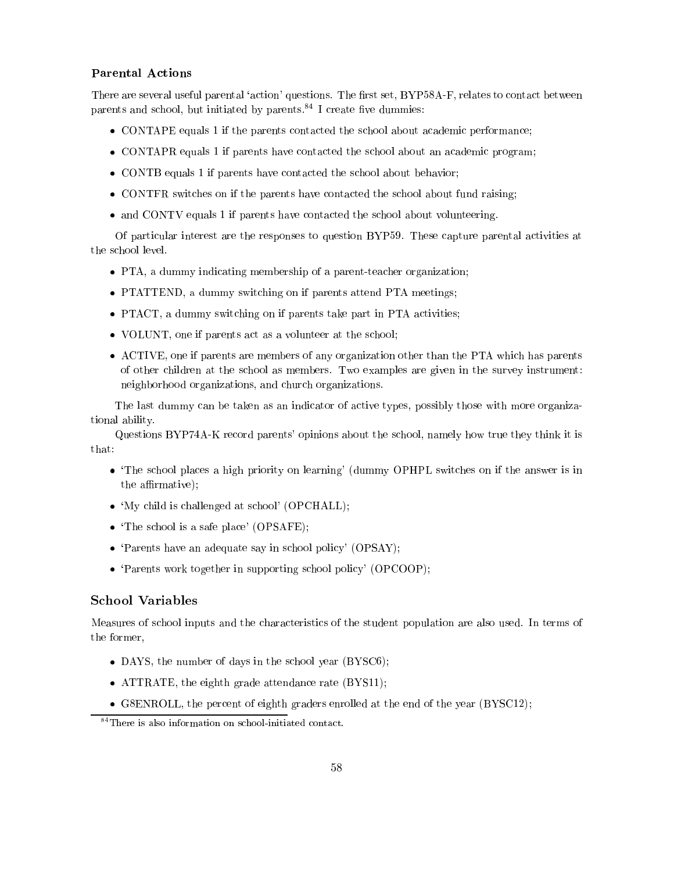#### Parental Actions

There are several useful parental 'action' questions. The first set, BYP58A-F, relates to contact between parents and school, but initiated by parents. $84$  I create five dummies:

- CONTAPE equals 1 if the parents contacted the school about academic performance;
- CONTAPR equals 1 if parents have contacted the school about an academic program;
- CONTB equals 1 if parents have contacted the school about behavior;
- CONTFR switches on if the parents have contacted the school about fund raising;
- and CONTV equals 1 if parents have contacted the school about volunteering.

Of particular interest are the responses to question BYP59. These capture parental activities at the school level.

- PTA, a dummy indicating membership of a parent-teacher organization;
- PTATTEND, a dummy switching on if parents attend PTA meetings;
- PTACT, a dummy switching on if parents take part in PTA activities;
- VOLUNT, one if parents act as a volunteer at the school;
- ACTIVE, one if parents are members of any organization other than the PTA which has parents of other children at the school as members. Two examples are given in the survey instrument: neighborhood organizations, and church organizations.

The last dummy can be taken as an indicator of active types, possibly those with more organizational ability.

Questions BYP74A-K record parents' opinions about the school, namely how true they think it is that:<br>
• 'The school places a high priority on learning' (dummy OPHPL switches on if the answer is in

- the affirmative);
- 'My child is challenged at school' (OPCHALL);
- The school is a safe place' (OPSAFE);
- 'Parents have an adequate say in school policy' (OPSAY);
- `Parents work together in supporting school policy' (OPCOOP);

## School Variables

Measures of school inputs and the characteristics of the student population are also used. In terms of the former,

- DAYS, the number of days in the school year (BYSC6);
- ATTRATE, the eighth grade attendance rate (BYS11);
- G8ENROLL, the percent of eighth graders enrolled at the end of the year (BYSC12);

<sup>84</sup>There is also information on school-initiated contact.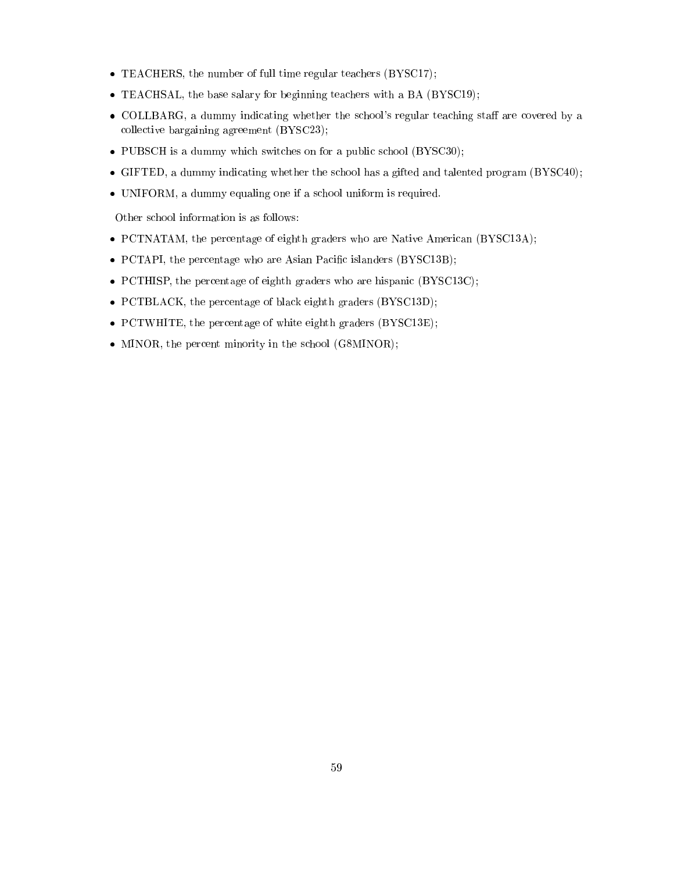- TEACHERS, the number of full time regular teachers (BYSC17);
- TEACHSAL, the base salary for beginning teachers with a BA (BYSC19);
- COLLBARG, a dummy indicating whether the school's regular teaching staff are covered by a collective bargaining agreement (BYSC23);
- PUBSCH is a dummy which switches on for a public school (BYSC30);
- GIFTED, a dummy indicating whether the school has a gifted and talented program (BYSC40);
- UNIFORM, a dummy equaling one if a school uniform is required.

Other school information is as follows:

- PCTNATAM, the percentage of eighth graders who are Native American (BYSC13A);
- PCTAPI, the percentage who are Asian Pacific islanders (BYSC13B);
- PCTHISP, the percentage of eighth graders who are hispanic (BYSC13C);
- PCTBLACK, the percentage of black eighth graders (BYSC13D);
- PCTWHITE, the percentage of white eighth graders (BYSC13E);
- MINOR, the percent minority in the school (G8MINOR);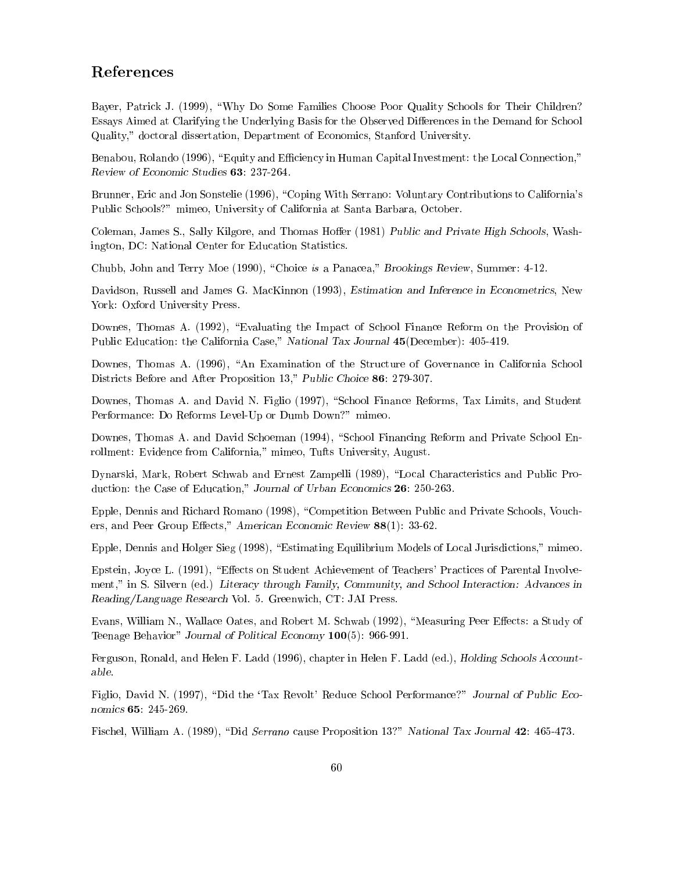# References

Bayer, Patrick J. (1999), "Why Do Some Families Choose Poor Quality Schools for Their Children? Essays Aimed at Clarifying the Underlying Basis for the Observed Differences in the Demand for School Quality," doctoral dissertation, Department of Economics, Stanford University.

Benabou, Rolando (1996), "Equity and Efficiency in Human Capital Investment: the Local Connection," Review of Economic Studies 63: 237-264.

Brunner, Eric and Jon Sonstelie (1996), "Coping With Serrano: Voluntary Contributions to California's Public Schools?" mimeo, University of California at Santa Barbara, October.

Coleman, James S., Sally Kilgore, and Thomas Hoffer (1981) Public and Private High Schools, Washington, DC: National Center for Education Statistics.

Chubb, John and Terry Moe (1990), \Choice is a Panacea," Brookings Review, Summer: 4-12.

Davidson, Russell and James G. MacKinnon (1993), Estimation and Inference in Econometrics, New York: Oxford University Press.

Downes, Thomas A. (1992), "Evaluating the Impact of School Finance Reform on the Provision of Public Education: the California Case," National Tax Journal 45(December): 405-419.

Downes, Thomas A. (1996), "An Examination of the Structure of Governance in California School Districts Before and After Proposition 13," Public Choice 86: 279-307.

Downes, Thomas A. and David N. Figlio (1997), "School Finance Reforms, Tax Limits, and Student Performance: Do Reforms Level-Up or Dumb Down?" mimeo.

Downes, Thomas A. and David Schoeman (1994), "School Financing Reform and Private School Enrollment: Evidence from California," mimeo, Tufts University, August.

Dynarski, Mark, Robert Schwab and Ernest Zampelli (1989), "Local Characteristics and Public Production: the Case of Education," Journal of Urban Economics 26: 250-263.

Epple, Dennis and Richard Romano (1998), "Competition Between Public and Private Schools, Vouchers, and Peer Group Effects," American Economic Review  $88(1)$ : 33-62.

Epple, Dennis and Holger Sieg (1998), "Estimating Equilibrium Models of Local Jurisdictions," mimeo.

Epstein, Joyce L. (1991), "Effects on Student Achievement of Teachers' Practices of Parental Involvement," in S. Silvern (ed.) Literacy through Family, Community, and School Interaction: Advances in Reading/Language Research Vol.5. Greenwich, CT: JAI Press.

Evans, William N., Wallace Oates, and Robert M. Schwab (1992), "Measuring Peer Effects: a Study of Teenage Behavior" Journal of Political Economy 100(5): 966-991.

Ferguson, Ronald, and Helen F. Ladd (1996), chapter in Helen F. Ladd (ed.), Holding Schools Accountable.

Figlio, David N. (1997), "Did the 'Tax Revolt' Reduce School Performance?" Journal of Public Economics 65: 245-269.

Fischel, William A. (1989), "Did Serrano cause Proposition 13?" National Tax Journal 42: 465-473.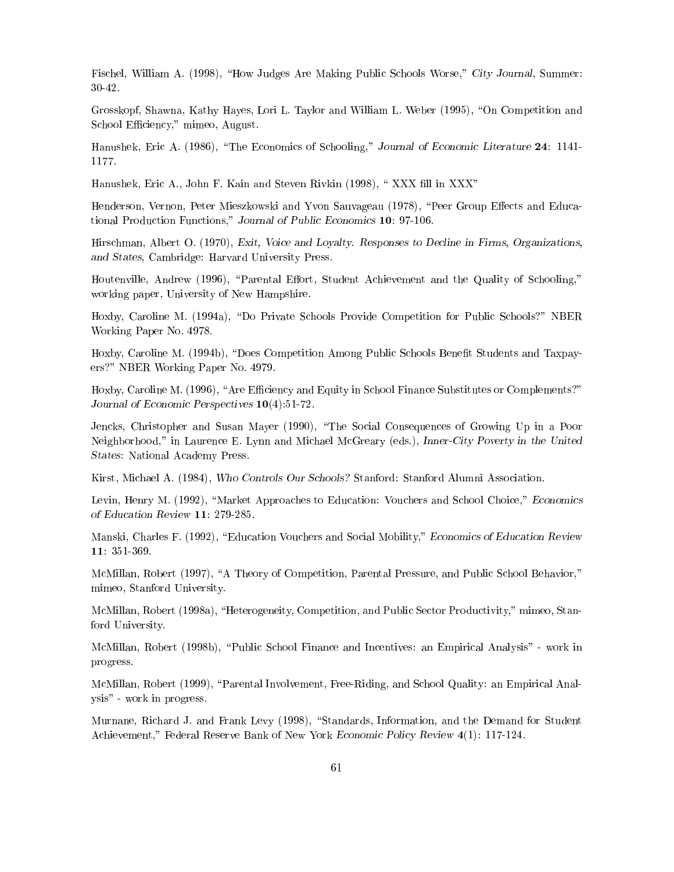Fischel, William A. (1998), "How Judges Are Making Public Schools Worse," City Journal, Summer:

Grosskopf, Shawna, Kathy Hayes, Lori L. Taylor and William L. Weber (1995), "On Competition and School Efficiency," mimeo, August.

Hanushek, Eric A. (1986), "The Economics of Schooling," Journal of Economic Literature 24: 1141-

Hanushek, Eric A., John F. Kain and Steven Rivkin (1998), "XXX fill in XXX"

Henderson, Vernon, Peter Mieszkowski and Yvon Sauvageau (1978), "Peer Group Effects and Educational Production Functions," Journal of Public Economics 10: 97-106.

Hirschman, Albert O. (1970), Exit, Voice and Loyalty. Responses to Decline in Firms, Organizations, and States, Cambridge: Harvard University Press.

Houtenville, Andrew (1996), "Parental Effort, Student Achievement and the Quality of Schooling," working paper, University of New Hampshire.

Hoxby, Caroline M. (1994a), "Do Private Schools Provide Competition for Public Schools?" NBER Working Paper No. 4978.

Hoxby, Caroline M. (1994b), "Does Competition Among Public Schools Benefit Students and Taxpayers?" NBER Working Paper No. 4979.

Hoxby, Caroline M. (1996), "Are Efficiency and Equity in School Finance Substitutes or Complements?" Journal of Economic Perspectives 10(4):51-72.

Jencks, Christopher and Susan Mayer (1990), "The Social Consequences of Growing Up in a Poor Neighborhood," in Laurence E. Lynn and Michael McGreary (eds.), Inner-City Poverty in the United States: National Academy Press.

Kirst, Michael A. (1984), Who Controls Our Schools? Stanford: Stanford Alumni Association.

Levin, Henry M. (1992), "Market Approaches to Education: Vouchers and School Choice," Economics of Education Review 11: 279-285.

Manski, Charles F. (1992), "Education Vouchers and Social Mobility," Economics of Education Review 11: 351-369.

McMillan, Robert (1997), "A Theory of Competition, Parental Pressure, and Public School Behavior," mimeo, Stanford University.

McMillan, Robert (1998a), "Heterogeneity, Competition, and Public Sector Productivity," mimeo, Stanford University.

McMillan, Robert (1998b), \Public School Finance and Incentives: an Empirical Analysis" - work in progress.

McMillan, Robert (1999), "Parental Involvement, Free-Riding, and School Quality: an Empirical Analysis" - work in progress.

Murnane, Richard J. and Frank Levy (1998), "Standards, Information, and the Demand for Student Achievement," Federal Reserve Bank of New York Economic Policy Review 4(1): 117-124.